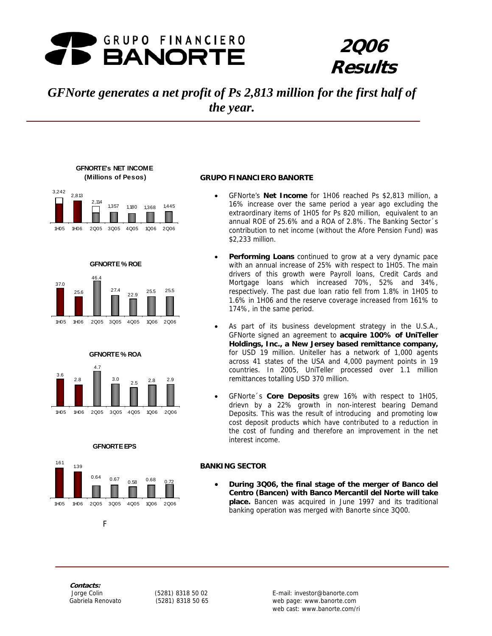

# **2Q06 Results**

# *GFNorte generates a net profit of Ps 2,813 million for the first half of the year.*





**GFNORTE % ROE** 





#### **GFNORTE EPS**



#### **GRUPO FINANCIERO BANORTE**

- GFNorte's **Net Income** for 1H06 reached Ps \$2,813 million, a 16% increase over the same period a year ago excluding the extraordinary items of 1H05 for Ps 820 million, equivalent to an annual ROE of 25.6% and a ROA of 2.8%. The Banking Sector´s contribution to net income (without the Afore Pension Fund) was \$2,233 million.
- Performing Loans continued to grow at a very dynamic pace with an annual increase of 25% with respect to 1H05. The main drivers of this growth were Payroll loans, Credit Cards and Mortgage loans which increased 70%, 52% and 34%, respectively. The past due loan ratio fell from 1.8% in 1H05 to 1.6% in 1H06 and the reserve coverage increased from 161% to 174%, in the same period.
- As part of its business development strategy in the U.S.A., GFNorte signed an agreement to **acquire 100% of UniTeller Holdings, Inc., a New Jersey based remittance company,** for USD 19 million. Uniteller has a network of 1,000 agents across 41 states of the USA and 4,000 payment points in 19 countries. In 2005, UniTeller processed over 1.1 million remittances totalling USD 370 million.
- GFNorte´s **Core Deposits** grew 16% with respect to 1H05, drievn by a 22% growth in non-interest bearing Demand Deposits. This was the result of introducing and promoting low cost deposit products which have contributed to a reduction in the cost of funding and therefore an improvement in the net interest income.

#### **BANKING SECTOR**

• **During 3Q06, the final stage of the merger of Banco del Centro (Bancen) with Banco Mercantil del Norte will take place.** Bancen was acquired in June 1997 and its traditional banking operation was merged with Banorte since 3Q00.

**Contacts:** 

Fig. 1. The Fig. 1. Fig.

Figures are presented in constant pesos set at the close of March, 2003 1 web cast: www.banorte.com/ri Jorge Colin (5281) 8318 50 02 E-mail: investor@banorte.com Gabriela Renovato (5281) 8318 50 65 web page: www.banorte.com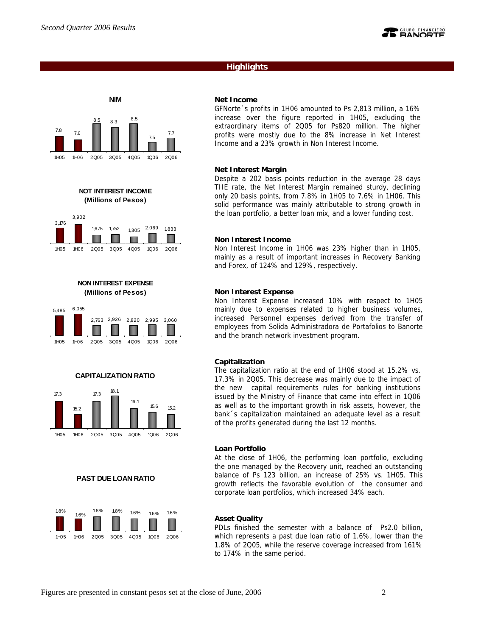## **Highlights**



**NOT INTEREST INCOME (Millions of Pesos)**



**NON INTEREST EXPENSE (Millions of Pesos)**



1H05 1H06 2Q05 3Q05 4Q05 1Q06 2Q06





## **PAST DUE LOAN RATIO**



#### **Net Income**

GFNorte´s profits in 1H06 amounted to Ps 2,813 million, a 16% increase over the figure reported in 1H05, excluding the extraordinary items of 2Q05 for Ps820 million. The higher profits were mostly due to the 8% increase in Net Interest Income and a 23% growth in Non Interest Income.

#### **Net Interest Margin**

Despite a 202 basis points reduction in the average 28 days TIIE rate, the Net Interest Margin remained sturdy, declining only 20 basis points, from 7.8% in 1H05 to 7.6% in 1H06. This solid performance was mainly attributable to strong growth in the loan portfolio, a better loan mix, and a lower funding cost.

#### **Non Interest Income**

Non Interest Income in 1H06 was 23% higher than in 1H05, mainly as a result of important increases in Recovery Banking and Forex, of 124% and 129%, respectively.

#### **Non Interest Expense**

Non Interest Expense increased 10% with respect to 1H05 mainly due to expenses related to higher business volumes, increased Personnel expenses derived from the transfer of employees from Solida Administradora de Portafolios to Banorte and the branch network investment program.

#### **Capitalization**

The capitalization ratio at the end of 1H06 stood at 15.2% vs. 17.3% in 2Q05. This decrease was mainly due to the impact of the new capital requirements rules for banking institutions issued by the Ministry of Finance that came into effect in 1Q06 as well as to the important growth in risk assets, however, the bank´s capitalization maintained an adequate level as a result of the profits generated during the last 12 months.

#### **Loan Portfolio**

At the close of 1H06, the performing loan portfolio, excluding the one managed by the Recovery unit, reached an outstanding balance of Ps 123 billion, an increase of 25% vs. 1H05. This growth reflects the favorable evolution of the consumer and corporate loan portfolios, which increased 34% each.

#### **Asset Quality**

PDLs finished the semester with a balance of Ps2.0 billion, which represents a past due loan ratio of 1.6%, lower than the 1.8% of 2Q05, while the reserve coverage increased from 161% to 174% in the same period.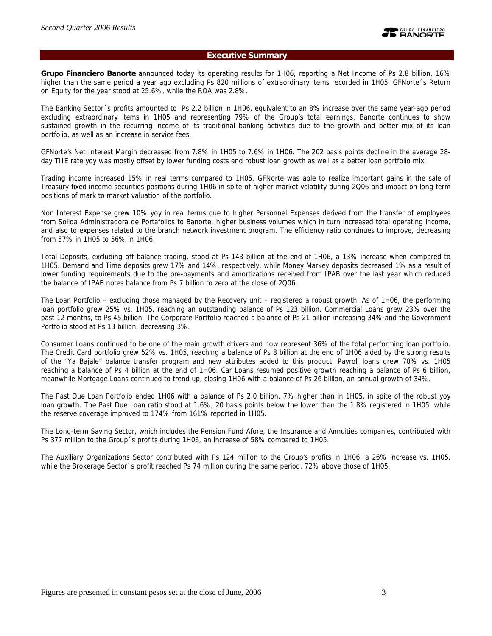## **Executive Summary**

**Grupo Financiero Banorte** announced today its operating results for 1H06, reporting a Net Income of Ps 2.8 billion, 16% higher than the same period a year ago excluding Ps 820 millions of extraordinary items recorded in 1H05. GFNorte´s Return on Equity for the year stood at 25.6%, while the ROA was 2.8%.

The Banking Sector´s profits amounted to Ps 2.2 billion in 1H06, equivalent to an 8% increase over the same year-ago period excluding extraordinary items in 1H05 and representing 79% of the Group's total earnings. Banorte continues to show sustained growth in the recurring income of its traditional banking activities due to the growth and better mix of its loan portfolio, as well as an increase in service fees.

GFNorte's Net Interest Margin decreased from 7.8% in 1H05 to 7.6% in 1H06. The 202 basis points decline in the average 28 day TIIE rate yoy was mostly offset by lower funding costs and robust loan growth as well as a better loan portfolio mix.

Trading income increased 15% in real terms compared to 1H05. GFNorte was able to realize important gains in the sale of Treasury fixed income securities positions during 1H06 in spite of higher market volatility during 2Q06 and impact on long term positions of mark to market valuation of the portfolio.

Non Interest Expense grew 10% yoy in real terms due to higher Personnel Expenses derived from the transfer of employees from Solida Administradora de Portafolios to Banorte, higher business volumes which in turn increased total operating income, and also to expenses related to the branch network investment program. The efficiency ratio continues to improve, decreasing from 57% in 1H05 to 56% in 1H06.

Total Deposits, excluding off balance trading, stood at Ps 143 billion at the end of 1H06, a 13% increase when compared to 1H05. Demand and Time deposits grew 17% and 14%, respectively, while Money Markey deposits decreased 1% as a result of lower funding requirements due to the pre-payments and amortizations received from IPAB over the last year which reduced the balance of IPAB notes balance from Ps 7 billion to zero at the close of 2Q06.

The Loan Portfolio – excluding those managed by the Recovery unit – registered a robust growth. As of 1H06, the performing loan portfolio grew 25% vs. 1H05, reaching an outstanding balance of Ps 123 billion. Commercial Loans grew 23% over the past 12 months, to Ps 45 billion. The Corporate Portfolio reached a balance of Ps 21 billion increasing 34% and the Government Portfolio stood at Ps 13 billion, decreasing 3%.

Consumer Loans continued to be one of the main growth drivers and now represent 36% of the total performing loan portfolio. The Credit Card portfolio grew 52% vs. 1H05, reaching a balance of Ps 8 billion at the end of 1H06 aided by the strong results of the "Ya Bajale" balance transfer program and new attributes added to this product. Payroll loans grew 70% vs. 1H05 reaching a balance of Ps 4 billion at the end of 1H06. Car Loans resumed positive growth reaching a balance of Ps 6 billion, meanwhile Mortgage Loans continued to trend up, closing 1H06 with a balance of Ps 26 billion, an annual growth of 34%.

The Past Due Loan Portfolio ended 1H06 with a balance of Ps 2.0 billion, 7% higher than in 1H05, in spite of the robust yoy loan growth. The Past Due Loan ratio stood at 1.6%, 20 basis points below the lower than the 1.8% registered in 1H05, while the reserve coverage improved to 174% from 161% reported in 1H05.

The Long-term Saving Sector, which includes the Pension Fund Afore, the Insurance and Annuities companies, contributed with Ps 377 million to the Group´s profits during 1H06, an increase of 58% compared to 1H05.

The Auxiliary Organizations Sector contributed with Ps 124 million to the Group's profits in 1H06, a 26% increase vs. 1H05, while the Brokerage Sector´s profit reached Ps 74 million during the same period, 72% above those of 1H05.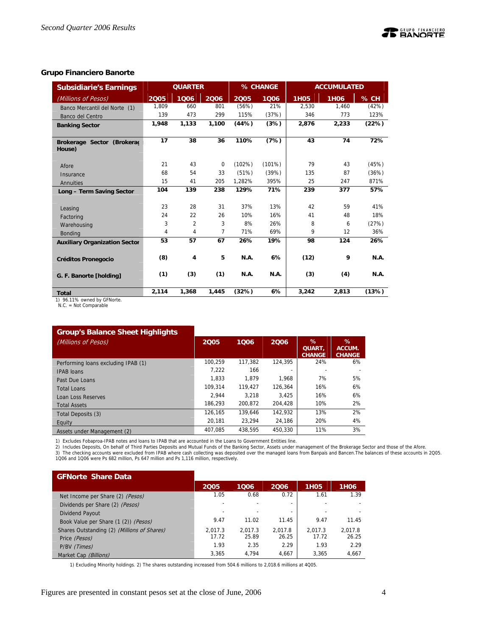## **Grupo Financiero Banorte**

| <b>Subsidiarie's Earnings</b>         |                | <b>QUARTER</b> |          |             | % CHANGE    |             | <b>ACCUMULATED</b> |             |
|---------------------------------------|----------------|----------------|----------|-------------|-------------|-------------|--------------------|-------------|
| (Millions of Pesos)                   | 2005           | 1006           | 2006     | 2005        | 1006        | <b>1H05</b> | <b>1H06</b>        | % CH        |
| Banco Mercantil del Norte (1)         | 1.809          | 660            | 801      | (56%)       | 21%         | 2.530       | 1.460              | (42%)       |
| Banco del Centro                      | 139            | 473            | 299      | 115%        | (37%)       | 346         | 773                | 123%        |
| <b>Banking Sector</b>                 | 1,948          | 1,133          | 1,100    | (44%)       | (3%)        | 2,876       | 2,233              | (22%)       |
|                                       |                |                |          |             |             |             |                    |             |
| Brokerage Sector (Brokerad            | 17             | 38             | 36       | 110%        | (7%)        | 43          | 74                 | 72%         |
| House)                                |                |                |          |             |             |             |                    |             |
| Afore                                 | 21             | 43             | $\Omega$ | (102%)      | (101%)      | 79          | 43                 | (45%)       |
| Insurance                             | 68             | 54             | 33       | (51%)       | (39%)       | 135         | 87                 | (36%)       |
| Annuities                             | 15             | 41             | 205      | 1,282%      | 395%        | 25          | 247                | 871%        |
| Long - Term Saving Sector             | 104            | 139            | 238      | 129%        | 71%         | 239         | 377                | 57%         |
|                                       |                |                |          |             |             |             |                    |             |
| Leasing                               | 23             | 28             | 31       | 37%         | 13%         | 42          | 59                 | 41%         |
| Factoring                             | 24             | 22             | 26       | 10%         | 16%         | 41          | 48                 | 18%         |
| Warehousing                           | 3              | $\overline{2}$ | 3        | 8%          | 26%         | 8           | 6                  | (27%)       |
| <b>Bonding</b>                        | $\overline{4}$ | 4              | 7        | 71%         | 69%         | 9           | 12                 | 36%         |
| <b>Auxiliary Organization Sector</b>  | 53             | 57             | 67       | 26%         | 19%         | 98          | 124                | 26%         |
|                                       |                |                |          |             |             |             |                    |             |
| <b>Créditos Pronegocio</b>            | (8)            | 4              | 5        | <b>N.A.</b> | 6%          | (12)        | 9                  | <b>N.A.</b> |
|                                       |                |                |          |             |             |             |                    |             |
| G. F. Banorte [holding]               | (1)            | (3)            | (1)      | <b>N.A.</b> | <b>N.A.</b> | (3)         | (4)                | <b>N.A.</b> |
|                                       | 2.114          | 1,368          | 1.445    | (32%)       | 6%          | 3.242       | 2.813              | (13%)       |
| <b>Total</b><br>$\sim$ $ \sim$ $\sim$ |                |                |          |             |             |             |                    |             |

1) 96.11% owned by GFNorte. N.C. = Not Comparable

## **Group's Balance Sheet Highlights**

| .<br>(Millions of Pesos)            | 2005    | 1006    | 2006    | $\%$<br><b>QUART.</b><br><b>CHANGE</b> | %<br>ACCUM.<br><b>CHANGE</b> |
|-------------------------------------|---------|---------|---------|----------------------------------------|------------------------------|
| Performing loans excluding IPAB (1) | 100.259 | 117.382 | 124.395 | 24%                                    | 6%                           |
| <b>IPAB</b> loans                   | 7.222   | 166     |         |                                        |                              |
| Past Due Loans                      | 1.833   | 1.879   | 1.968   | 7%                                     | 5%                           |
| <b>Total Loans</b>                  | 109.314 | 119.427 | 126.364 | 16%                                    | 6%                           |
| Loan Loss Reserves                  | 2.944   | 3.218   | 3.425   | 16%                                    | 6%                           |
| <b>Total Assets</b>                 | 186.293 | 200.872 | 204.428 | 10%                                    | 2%                           |
| Total Deposits (3)                  | 126.165 | 139.646 | 142.932 | 13%                                    | 2%                           |
| Equity                              | 20.181  | 23.294  | 24.186  | 20%                                    | 4%                           |
| Assets under Management (2)         | 407.085 | 438.595 | 450.330 | 11%                                    | 3%                           |

1) Excludes Fobaproa-IPAB notes and loans to IPAB that are accounted in the Loans to Government Entities line.

2) Includes Deposits, On behalf of Third Parties Deposits and Mutual Funds of the Banking Sector, Assets under management of the Brokerage Sector and those of the Afore.<br>3) The checking accounts were excluded from IPAB whe

| <b>GFNorte Share Data</b>                   |         |         |         |                   |                  |
|---------------------------------------------|---------|---------|---------|-------------------|------------------|
|                                             | 2005    | 1006    | 2006    | 1H <sub>0</sub> 5 | 1H <sub>06</sub> |
| Net Income per Share (2) (Pesos)            | 1.05    | 0.68    | 0.72    | 1.61              | 1.39             |
| Dividends per Share (2) (Pesos)             |         |         |         |                   |                  |
| Dividend Payout                             |         |         | ۰       |                   |                  |
| Book Value per Share (1 (2)) (Pesos)        | 9.47    | 11.02   | 11.45   | 9.47              | 11.45            |
| Shares Outstanding (2) (Millions of Shares) | 2.017.3 | 2,017.3 | 2.017.8 | 2.017.3           | 2.017.8          |
| Price (Pesos)                               | 17.72   | 25.89   | 26.25   | 17.72             | 26.25            |
| P/BV (Times)                                | 1.93    | 2.35    | 2.29    | 1.93              | 2.29             |
| Market Cap (Billions)                       | 3.365   | 4.794   | 4,667   | 3,365             | 4,667            |

1) Excluding Minority holdings. 2) The shares outstanding increased from 504.6 millions to 2,018.6 millions at 4Q05.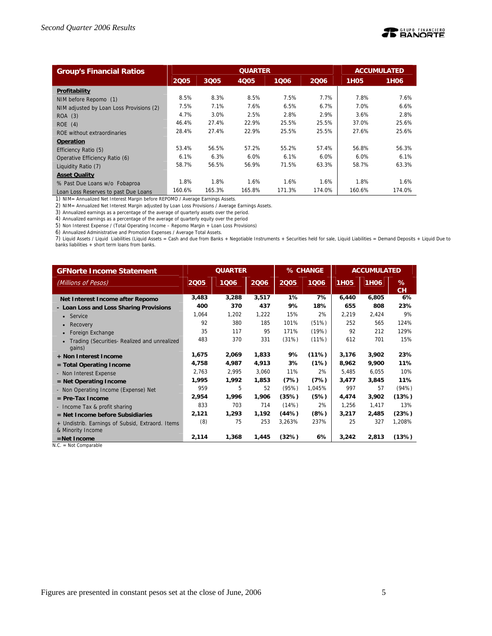

| <b>Group's Financial Ratios</b>          |        |        |             | <b>ACCUMULATED</b> |        |                  |                  |
|------------------------------------------|--------|--------|-------------|--------------------|--------|------------------|------------------|
|                                          | 2005   | 3Q05   | <b>4Q05</b> | 1006               | 2006   | 1H <sub>05</sub> | 1H <sub>06</sub> |
| Profitability                            |        |        |             |                    |        |                  |                  |
| NIM before Repomo (1)                    | 8.5%   | 8.3%   | 8.5%        | 7.5%               | 7.7%   | 7.8%             | 7.6%             |
| NIM adjusted by Loan Loss Provisions (2) | 7.5%   | 7.1%   | 7.6%        | 6.5%               | 6.7%   | 7.0%             | 6.6%             |
| ROA (3)                                  | 4.7%   | 3.0%   | 2.5%        | 2.8%               | 2.9%   | 3.6%             | 2.8%             |
| ROE(4)                                   | 46.4%  | 27.4%  | 22.9%       | 25.5%              | 25.5%  | 37.0%            | 25.6%            |
| ROE without extraordinaries              | 28.4%  | 27.4%  | 22.9%       | 25.5%              | 25.5%  | 27.6%            | 25.6%            |
| Operation                                |        |        |             |                    |        |                  |                  |
| Efficiency Ratio (5)                     | 53.4%  | 56.5%  | 57.2%       | 55.2%              | 57.4%  | 56.8%            | 56.3%            |
| Operative Efficiency Ratio (6)           | 6.1%   | 6.3%   | 6.0%        | 6.1%               | 6.0%   | 6.0%             | 6.1%             |
| Liquidity Ratio (7)                      | 58.7%  | 56.5%  | 56.9%       | 71.5%              | 63.3%  | 58.7%            | 63.3%            |
| <b>Asset Quality</b>                     |        |        |             |                    |        |                  |                  |
| % Past Due Loans w/o Fobaproa            | 1.8%   | 1.8%   | 1.6%        | 1.6%               | 1.6%   | 1.8%             | 1.6%             |
| Loan Loss Reserves to past Due Loans     | 160.6% | 165.3% | 165.8%      | 171.3%             | 174.0% | 160.6%           | 174.0%           |

1) NIM= Annualized Net Interest Margin before REPOMO / Average Earnings Assets.

2) NIM= Annualized Net Interest Margin adjusted by Loan Loss Provisions / Average Earnings Assets.

3) Annualized earnings as a percentage of the average of quarterly assets over the period.

4) Annualized earnings as a percentage of the average of quarterly equity over the period

5) Non Interest Expense / (Total Operating Income – Repomo Margin + Loan Loss Provisions)

6) Annualized Administrative and Promotion Expenses / Average Total Assets.

7) Liquid Assets / Liquid Liabilities (Liquid Assets = Cash and due from Banks + Negotiable Instruments + Securities held for sale, Liquid Liabilities = Demand Deposits + Liquid Due to<br>banks liabilities + short term loans

| <b>GFNorte Income Statement</b>                        | <b>QUARTER</b> |       | % CHANGE |        | <b>ACCUMULATED</b> |             |             |         |
|--------------------------------------------------------|----------------|-------|----------|--------|--------------------|-------------|-------------|---------|
| (Millions of Pesos)                                    | 2005           | 1006  | 2006     | 2005   | 1006               | <b>1H05</b> | <b>1H06</b> | %<br>CH |
| Net Interest Income after Repomo                       | 3,483          | 3,288 | 3,517    | 1%     | 7%                 | 6,440       | 6,805       | 6%      |
| - Loan Loss and Loss Sharing Provisions                | 400            | 370   | 437      | 9%     | 18%                | 655         | 808         | 23%     |
| $\bullet$ Service                                      | 1,064          | 1,202 | 1,222    | 15%    | 2%                 | 2,219       | 2,424       | 9%      |
| Recovery                                               | 92             | 380   | 185      | 101%   | (51%)              | 252         | 565         | 124%    |
| Foreign Exchange                                       | 35             | 117   | 95       | 171%   | (19%)              | 92          | 212         | 129%    |
| Trading (Securities- Realized and unrealized<br>qains) | 483            | 370   | 331      | (31%)  | (11%)              | 612         | 701         | 15%     |
| + Non Interest Income                                  | 1,675          | 2,069 | 1,833    | 9%     | (11%)              | 3,176       | 3,902       | 23%     |
| $=$ Total Operating Income                             | 4,758          | 4,987 | 4,913    | 3%     | (1%)               | 8,962       | 9,900       | 11%     |
| - Non Interest Expense                                 | 2,763          | 2,995 | 3,060    | 11%    | 2%                 | 5,485       | 6,055       | 10%     |
| $=$ Net Operating Income                               | 1,995          | 1,992 | 1,853    | (7%)   | (7%)               | 3,477       | 3,845       | 11%     |
| - Non Operating Income (Expense) Net                   | 959            | 5     | 52       | (95%)  | 1,045%             | 997         | 57          | (94%)   |
| $=$ Pre-Tax Income                                     | 2,954          | 1,996 | 1,906    | (35%)  | (5%)               | 4,474       | 3,902       | (13%)   |
| - Income Tax & profit sharing                          | 833            | 703   | 714      | (14%)  | 2%                 | 1,256       | 1,417       | 13%     |
| $=$ Net Income before Subsidiaries                     | 2,121          | 1,293 | 1,192    | (44%)  | (8%)               | 3,217       | 2,485       | (23%)   |
| + Undistrib. Earnings of Subsid, Extraord. Items       | (8)            | 75    | 253      | 3,263% | 237%               | 25          | 327         | 1,208%  |
| & Minority Income                                      |                |       |          |        |                    |             |             |         |
| $=$ Net Income                                         | 2,114          | 1,368 | 1,445    | (32%)  | 6%                 | 3,242       | 2,813       | (13%)   |

N.C. = Not Comparable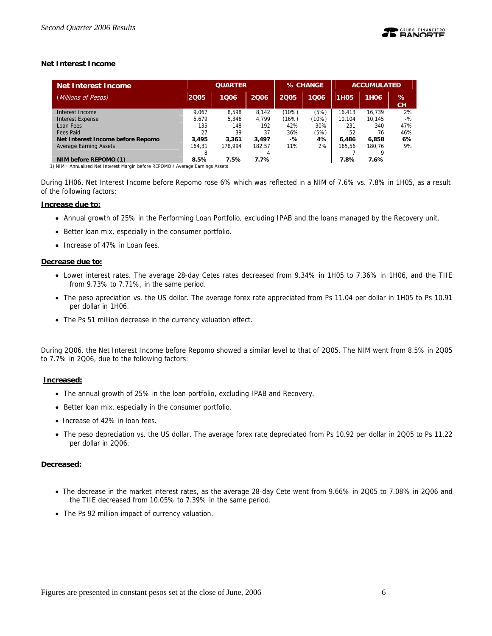## **Net Interest Income**

| <b>Net Interest Income</b>        | <b>QUARTER</b> |         |        |       | % CHANGE | <b>ACCUMULATED</b> |                  |         |
|-----------------------------------|----------------|---------|--------|-------|----------|--------------------|------------------|---------|
| (Millions of Pesos)               | 2005           | 1006    | 2006   | 2005  | 1006     | <b>1H05</b>        | 1H <sub>06</sub> | %<br>CН |
| Interest Income                   | 9.067          | 8.598   | 8.142  | (10%) | (5%)     | 16.413             | 16.739           | 2%      |
| <b>Interest Expense</b>           | 5.679          | 5.346   | 4.799  | (16%) | (10%)    | 10.104             | 10.145           | $-$ %   |
| Loan Fees                         | 135            | 148     | 192    | 42%   | 30%      | 231                | 340              | 47%     |
| Fees Paid                         | 27             | 39      | 37     | 36%   | (5%)     | 52                 | 76               | 46%     |
| Net Interest Income before Repomo | 3.495          | 3,361   | 3.497  | -%    | 4%       | 6.486              | 6,858            | 6%      |
| <b>Average Earning Assets</b>     | 164.31         | 178.994 | 182.57 | 11%   | 2%       | 165.56             | 180.76           | 9%      |
|                                   |                |         | 4      |       |          |                    |                  |         |
| NIM before REPOMO (1)             | 8.5%           | 7.5%    | 7.7%   |       |          | 7.8%               | 7.6%             |         |

1) NIM= Annualized Net Interest Margin before REPOMO / Average Earnings Assets

During 1H06, Net Interest Income before Repomo rose 6% which was reflected in a NIM of 7.6% vs. 7.8% in 1H05, as a result of the following factors:

#### **Increase due to:**

- Annual growth of 25% in the Performing Loan Portfolio, excluding IPAB and the loans managed by the Recovery unit.
- Better loan mix, especially in the consumer portfolio.
- Increase of 47% in Loan fees.

#### **Decrease due to:**

- Lower interest rates. The average 28-day Cetes rates decreased from 9.34% in 1H05 to 7.36% in 1H06, and the TIIE from 9.73% to 7.71%, in the same period.
- The peso apreciation vs. the US dollar. The average forex rate appreciated from Ps 11.04 per dollar in 1H05 to Ps 10.91 per dollar in 1H06.
- The Ps 51 million decrease in the currency valuation effect.

During 2Q06, the Net Interest Income before Repomo showed a similar level to that of 2Q05. The NIM went from 8.5% in 2Q05 to 7.7% in 2Q06, due to the following factors:

#### **Increased:**

- The annual growth of 25% in the loan portfolio, excluding IPAB and Recovery.
- Better loan mix, especially in the consumer portfolio.
- Increase of 42% in loan fees.
- The peso depreciation vs. the US dollar. The average forex rate depreciated from Ps 10.92 per dollar in 2Q05 to Ps 11.22 per dollar in 2Q06.

## **Decreased:**

- The decrease in the market interest rates, as the average 28-day Cete went from 9.66% in 2Q05 to 7.08% in 2Q06 and the TIIE decreased from 10.05% to 7.39% in the same period.
- The Ps 92 million impact of currency valuation.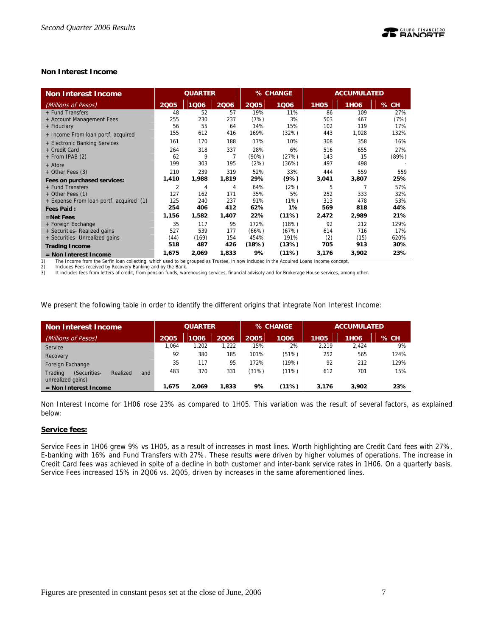## **Non Interest Income**

| <b>Non Interest Income</b>              | <b>QUARTER</b> |       | % CHANGE |          |       | <b>ACCUMULATED</b> |                  |       |
|-----------------------------------------|----------------|-------|----------|----------|-------|--------------------|------------------|-------|
| (Millions of Pesos)                     | 2005           | 1006  | 2006     | 2005     | 1006  | <b>1H05</b>        | 1H <sub>06</sub> | % CH  |
| + Fund Transfers                        | 48             | 52    | 57       | 19%      | 11%   | 86                 | 109              | 27%   |
| + Account Management Fees               | 255            | 230   | 237      | (7%)     | 3%    | 503                | 467              | (7%)  |
| + Fiduciary                             | 56             | 55    | 64       | 14%      | 15%   | 102                | 119              | 17%   |
| + Income From loan portf. acquired      | 155            | 612   | 416      | 169%     | (32%) | 443                | 1,028            | 132%  |
| + Electronic Banking Services           | 161            | 170   | 188      | 17%      | 10%   | 308                | 358              | 16%   |
| + Credit Card                           | 264            | 318   | 337      | 28%      | 6%    | 516                | 655              | 27%   |
| + From IPAB (2)                         | 62             | 9     | 7        | $(90\%)$ | (27%) | 143                | 15               | (89%) |
| + Afore                                 | 199            | 303   | 195      | (2%)     | (36%) | 497                | 498              |       |
| + Other Fees (3)                        | 210            | 239   | 319      | 52%      | 33%   | 444                | 559              | 559   |
| Fees on purchased services:             | 1,410          | 1,988 | 1,819    | 29%      | (9%)  | 3,041              | 3,807            | 25%   |
| + Fund Transfers                        | 2              | 4     | 4        | 64%      | (2%)  | 5                  |                  | 57%   |
| + Other Fees (1)                        | 127            | 162   | 171      | 35%      | 5%    | 252                | 333              | 32%   |
| + Expense From loan portf. acquired (1) | 125            | 240   | 237      | 91%      | (1%)  | 313                | 478              | 53%   |
| <b>Fees Paid:</b>                       | 254            | 406   | 412      | 62%      | 1%    | 569                | 818              | 44%   |
| $=$ Net Fees                            | 1,156          | 1,582 | 1,407    | 22%      | (11%) | 2,472              | 2,989            | 21%   |
| + Foreign Exchange                      | 35             | 117   | 95       | 172%     | (18%) | 92                 | 212              | 129%  |
| + Securities- Realized gains            | 527            | 539   | 177      | (66%)    | (67%) | 614                | 716              | 17%   |
| + Securities- Unrealized gains          | (44)           | (169) | 154      | 454%     | 191%  | (2)                | (15)             | 620%  |
| <b>Trading Income</b>                   | 518            | 487   | 426      | (18%)    | (13%) | 705                | 913              | 30%   |
| = Non Interest Income                   | 1,675          | 2,069 | 1,833    | 9%       | (11%) | 3,176              | 3,902            | 23%   |

1) The Income from the Serfin loan collecting, which used to be grouped as Trustee, in now included in the Acquired Loans Income concept.<br>2) Includes Fees received by Recovery Banking and by the Bank.

2) Includes Fees received by Recovery Banking and by the Bank<br>3) It includes fees from letters of credit, from pension funds, wa

It includes fees from letters of credit, from pension funds, warehousing services, financial advisoty and for Brokerage House services, among other.

We present the following table in order to identify the different origins that integrate Non Interest Income:

| <b>Non Interest Income</b>                                      | <b>QUARTER</b> |       |       | % CHANGE |       | <b>ACCUMULATED</b> |             |      |
|-----------------------------------------------------------------|----------------|-------|-------|----------|-------|--------------------|-------------|------|
| (Millions of Pesos)                                             | 2005           | 1006  | 2006  | 2005     | 1006  | <b>1H05</b>        | <b>1H06</b> | % CH |
| Service                                                         | 1.064          | 1.202 | 1,222 | 15%      | 2%    | 2.219              | 2.424       | 9%   |
| Recovery                                                        | 92             | 380   | 185   | 101%     | (51%) | 252                | 565         | 124% |
| Foreign Exchange                                                | 35             | 117   | 95    | 172%     | (19%) | 92                 | 212         | 129% |
| Trading<br>(Securities-<br>Realized<br>and<br>unrealized gains) | 483            | 370   | 331   | (31%)    | (11%) | 612                | 701         | 15%  |
| $=$ Non Interest Income                                         | 1.675          | 2.069 | .833  | 9%       | (11%) | 3.176              | 3.902       | 23%  |

Non Interest Income for 1H06 rose 23% as compared to 1H05. This variation was the result of several factors, as explained below:

#### **Service fees:**

Service Fees in 1H06 grew 9% vs 1H05, as a result of increases in most lines. Worth highlighting are Credit Card fees with 27%, E-banking with 16% and Fund Transfers with 27%. These results were driven by higher volumes of operations. The increase in Credit Card fees was achieved in spite of a decline in both customer and inter-bank service rates in 1H06. On a quarterly basis, Service Fees increased 15% in 2Q06 vs. 2Q05, driven by increases in the same aforementioned lines.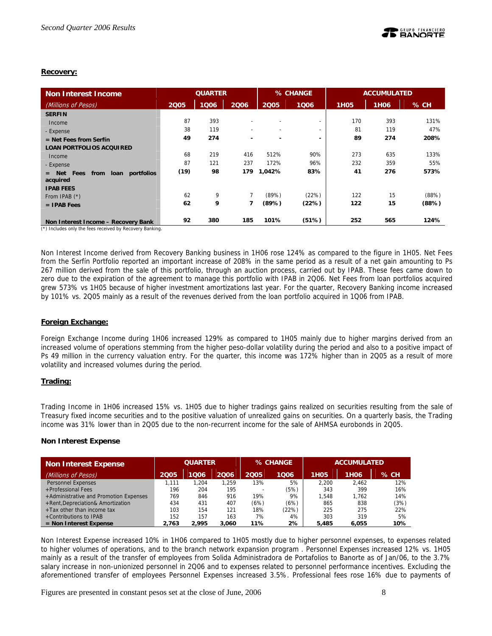## **Recovery:**

| <b>Non Interest Income</b>                                                                      | <b>QUARTER</b> |      |                          |                          | % CHANGE                 |      | <b>ACCUMULATED</b> |        |
|-------------------------------------------------------------------------------------------------|----------------|------|--------------------------|--------------------------|--------------------------|------|--------------------|--------|
| (Millions of Pesos)                                                                             | 2005           | 1Q06 | 2006                     | 2005                     | 1006                     | 1H05 | <b>1H06</b>        | $%$ CH |
| <b>SERFIN</b>                                                                                   |                |      |                          |                          |                          |      |                    |        |
| Income                                                                                          | 87             | 393  | ٠                        | $\overline{\phantom{a}}$ | $\overline{\phantom{a}}$ | 170  | 393                | 131%   |
| - Expense                                                                                       | 38             | 119  | $\overline{\phantom{0}}$ | $\overline{\phantom{a}}$ | $\overline{\phantom{0}}$ | 81   | 119                | 47%    |
| $=$ Net Fees from Serfín                                                                        | 49             | 274  | -                        | -                        | $\overline{\phantom{a}}$ | 89   | 274                | 208%   |
| <b>LOAN PORTFOLIOS ACQUIRED</b>                                                                 |                |      |                          |                          |                          |      |                    |        |
| Income                                                                                          | 68             | 219  | 416                      | 512%                     | 90%                      | 273  | 635                | 133%   |
| - Expense                                                                                       | 87             | 121  | 237                      | 172%                     | 96%                      | 232  | 359                | 55%    |
| portfolios<br>Net Fees<br>loan<br>from<br>$=$<br>acquired                                       | (19)           | 98   | 179                      | 1,042%                   | 83%                      | 41   | 276                | 573%   |
| <b>IPAB FEES</b>                                                                                |                |      |                          |                          |                          |      |                    |        |
| From IPAB $(*)$                                                                                 | 62             | 9    | 7                        | (89%)                    | (22%)                    | 122  | 15                 | (88%)  |
| $=$ IPAB Fees                                                                                   | 62             | 9    | 7                        | (89%)                    | (22%)                    | 122  | 15                 | (88%)  |
| Non Interest Income - Recovery Bank<br>(*) Includes only the fees received by Recovery Banking. | 92             | 380  | 185                      | 101%                     | (51%)                    | 252  | 565                | 124%   |

Non Interest Income derived from Recovery Banking business in 1H06 rose 124% as compared to the figure in 1H05. Net Fees from the Serfín Portfolio reported an important increase of 208% in the same period as a result of a net gain amounting to Ps 267 million derived from the sale of this portfolio, through an auction process, carried out by IPAB. These fees came down to zero due to the expiration of the agreement to manage this portfolio with IPAB in 2Q06. Net Fees from loan portfolios acquired grew 573% vs 1H05 because of higher investment amortizations last year. For the quarter, Recovery Banking income increased by 101% vs. 2Q05 mainly as a result of the revenues derived from the loan portfolio acquired in 1Q06 from IPAB.

## **Foreign Exchange:**

Foreign Exchange Income during 1H06 increased 129% as compared to 1H05 mainly due to higher margins derived from an increased volume of operations stemming from the higher peso-dollar volatility during the period and also to a positive impact of Ps 49 million in the currency valuation entry. For the quarter, this income was 172% higher than in 2Q05 as a result of more volatility and increased volumes during the period.

## **Trading:**

Trading Income in 1H06 increased 15% vs. 1H05 due to higher tradings gains realized on securities resulting from the sale of Treasury fixed income securities and to the positive valuation of unrealized gains on securities. On a quarterly basis, the Trading income was 31% lower than in 2Q05 due to the non-recurrent income for the sale of AHMSA eurobonds in 2Q05.

## **Non Interest Expense**

| <b>Non Interest Expense</b>            | <b>QUARTER</b> |       |       |      | % CHANGE | <b>ACCUMULATED</b> |                  |      |
|----------------------------------------|----------------|-------|-------|------|----------|--------------------|------------------|------|
| (Millions of Pesos)                    | 2005           | 1006  | 2006  | 2005 | 1006     | <b>1H05</b>        | 1H <sub>06</sub> | % CH |
| <b>Personnel Expenses</b>              | 1.111          | 1.204 | 1.259 | 13%  | 5%       | 2.200              | 2.462            | 12%  |
| +Professional Fees                     | 196            | 204   | 195   |      | (5%)     | 343                | 399              | 16%  |
| +Administrative and Promotion Expenses | 769            | 846   | 916   | 19%  | 9%       | 1.548              | 1.762            | 14%  |
| +Rent, Depreciation& Amortization      | 434            | 431   | 407   | (6%) | (6%)     | 865                | 838              | (3%) |
| +Tax other than income tax             | 103            | 154   | 121   | 18%  | (22%)    | 225                | 275              | 22%  |
| +Contributions to IPAB                 | 152            | 157   | 163   | 7%   | 4%       | 303                | 319              | 5%   |
| $=$ Non Interest Expense               | 2.763          | 2.995 | 3.060 | 11%  | 2%       | 5.485              | 6.055            | 10%  |

Non Interest Expense increased 10% in 1H06 compared to 1H05 mostly due to higher personnel expenses, to expenses related to higher volumes of operations, and to the branch network expansion program . Personnel Expenses increased 12% vs. 1H05 mainly as a result of the transfer of employees from Solida Administradora de Portafolios to Banorte as of Jan/06, to the 3.7% salary increase in non-unionized personnel in 2Q06 and to expenses related to personnel performance incentives. Excluding the aforementioned transfer of employees Personnel Expenses increased 3.5%. Professional fees rose 16% due to payments of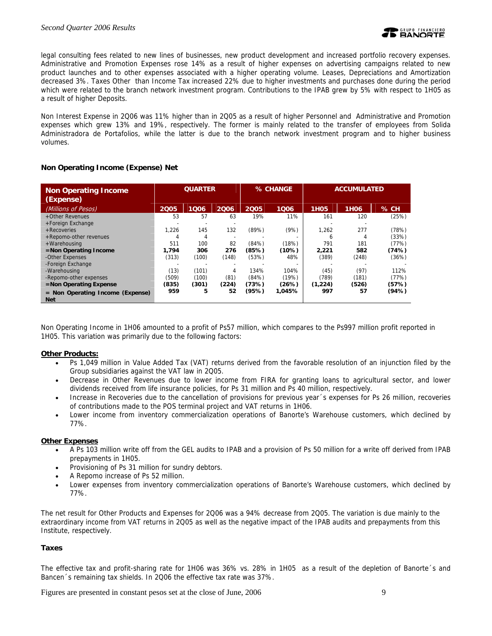legal consulting fees related to new lines of businesses, new product development and increased portfolio recovery expenses. Administrative and Promotion Expenses rose 14% as a result of higher expenses on advertising campaigns related to new product launches and to other expenses associated with a higher operating volume. Leases, Depreciations and Amortization decreased 3%. Taxes Other than Income Tax increased 22% due to higher investments and purchases done during the period which were related to the branch network investment program. Contributions to the IPAB grew by 5% with respect to 1H05 as a result of higher Deposits.

Non Interest Expense in 2Q06 was 11% higher than in 2Q05 as a result of higher Personnel and Administrative and Promotion expenses which grew 13% and 19%, respectively. The former is mainly related to the transfer of employees from Solida Administradora de Portafolios, while the latter is due to the branch network investment program and to higher business volumes.

## **Non Operating Income (Expense) Net**

| <b>Non Operating Income</b><br>(Expense) | <b>QUARTER</b> |       |       | % CHANGE |        | <b>ACCUMULATED</b> |                  |        |
|------------------------------------------|----------------|-------|-------|----------|--------|--------------------|------------------|--------|
| (Millions of Pesos)                      | 2005           | 1006  | 2006  | 2005     | 1006   | <b>1H05</b>        | 1H <sub>06</sub> | $%$ CH |
| +Other Revenues                          | 53             | 57    | 63    | 19%      | 11%    | 161                | 120              | (25%)  |
| +Foreign Exchange                        |                |       |       |          |        |                    |                  |        |
| + Recoveries                             | 1.226          | 145   | 132   | (89%)    | (9%)   | 1,262              | 277              | (78%)  |
| +Repomo-other revenues                   | 4              | 4     |       |          |        | 6                  | 4                | (33%)  |
| +Warehousing                             | 511            | 100   | 82    | (84%)    | (18%)  | 791                | 181              | (77%)  |
| =Non Operating Income                    | 1.794          | 306   | 276   | (85%)    | (10%)  | 2,221              | 582              | (74%)  |
| -Other Expenses                          | (313)          | (100) | (148) | (53%)    | 48%    | (389)              | (248)            | (36%)  |
| -Foreign Exchange                        |                |       |       |          |        |                    |                  |        |
| -Warehousing                             | (13)           | (101) | 4     | 134%     | 104%   | (45)               | (97)             | 112%   |
| -Repomo-other expenses                   | (509)          | (100) | (81)  | (84%)    | (19%)  | (789)              | (181)            | (77%)  |
| $=$ Non Operating Expense                | (835)          | (301) | (224) | (73%)    | (26%)  | (1,224)            | (526)            | (57%)  |
| $=$ Non Operating Income (Expense)       | 959            | 5     | 52    | (95%)    | 1,045% | 997                | 57               | (94%)  |
| <b>Net</b>                               |                |       |       |          |        |                    |                  |        |

Non Operating Income in 1H06 amounted to a profit of Ps57 million, which compares to the Ps997 million profit reported in 1H05. This variation was primarily due to the following factors:

## **Other Products:**

- Ps 1,049 million in Value Added Tax (VAT) returns derived from the favorable resolution of an injunction filed by the Group subsidiaries against the VAT law in 2Q05.
- Decrease in Other Revenues due to lower income from FIRA for granting loans to agricultural sector, and lower dividends received from life insurance policies, for Ps 31 million and Ps 40 million, respectively.
- Increase in Recoveries due to the cancellation of provisions for previous year´s expenses for Ps 26 million, recoveries of contributions made to the POS terminal project and VAT returns in 1H06.
- Lower income from inventory commercialization operations of Banorte's Warehouse customers, which declined by 77%.

#### **Other Expenses**

- A Ps 103 million write off from the GEL audits to IPAB and a provision of Ps 50 million for a write off derived from IPAB prepayments in 1H05.
- Provisioning of Ps 31 million for sundry debtors.
- A Repomo increase of Ps 52 million.
- Lower expenses from inventory commercialization operations of Banorte's Warehouse customers, which declined by 77%.

The net result for Other Products and Expenses for 2Q06 was a 94% decrease from 2Q05. The variation is due mainly to the extraordinary income from VAT returns in 2Q05 as well as the negative impact of the IPAB audits and prepayments from this Institute, respectively.

## **Taxes**

The effective tax and profit-sharing rate for 1H06 was 36% vs. 28% in 1H05 as a result of the depletion of Banorte´s and Bancen´s remaining tax shields. In 2Q06 the effective tax rate was 37%.

Figures are presented in constant pesos set at the close of June, 2006 9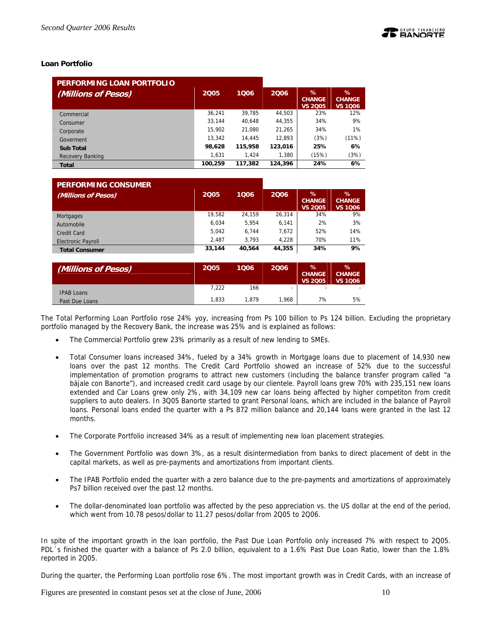## **Loan Portfolio**

| PERFORMING LOAN PORTFOLIO |         |         |         |                                      |                                      |
|---------------------------|---------|---------|---------|--------------------------------------|--------------------------------------|
| (Millions of Pesos)       | 2005    | 1006    | 2006    | %<br><b>CHANGE</b><br><b>VS 2005</b> | %<br><b>CHANGE</b><br><b>VS 1Q06</b> |
| Commercial                | 36.241  | 39.785  | 44,503  | 23%                                  | 12%                                  |
| Consumer                  | 33.144  | 40.648  | 44.355  | 34%                                  | 9%                                   |
| Corporate                 | 15.902  | 21.080  | 21,265  | 34%                                  | 1%                                   |
| Goverment                 | 13.342  | 14.445  | 12.893  | (3%)                                 | (11%)                                |
| <b>Sub Total</b>          | 98,628  | 115,958 | 123,016 | 25%                                  | 6%                                   |
| Recovery Banking          | 1,631   | 1.424   | 1.380   | (15%)                                | (3%)                                 |
| <b>Total</b>              | 100,259 | 117,382 | 124,396 | 24%                                  | 6%                                   |

| <b>PERFORMING CONSUMER</b> |        |        |        |                                      |                                      |
|----------------------------|--------|--------|--------|--------------------------------------|--------------------------------------|
| (Millions of Pesos)        | 2005   | 1006   | 2006   | %<br><b>CHANGE</b><br><b>VS 2005</b> | ℅<br><b>CHANGE</b><br><b>VS 1006</b> |
| Mortgages                  | 19.582 | 24.159 | 26.314 | 34%                                  | 9%                                   |
| Automobile                 | 6.034  | 5.954  | 6,141  | 2%                                   | 3%                                   |
| Credit Card                | 5.042  | 6.744  | 7,672  | 52%                                  | 14%                                  |
| <b>Electronic Payroll</b>  | 2.487  | 3.793  | 4.228  | 70%                                  | 11%                                  |
| <b>Total Consumer</b>      | 33,144 | 40.564 | 44,355 | 34%                                  | 9%                                   |

| (Millions of Pesos) | 2005  | 1006  | 2006                     | %<br><b>CHANGE</b><br><b>VS 2005</b> | $\%$<br><b>CHANGE</b><br><b>VS 1006</b> |
|---------------------|-------|-------|--------------------------|--------------------------------------|-----------------------------------------|
| <b>IPAB Loans</b>   | 7,222 | 166   | $\overline{\phantom{0}}$ | $\overline{\phantom{a}}$             |                                         |
| Past Due Loans      | 1.833 | 1.879 | 1.968                    | 7%                                   | 5%                                      |

The Total Performing Loan Portfolio rose 24% yoy, increasing from Ps 100 billion to Ps 124 billion. Excluding the proprietary portfolio managed by the Recovery Bank, the increase was 25% and is explained as follows:

- The Commercial Portfolio grew 23% primarily as a result of new lending to SMEs.
- Total Consumer loans increased 34%, fueled by a 34% growth in Mortgage loans due to placement of 14,930 new loans over the past 12 months. The Credit Card Portfolio showed an increase of 52% due to the successful implementation of promotion programs to attract new customers (including the balance transfer program called "a bájale con Banorte"), and increased credit card usage by our clientele. Payroll loans grew 70% with 235,151 new loans extended and Car Loans grew only 2%, with 34,109 new car loans being affected by higher competiton from credit suppliers to auto dealers. In 3Q05 Banorte started to grant Personal loans, which are included in the balance of Payroll loans. Personal loans ended the quarter with a Ps 872 million balance and 20,144 loans were granted in the last 12 months.
- The Corporate Portfolio increased 34% as a result of implementing new loan placement strategies.
- The Government Portfolio was down 3%, as a result disintermediation from banks to direct placement of debt in the capital markets, as well as pre-payments and amortizations from important clients.
- The IPAB Portfolio ended the quarter with a zero balance due to the pre-payments and amortizations of approximately Ps7 billion received over the past 12 months.
- The dollar-denominated loan portfolio was affected by the peso appreciation vs. the US dollar at the end of the period, which went from 10.78 pesos/dollar to 11.27 pesos/dollar from 2Q05 to 2Q06.

In spite of the important growth in the loan portfolio, the Past Due Loan Portfolio only increased 7% with respect to 2Q05. PDL´s finished the quarter with a balance of Ps 2.0 billion, equivalent to a 1.6% Past Due Loan Ratio, lower than the 1.8% reported in 2Q05.

During the quarter, the Performing Loan portfolio rose 6%. The most important growth was in Credit Cards, with an increase of

Figures are presented in constant pesos set at the close of June, 2006 10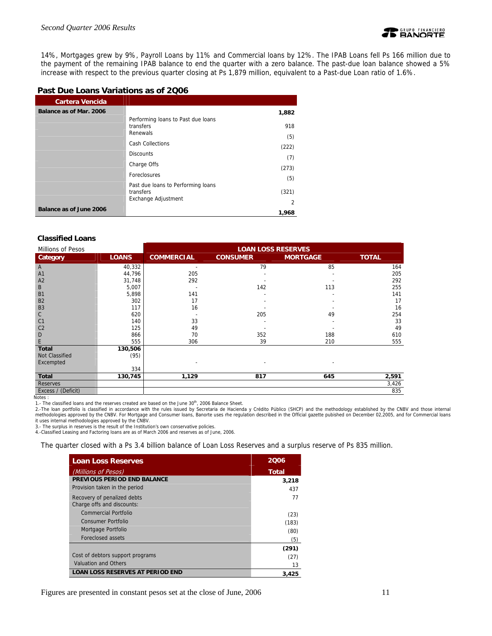

14%, Mortgages grew by 9%, Payroll Loans by 11% and Commercial loans by 12%. The IPAB Loans fell Ps 166 million due to the payment of the remaining IPAB balance to end the quarter with a zero balance. The past-due loan balance showed a 5% increase with respect to the previous quarter closing at Ps 1,879 million, equivalent to a Past-due Loan ratio of 1.6%.

## **Past Due Loans Variations as of 2Q06**

| <b>Cartera Vencida</b>         |                                                                        |              |
|--------------------------------|------------------------------------------------------------------------|--------------|
| Balance as of Mar. 2006        |                                                                        | 1,882        |
|                                | Performing loans to Past due loans<br>transfers<br>Renewals            | 918          |
|                                | <b>Cash Collections</b>                                                | (5)          |
|                                | <b>Discounts</b>                                                       | (222)<br>(7) |
|                                | Charge Offs                                                            | (273)        |
|                                | <b>Foreclosures</b>                                                    | (5)          |
|                                | Past due loans to Performing loans<br>transfers<br>Exchange Adjustment | (321)        |
|                                |                                                                        | 2            |
| <b>Balance as of June 2006</b> |                                                                        | 1.968        |

#### **Classified Loans**

| Millions of Pesos  |              | <b>LOAN LOSS RESERVES</b> |                 |                 |              |  |
|--------------------|--------------|---------------------------|-----------------|-----------------|--------------|--|
| Category           | <b>LOANS</b> | <b>COMMERCIAL</b>         | <b>CONSUMER</b> | <b>MORTGAGE</b> | <b>TOTAL</b> |  |
| A                  | 40,332       |                           | 79              | 85              | 164          |  |
| A1                 | 44,796       | 205                       |                 |                 | 205          |  |
| A2                 | 31,748       | 292                       |                 |                 | 292          |  |
| B                  | 5,007        |                           | 142             | 113             | 255          |  |
| B <sub>1</sub>     | 5,898        | 141                       |                 |                 | 141          |  |
| B <sub>2</sub>     | 302          | 17                        |                 |                 | 17           |  |
| B <sub>3</sub>     | 117          | 16                        |                 |                 | 16           |  |
| С                  | 620          | $\overline{\phantom{a}}$  | 205             | 49              | 254          |  |
| C <sub>1</sub>     | 140          | 33                        |                 |                 | 33           |  |
| C <sub>2</sub>     | 125          | 49                        |                 |                 | 49           |  |
| D                  | 866          | 70                        | 352             | 188             | 610          |  |
| E                  | 555          | 306                       | 39              | 210             | 555          |  |
| <b>Total</b>       | 130,506      |                           |                 |                 |              |  |
| Not Classified     | (95)         |                           |                 |                 |              |  |
| Excempted          |              | $\overline{a}$            |                 |                 |              |  |
|                    | 334          |                           |                 |                 |              |  |
| <b>Total</b>       | 130,745      | 1,129                     | 817             | 645             | 2,591        |  |
| Reserves           |              |                           |                 |                 | 3,426        |  |
| Excess / (Deficit) |              |                           |                 |                 | 835          |  |

Notes :

1.- The classified loans and the reserves created are based on the June 30<sup>th</sup>, 2006 Balance Sheet.<br>2.-The loan portfolio is classified in accordance with the rules issued by Secretaria de Hacienda y Crédito Público (SHCP) methodologies approved by the CNBV. For Mortgage and Consumer loans, Banorte uses rhe regulation described in the Official gazette pubished on December 02,2005, and for Commercial loans it uses internal methodologies approved by the CNBV. 3.- The surplus in reserves is the result of the Institution's own conservative policies.

4.-Classified Leasing and Factoring loans are as of March 2006 and reserves as of June, 2006.

The quarter closed with a Ps 3.4 billion balance of Loan Loss Reserves and a surplus reserve of Ps 835 million.

| <b>Loan Loss Reserves</b>                                 | 2006         |
|-----------------------------------------------------------|--------------|
| (Millions of Pesos)                                       | <b>Total</b> |
| PREVIOUS PERIOD END BALANCE                               | 3,218        |
| Provision taken in the period                             | 437          |
| Recovery of penalized debts<br>Charge offs and discounts: | 77           |
| Commercial Portfolio                                      | (23)         |
| Consumer Portfolio                                        | (183)        |
| Mortgage Portfolio                                        | (80)         |
| Foreclosed assets                                         | (5)          |
|                                                           | (291)        |
| Cost of debtors support programs                          | (27)         |
| <b>Valuation and Others</b>                               | 13           |
| <b>LOAN LOSS RESERVES AT PERIOD END</b>                   | 3,425        |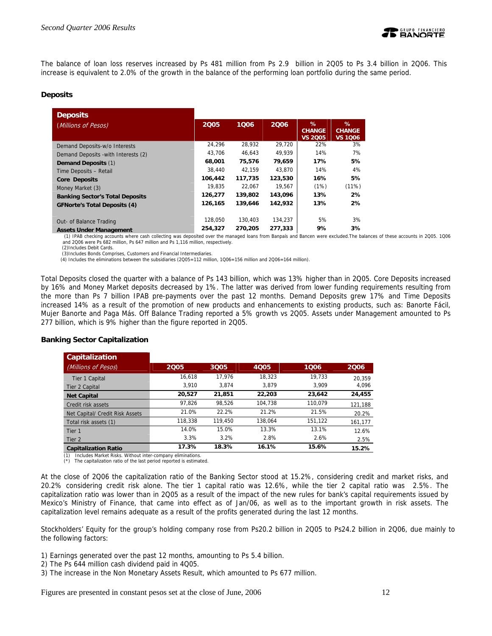

The balance of loan loss reserves increased by Ps 481 million from Ps 2.9 billion in 2Q05 to Ps 3.4 billion in 2Q06. This increase is equivalent to 2.0% of the growth in the balance of the performing loan portfolio during the same period.

## **Deposits**

| <b>Deposits</b>                        |         |         |         |                                      |                                      |
|----------------------------------------|---------|---------|---------|--------------------------------------|--------------------------------------|
| (Millions of Pesos)                    | 2005    | 1006    | 2006    | %<br><b>CHANGE</b><br><b>VS 2005</b> | %<br><b>CHANGE</b><br><b>VS 1006</b> |
| Demand Deposits-w/o Interests          | 24.296  | 28.932  | 29.720  | 22%                                  | 3%                                   |
| Demand Deposits - with Interests (2)   | 43,706  | 46.643  | 49.939  | 14%                                  | 7%                                   |
| Demand Deposits (1)                    | 68,001  | 75,576  | 79,659  | 17%                                  | 5%                                   |
| Time Deposits - Retail                 | 38,440  | 42.159  | 43.870  | 14%                                  | 4%                                   |
| <b>Core Deposits</b>                   | 106,442 | 117,735 | 123,530 | 16%                                  | 5%                                   |
| Money Market (3)                       | 19.835  | 22.067  | 19.567  | (1%)                                 | (11%)                                |
| <b>Banking Sector's Total Deposits</b> | 126,277 | 139,802 | 143,096 | 13%                                  | 2%                                   |
| <b>GFNorte's Total Deposits (4)</b>    | 126.165 | 139,646 | 142,932 | 13%                                  | 2%                                   |
| Out- of Balance Trading                | 128.050 | 130.403 | 134.237 | 5%                                   | 3%                                   |
| <b>Assets Under Management</b>         | 254,327 | 270,205 | 277,333 | 9%                                   | 3%                                   |

 (1) IPAB checking accounts where cash collecting was deposited over the managed loans from Banpaís and Bancen were excluded.The balances of these accounts in 2Q05. 1Q06 and 2Q06 were Ps 682 million, Ps 647 million and Ps 1,116 million, respectively. (2)Includes Debit Cards.

(3)Includes Bonds Comprises, Customers and Financial Intermediaries.

(4) Includes the eliminations between the subsidiaries (2Q05=112 million, 1Q06=156 million and 2Q06=164 million).

Total Deposits closed the quarter with a balance of Ps 143 billion, which was 13% higher than in 2Q05. Core Deposits increased by 16% and Money Market deposits decreased by 1%. The latter was derived from lower funding requirements resulting from the more than Ps 7 billion IPAB pre-payments over the past 12 months. Demand Deposits grew 17% and Time Deposits increased 14% as a result of the promotion of new products and enhancements to existing products, such as: Banorte Fácil, Mujer Banorte and Paga Más. Off Balance Trading reported a 5% growth vs 2Q05. Assets under Management amounted to Ps 277 billion, which is 9% higher than the figure reported in 2Q05.

| <b>Capitalization</b>           |         |         |         |         |         |
|---------------------------------|---------|---------|---------|---------|---------|
| (Millions of Pesos)             | 2005    | 3Q05    | 4005    | 1006    | 2006    |
| Tier 1 Capital                  | 16.618  | 17.976  | 18,323  | 19.733  | 20.359  |
| Tier 2 Capital                  | 3.910   | 3.874   | 3.879   | 3.909   | 4.096   |
| <b>Net Capital</b>              | 20,527  | 21.851  | 22,203  | 23,642  | 24,455  |
| Credit risk assets              | 97.826  | 98.526  | 104.738 | 110.079 | 121,188 |
| Net Capital/ Credit Risk Assets | 21.0%   | 22.2%   | 21.2%   | 21.5%   | 20.2%   |
| Total risk assets (1)           | 118,338 | 119,450 | 138.064 | 151,122 | 161,177 |
| Tier 1                          | 14.0%   | 15.0%   | 13.3%   | 13.1%   | 12.6%   |
| Tier 2                          | 3.3%    | 3.2%    | 2.8%    | 2.6%    | 2.5%    |
| <b>Capitalization Ratio</b>     | 17.3%   | 18.3%   | 16.1%   | 15.6%   | 15.2%   |

#### **Banking Sector Capitalization**

(1) Includes Market Risks. Without inter-company eliminations.

(\*) The capitalization ratio of the last period reported is estimated.

At the close of 2Q06 the capitalization ratio of the Banking Sector stood at 15.2%, considering credit and market risks, and 20.2% considering credit risk alone. The tier 1 capital ratio was 12.6%, while the tier 2 capital ratio was 2.5%. The capitalization ratio was lower than in 2Q05 as a result of the impact of the new rules for bank's capital requirements issued by Mexico's Ministry of Finance, that came into effect as of Jan/06, as well as to the important growth in risk assets. The capitalization level remains adequate as a result of the profits generated during the last 12 months.

Stockholders' Equity for the group's holding company rose from Ps20.2 billion in 2Q05 to Ps24.2 billion in 2Q06, due mainly to the following factors:

- 1) Earnings generated over the past 12 months, amounting to Ps 5.4 billion.
- 2) The Ps 644 million cash dividend paid in 4Q05.
- 3) The increase in the Non Monetary Assets Result, which amounted to Ps 677 million.

Figures are presented in constant pesos set at the close of June, 2006 12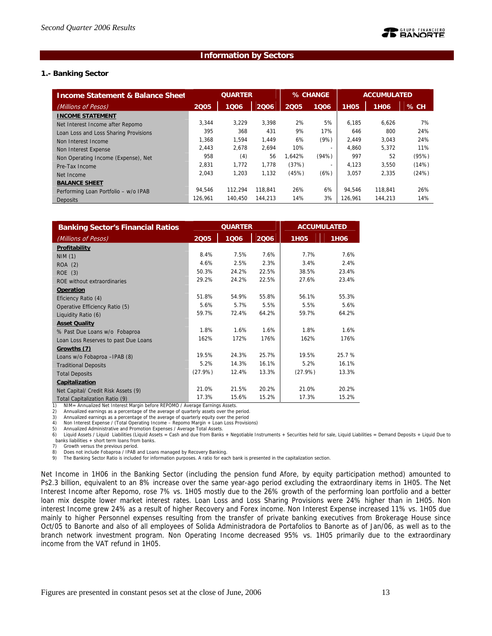## **Information by Sectors**

## **1.- Banking Sector**

| <b>Income Statement &amp; Balance Sheet</b> | <b>QUARTER</b> |         | % CHANGE |        | <b>ACCUMULATED</b>       |             |                  |        |
|---------------------------------------------|----------------|---------|----------|--------|--------------------------|-------------|------------------|--------|
| (Millions of Pesos)                         | 2005           | 1006    | 2006     | 2005   | 1006                     | <b>1H05</b> | 1H <sub>06</sub> | $%$ CH |
| <b>INCOME STATEMENT</b>                     |                |         |          |        |                          |             |                  |        |
| Net Interest Income after Repomo            | 3.344          | 3.229   | 3.398    | 2%     | 5%                       | 6.185       | 6,626            | 7%     |
| Loan Loss and Loss Sharing Provisions       | 395            | 368     | 431      | 9%     | 17%                      | 646         | 800              | 24%    |
| Non Interest Income                         | 1.368          | 1.594   | 1.449    | 6%     | (9%)                     | 2.449       | 3.043            | 24%    |
| Non Interest Expense                        | 2,443          | 2,678   | 2,694    | 10%    | $\overline{\phantom{a}}$ | 4.860       | 5.372            | 11%    |
| Non Operating Income (Expense), Net         | 958            | (4)     | 56       | 1.642% | (94% )                   | 997         | 52               | (95%)  |
| Pre-Tax Income                              | 2.831          | 1.772   | 1.778    | (37%)  | $\overline{\phantom{a}}$ | 4.123       | 3,550            | (14%)  |
| Net Income                                  | 2.043          | 1,203   | 1,132    | (45%)  | (6%)                     | 3,057       | 2,335            | (24%)  |
| <b>BALANCE SHEET</b>                        |                |         |          |        |                          |             |                  |        |
| Performing Loan Portfolio - w/o IPAB        | 94.546         | 112.294 | 118.841  | 26%    | 6%                       | 94.546      | 118.841          | 26%    |
| Deposits                                    | 126.961        | 140.450 | 144.213  | 14%    | 3%                       | 126.961     | 144,213          | 14%    |

| <b>Banking Sector's Financial Ratios</b> | <b>QUARTER</b> |       |       | <b>ACCUMULATED</b> |                  |  |
|------------------------------------------|----------------|-------|-------|--------------------|------------------|--|
| (Millions of Pesos)                      | 2005           | 1006  | 2006  | <b>1H05</b>        | 1H <sub>06</sub> |  |
| Profitability                            |                |       |       |                    |                  |  |
| <b>NIM (1)</b>                           | 8.4%           | 7.5%  | 7.6%  | 7.7%               | 7.6%             |  |
| ROA (2)                                  | 4.6%           | 2.5%  | 2.3%  | 3.4%               | 2.4%             |  |
| ROE (3)                                  | 50.3%          | 24.2% | 22.5% | 38.5%              | 23.4%            |  |
| ROE without extraordinaries              | 29.2%          | 24.2% | 22.5% | 27.6%              | 23.4%            |  |
| Operation                                |                |       |       |                    |                  |  |
| Eficiency Ratio (4)                      | 51.8%          | 54.9% | 55.8% | 56.1%              | 55.3%            |  |
| Operative Efficiency Ratio (5)           | 5.6%           | 5.7%  | 5.5%  | 5.5%               | 5.6%             |  |
| Liquidity Ratio (6)                      | 59.7%          | 72.4% | 64.2% | 59.7%              | 64.2%            |  |
| <b>Asset Quality</b>                     |                |       |       |                    |                  |  |
| % Past Due Loans w/o Fobaproa            | 1.8%           | 1.6%  | 1.6%  | 1.8%               | 1.6%             |  |
| Loan Loss Reserves to past Due Loans     | 162%           | 172%  | 176%  | 162%               | 176%             |  |
| Growths (7)                              |                |       |       |                    |                  |  |
| Loans w/o Fobaproa -IPAB (8)             | 19.5%          | 24.3% | 25.7% | 19.5%              | 25.7 %           |  |
| <b>Traditional Deposits</b>              | 5.2%           | 14.3% | 16.1% | 5.2%               | 16.1%            |  |
| <b>Total Deposits</b>                    | $(27.9\%)$     | 12.4% | 13.3% | (27.9%)            | 13.3%            |  |
| Capitalization                           |                |       |       |                    |                  |  |
| Net Capital/ Credit Risk Assets (9)      | 21.0%          | 21.5% | 20.2% | 21.0%              | 20.2%            |  |
| Total Capitalization Ratio (9)           | 17.3%          | 15.6% | 15.2% | 17.3%              | 15.2%            |  |

1) NIM= Annualized Net Interest Margin before REPOMO / Average Earnings Assets.<br>2) Annualized earnings as a percentage of the average of guarterly assets over the r

Annualized earnings as a percentage of the average of quarterly assets over the period.

3) Annualized earnings as a percentage of the average of quarterly equity over the period 4) Non Interest Expense / (Total Operating Income – Repomo Margin + Loan Loss Provisions)

5) Annualized Administrative and Promotion Expenses / Average Total Assets.

6) Liquid Assets / Liquid Liabilities (Liquid Assets = Cash and due from Banks + Negotiable Instruments + Securities held for sale, Liquid Liabilities = Demand Deposits + Liquid Due to banks liabilities + short term loans from banks.

7) Growth versus the previous period.

8) Does not include Fobaproa / IPAB and Loans managed by Recovery Banking.<br>9) The Banking Sector Ratio is included for information purposes. A ratio for each bank is presented in the capitalization section.

Net Income in 1H06 in the Banking Sector (including the pension fund Afore, by equity participation method) amounted to Ps2.3 billion, equivalent to an 8% increase over the same year-ago period excluding the extraordinary items in 1H05. The Net Interest Income after Repomo, rose 7% vs. 1H05 mostly due to the 26% growth of the performing loan portfolio and a better loan mix despite lower market interest rates. Loan Loss and Loss Sharing Provisions were 24% higher than in 1H05. Non interest Income grew 24% as a result of higher Recovery and Forex income. Non Interest Expense increased 11% vs. 1H05 due mainly to higher Personnel expenses resulting from the transfer of private banking executives from Brokerage House since Oct/05 to Banorte and also of all employees of Solida Administradora de Portafolios to Banorte as of Jan/06, as well as to the branch network investment program. Non Operating Income decreased 95% vs. 1H05 primarily due to the extraordinary income from the VAT refund in 1H05.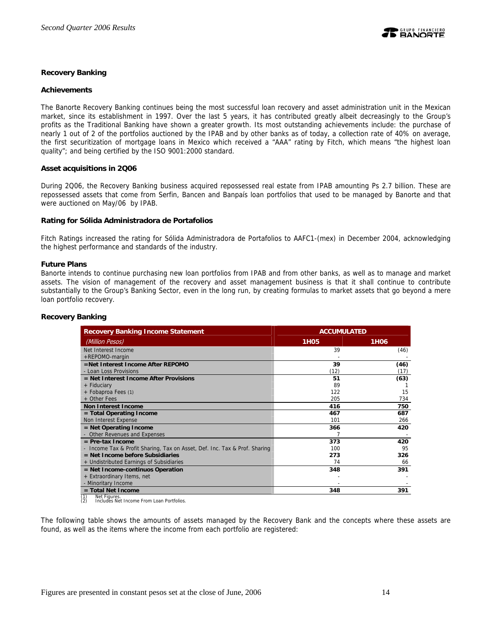

## **Recovery Banking**

#### **Achievements**

The Banorte Recovery Banking continues being the most successful loan recovery and asset administration unit in the Mexican market, since its establishment in 1997. Over the last 5 years, it has contributed greatly albeit decreasingly to the Group's profits as the Traditional Banking have shown a greater growth. Its most outstanding achievements include: the purchase of nearly 1 out of 2 of the portfolios auctioned by the IPAB and by other banks as of today, a collection rate of 40% on average, the first securitization of mortgage loans in Mexico which received a "AAA" rating by Fitch, which means "the highest loan quality"; and being certified by the ISO 9001:2000 standard.

#### **Asset acquisitions in 2Q06**

During 2Q06, the Recovery Banking business acquired repossessed real estate from IPAB amounting Ps 2.7 billion. These are repossessed assets that come from Serfin, Bancen and Banpaís loan portfolios that used to be managed by Banorte and that were auctioned on May/06 by IPAB.

#### **Rating for Sólida Administradora de Portafolios**

Fitch Ratings increased the rating for Sólida Administradora de Portafolios to AAFC1-(mex) in December 2004, acknowledging the highest performance and standards of the industry.

#### **Future Plans**

Banorte intends to continue purchasing new loan portfolios from IPAB and from other banks, as well as to manage and market assets. The vision of management of the recovery and asset management business is that it shall continue to contribute substantially to the Group's Banking Sector, even in the long run, by creating formulas to market assets that go beyond a mere loan portfolio recovery.

| <b>Recovery Banking Income Statement</b>                                   | <b>ACCUMULATED</b> |                  |  |  |
|----------------------------------------------------------------------------|--------------------|------------------|--|--|
| (Million Pesos)                                                            | 1H <sub>0</sub> 5  | 1H <sub>06</sub> |  |  |
| Net Interest Income                                                        | 39                 | (46)             |  |  |
| +REPOMO-margin                                                             |                    |                  |  |  |
| =Net Interest Income After REPOMO                                          | 39                 | (46)             |  |  |
| - Loan Loss Provisions                                                     | (12)               | (17)             |  |  |
| $=$ Net Interest Income After Provisions                                   | 51                 | (63)             |  |  |
| + Fiduciary                                                                | 89                 |                  |  |  |
| + Fobaproa Fees (1)                                                        | 122                | 15               |  |  |
| + Other Fees                                                               | 205                | 734              |  |  |
| <b>Non Interest Income</b>                                                 | 416                | 750              |  |  |
| $=$ Total Operating Income                                                 | 467                | 687              |  |  |
| Non Interest Expense                                                       | 101                | 266              |  |  |
| = Net Operating Income                                                     | 366                | 420              |  |  |
| - Other Revenues and Expenses                                              |                    |                  |  |  |
| $=$ Pre-tax Income                                                         | 373                | 420              |  |  |
| - Income Tax & Profit Sharing, Tax on Asset, Def. Inc. Tax & Prof. Sharing | 100                | 95               |  |  |
| $=$ Net Income before Subsidiaries                                         | 273                | 326              |  |  |
| + Undistributed Earnings of Subsidiaries                                   | 74                 | 66               |  |  |
| = Net Income-continuos Operation                                           | 348                | 391              |  |  |
| + Extraordinary Items, net                                                 |                    |                  |  |  |
| - Minoritary Income                                                        |                    |                  |  |  |
| $=$ Total Net Income                                                       | 348                | 391              |  |  |

## **Recovery Banking**

(1) Net Figures. (2) Includes Net Income From Loan Portfolios.

The following table shows the amounts of assets managed by the Recovery Bank and the concepts where these assets are found, as well as the items where the income from each portfolio are registered: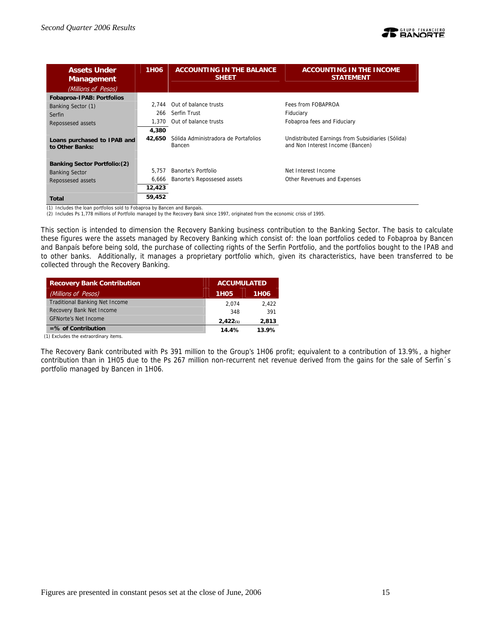

| <b>Assets Under</b><br><b>Management</b>       | 1H <sub>06</sub> | <b>ACCOUNTING IN THE BALANCE</b><br><b>SHEET</b> | <b>ACCOUNTING IN THE INCOME</b><br><b>STATEMENT</b>                                   |
|------------------------------------------------|------------------|--------------------------------------------------|---------------------------------------------------------------------------------------|
| (Millions of Pesos)                            |                  |                                                  |                                                                                       |
| Fobaproa-IPAB: Portfolios                      |                  |                                                  |                                                                                       |
| Banking Sector (1)                             | 2.744            | Out of balance trusts                            | Fees from FOBAPROA                                                                    |
| Serfin                                         | 266              | Serfin Trust                                     | Fiduciary                                                                             |
| Repossesed assets                              | 1.370            | Out of balance trusts                            | Fobaproa fees and Fiduciary                                                           |
|                                                | 4,380            |                                                  |                                                                                       |
| Loans purchased to IPAB and<br>to Other Banks: | 42.650           | Sólida Administradora de Portafolios<br>Bancen   | Undistributed Earnings from Subsidiaries (Sólida)<br>and Non Interest Income (Bancen) |
| <b>Banking Sector Portfolio: (2)</b>           |                  |                                                  |                                                                                       |
| <b>Banking Sector</b>                          | 5.757            | Banorte's Portfolio                              | Net Interest Income                                                                   |
| Repossesed assets                              | 6,666            | Banorte's Repossesed assets                      | Other Revenues and Expenses                                                           |
|                                                | 12,423           |                                                  |                                                                                       |
| Total                                          | 59,452           |                                                  |                                                                                       |

(1) Includes the loan portfolios sold to Fobaproa by Bancen and Banpaís.

(2) Includes Ps 1,778 millions of Portfolio managed by the Recovery Bank since 1997, originated from the economic crisis of 1995.

This section is intended to dimension the Recovery Banking business contribution to the Banking Sector. The basis to calculate these figures were the assets managed by Recovery Banking which consist of: the loan portfolios ceded to Fobaproa by Bancen and Banpaís before being sold, the purchase of collecting rights of the Serfin Portfolio, and the portfolios bought to the IPAB and to other banks. Additionally, it manages a proprietary portfolio which, given its characteristics, have been transferred to be collected through the Recovery Banking.

| <b>Recovery Bank Contribution</b>     | <b>ACCUMULATED</b> |             |
|---------------------------------------|--------------------|-------------|
| (Millions of Pesos)                   | <b>1H05</b>        | <b>1H06</b> |
| <b>Traditional Banking Net Income</b> | 2.074              | 2.422       |
| Recovery Bank Net Income              | 348                | 391         |
| <b>GFNorte's Net Income</b>           | 2,422(1)           | 2,813       |
| $=$ % of Contribution                 | 14.4%              | 13.9%       |

(1) Excludes the extraordinary items.

The Recovery Bank contributed with Ps 391 million to the Group's 1H06 profit; equivalent to a contribution of 13.9%, a higher contribution than in 1H05 due to the Ps 267 million non-recurrent net revenue derived from the gains for the sale of Serfin´s portfolio managed by Bancen in 1H06.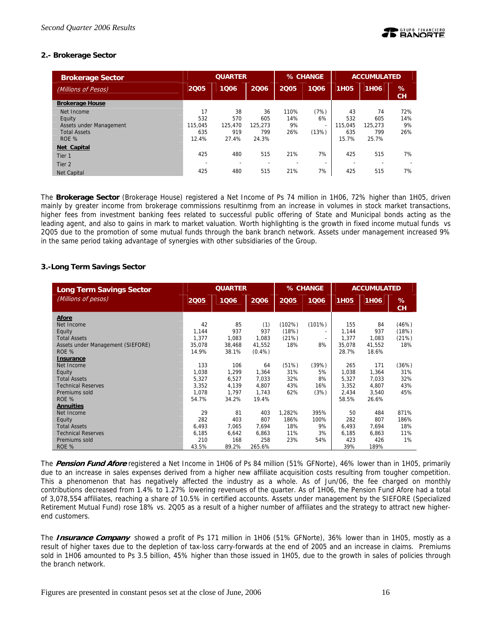## **2.- Brokerage Sector**

| <b>Brokerage Sector</b> | <b>QUARTER</b> |         |         |      | % CHANGE                 | <b>ACCUMULATED</b> |                  |         |
|-------------------------|----------------|---------|---------|------|--------------------------|--------------------|------------------|---------|
| (Millions of Pesos)     | 2005           | 1006    | 2006    | 2005 | 1006                     | <b>1H05</b>        | 1H <sub>06</sub> | %<br>CН |
| <b>Brokerage House</b>  |                |         |         |      |                          |                    |                  |         |
| Net Income              | 17             | 38      | 36      | 110% | (7%)                     | 43                 | 74               | 72%     |
| Equity                  | 532            | 570     | 605     | 14%  | 6%                       | 532                | 605              | 14%     |
| Assets under Management | 115.045        | 125,470 | 125.273 | 9%   | $\overline{\phantom{a}}$ | 115.045            | 125.273          | 9%      |
| <b>Total Assets</b>     | 635            | 919     | 799     | 26%  | (13%)                    | 635                | 799              | 26%     |
| ROE %                   | 12.4%          | 27.4%   | 24.3%   |      |                          | 15.7%              | 25.7%            |         |
| Net Capital             |                |         |         |      |                          |                    |                  |         |
| Tier 1                  | 425            | 480     | 515     | 21%  | 7%                       | 425                | 515              | 7%      |
| Tier <sub>2</sub>       |                |         |         | -    | $\overline{\phantom{0}}$ |                    |                  |         |
| <b>Net Capital</b>      | 425            | 480     | 515     | 21%  | 7%                       | 425                | 515              | 7%      |

The **Brokerage Sector** (Brokerage House) registered a Net Income of Ps 74 million in 1H06, 72% higher than 1H05, driven mainly by greater income from brokerage commissions resultinmg from an increase in volumes in stock market transactions, higher fees from investment banking fees related to successful public offering of State and Municipal bonds acting as the leading agent, and also to gains in mark to market valuation. Worth highlighting is the growth in fixed income mutual funds vs 2Q05 due to the promotion of some mutual funds through the bank branch network. Assets under management increased 9% in the same period taking advantage of synergies with other subsidiaries of the Group.

## **3.-Long Term Savings Sector**

| <b>Long Term Savings Sector</b>   | <b>QUARTER</b> |        |           | % CHANGE |                          | <b>ACCUMULATED</b> |             |         |
|-----------------------------------|----------------|--------|-----------|----------|--------------------------|--------------------|-------------|---------|
| (Millions of pesos)               | 2005           | 1006   | 2006      | 2005     | 1006                     | <b>1H05</b>        | <b>1H06</b> | %<br>CH |
| Afore                             |                |        |           |          |                          |                    |             |         |
| Net Income                        | 42             | 85     | (1)       | (102%)   | (101%)                   | 155                | 84          | (46%)   |
| Equity                            | 1.144          | 937    | 937       | (18%)    | $\overline{\phantom{0}}$ | 1,144              | 937         | (18%)   |
| <b>Total Assets</b>               | 1.377          | 1,083  | 1.083     | (21%)    | $\overline{\phantom{a}}$ | 1,377              | 1.083       | (21%)   |
| Assets under Management (SIEFORE) | 35,078         | 38,468 | 41,552    | 18%      | 8%                       | 35,078             | 41,552      | 18%     |
| ROE %                             | 14.9%          | 38.1%  | $(0.4\%)$ |          |                          | 28.7%              | 18.6%       |         |
| <b>Insurance</b>                  |                |        |           |          |                          |                    |             |         |
| Net Income                        | 133            | 106    | 64        | (51%)    | (39%)                    | 265                | 171         | (36%)   |
| Equity                            | 1,038          | 1,299  | 1,364     | 31%      | 5%                       | 1,038              | 1,364       | 31%     |
| <b>Total Assets</b>               | 5,327          | 6,527  | 7,033     | 32%      | 8%                       | 5,327              | 7,033       | 32%     |
| <b>Technical Reserves</b>         | 3.352          | 4,139  | 4.807     | 43%      | 16%                      | 3.352              | 4.807       | 43%     |
| Premiums sold                     | 1.078          | 1,797  | 1,743     | 62%      | (3%)                     | 2,434              | 3,540       | 45%     |
| ROE %                             | 54.7%          | 34.2%  | 19.4%     |          |                          | 58.5%              | 26.6%       |         |
| <b>Annuities</b>                  |                |        |           |          |                          |                    |             |         |
| Net Income                        | 29             | 81     | 403       | 1,282%   | 395%                     | 50                 | 484         | 871%    |
| Equity                            | 282            | 403    | 807       | 186%     | 100%                     | 282                | 807         | 186%    |
| <b>Total Assets</b>               | 6,493          | 7,065  | 7.694     | 18%      | 9%                       | 6,493              | 7.694       | 18%     |
| <b>Technical Reserves</b>         | 6,185          | 6,642  | 6,863     | 11%      | 3%                       | 6,185              | 6,863       | 11%     |
| Premiums sold                     | 210            | 168    | 258       | 23%      | 54%                      | 423                | 426         | 1%      |
| ROE %                             | 43.5%          | 89.2%  | 265.6%    |          |                          | 39%                | 189%        |         |

The **Pension Fund Afore** registered a Net Income in 1H06 of Ps 84 million (51% GFNorte), 46% lower than in 1H05, primarily due to an increase in sales expenses derived from a higher new affiliate acquisition costs resulting from tougher competition. This a phenomenon that has negatively affected the industry as a whole. As of Jun/06, the fee charged on monthly contributions decreased from 1.4% to 1.27% lowering revenues of the quarter. As of 1H06, the Pension Fund Afore had a total of 3,078,554 affiliates, reaching a share of 10.5% in certified accounts. Assets under management by the SIEFORE (Specialized Retirement Mutual Fund) rose 18% vs. 2Q05 as a result of a higher number of affiliates and the strategy to attract new higherend customers.

The **Insurance Company** showed a profit of Ps 171 million in 1H06 (51% GFNorte), 36% lower than in 1H05, mostly as a result of higher taxes due to the depletion of tax-loss carry-forwards at the end of 2005 and an increase in claims. Premiums sold in 1H06 amounted to Ps 3.5 billion, 45% higher than those issued in 1H05, due to the growth in sales of policies through the branch network.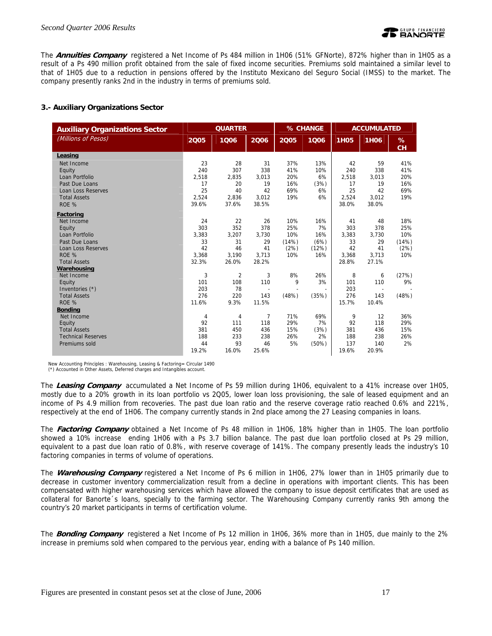

The **Annuities Company** registered a Net Income of Ps 484 million in 1H06 (51% GFNorte), 872% higher than in 1H05 as a result of a Ps 490 million profit obtained from the sale of fixed income securities. Premiums sold maintained a similar level to that of 1H05 due to a reduction in pensions offered by the Instituto Mexicano del Seguro Social (IMSS) to the market. The company presently ranks 2nd in the industry in terms of premiums sold.

## **3.- Auxiliary Organizations Sector**

| <b>Auxiliary Organizations Sector</b> | <b>QUARTER</b> |                |                          | % CHANGE |                          | <b>ACCUMULATED</b> |             |         |
|---------------------------------------|----------------|----------------|--------------------------|----------|--------------------------|--------------------|-------------|---------|
| (Millions of Pesos)                   | 2005           | 1006           | 2006                     | 2005     | 1006                     | <b>1H05</b>        | <b>1H06</b> | %<br>CH |
| Leasing                               |                |                |                          |          |                          |                    |             |         |
| Net Income                            | 23             | 28             | 31                       | 37%      | 13%                      | 42                 | 59          | 41%     |
| Equity                                | 240            | 307            | 338                      | 41%      | 10%                      | 240                | 338         | 41%     |
| Loan Portfolio                        | 2,518          | 2,835          | 3,013                    | 20%      | 6%                       | 2,518              | 3,013       | 20%     |
| Past Due Loans                        | 17             | 20             | 19                       | 16%      | (3%)                     | 17                 | 19          | 16%     |
| Loan Loss Reserves                    | 25             | 40             | 42                       | 69%      | 6%                       | 25                 | 42          | 69%     |
| <b>Total Assets</b>                   | 2.524          | 2,836          | 3,012                    | 19%      | 6%                       | 2,524              | 3.012       | 19%     |
| ROE %                                 | 39.6%          | 37.6%          | 38.5%                    |          |                          | 38.0%              | 38.0%       |         |
| Factoring                             |                |                |                          |          |                          |                    |             |         |
| Net Income                            | 24             | 22             | 26                       | 10%      | 16%                      | 41                 | 48          | 18%     |
| Equity                                | 303            | 352            | 378                      | 25%      | 7%                       | 303                | 378         | 25%     |
| Loan Portfolio                        | 3,383          | 3,207          | 3,730                    | 10%      | 16%                      | 3,383              | 3,730       | 10%     |
| Past Due Loans                        | 33             | 31             | 29                       | (14%)    | (6%)                     | 33                 | 29          | (14%)   |
| <b>Loan Loss Reserves</b>             | 42             | 46             | 41                       | (2%)     | (12%)                    | 42                 | 41          | (2%)    |
| ROE %                                 | 3.368          | 3,190          | 3,713                    | 10%      | 16%                      | 3,368              | 3,713       | 10%     |
| <b>Total Assets</b>                   | 32.3%          | 26.0%          | 28.2%                    |          |                          | 28.8%              | 27.1%       |         |
| Warehousing                           |                |                |                          |          |                          |                    |             |         |
| Net Income                            | 3              | $\overline{2}$ | 3                        | 8%       | 26%                      | 8                  | 6           | (27%)   |
| Equity                                | 101            | 108            | 110                      | 9        | 3%                       | 101                | 110         | 9%      |
| Inventories (*)                       | 203            | 78             | $\overline{\phantom{a}}$ |          | $\overline{\phantom{a}}$ | 203                | $\sim$      |         |
| <b>Total Assets</b>                   | 276            | 220            | 143                      | (48%)    | (35%)                    | 276                | 143         | (48%)   |
| ROE %                                 | 11.6%          | 9.3%           | 11.5%                    |          |                          | 15.7%              | 10.4%       |         |
| <b>Bonding</b>                        |                |                |                          |          |                          |                    |             |         |
| Net Income                            | 4              | 4              | $\overline{7}$           | 71%      | 69%                      | 9                  | 12          | 36%     |
| Equity                                | 92             | 111            | 118                      | 29%      | 7%                       | 92                 | 118         | 29%     |
| <b>Total Assets</b>                   | 381            | 450            | 436                      | 15%      | (3%)                     | 381                | 436         | 15%     |
| <b>Technical Reserves</b>             | 188            | 233            | 238                      | 26%      | 2%                       | 188                | 238         | 26%     |
| Premiums sold                         | 44             | 93             | 46                       | 5%       | (50%)                    | 137                | 140         | 2%      |
|                                       | 19.2%          | 16.0%          | 25.6%                    |          |                          | 19.6%              | 20.9%       |         |

New Accounting Principles : Warehousing, Leasing & Factoring= Circular 1490

(\*) Accounted in Other Assets, Deferred charges and Intangibles account.

The **Leasing Company** accumulated a Net Income of Ps 59 million during 1H06, equivalent to a 41% increase over 1H05, mostly due to a 20% growth in its loan portfolio vs 2Q05, lower loan loss provisioning, the sale of leased equipment and an income of Ps 4.9 million from recoveries. The past due loan ratio and the reserve coverage ratio reached 0.6% and 221%, respectively at the end of 1H06. The company currently stands in 2nd place among the 27 Leasing companies in loans.

The **Factoring Company** obtained a Net Income of Ps 48 million in 1H06, 18% higher than in 1H05. The loan portfolio showed a 10% increase ending 1H06 with a Ps 3.7 billion balance. The past due loan portfolio closed at Ps 29 million, equivalent to a past due loan ratio of 0.8%, with reserve coverage of 141%. The company presently leads the industry's 10 factoring companies in terms of volume of operations.

The **Warehousing Company** registered a Net Income of Ps 6 million in 1H06, 27% lower than in 1H05 primarily due to decrease in customer inventory commercialization result from a decline in operations with important clients. This has been compensated with higher warehousing services which have allowed the company to issue deposit certificates that are used as collateral for Banorte´s loans, specially to the farming sector. The Warehousing Company currently ranks 9th among the country's 20 market participants in terms of certification volume.

The **Bonding Company** registered a Net Income of Ps 12 million in 1H06, 36% more than in 1H05, due mainly to the 2% increase in premiums sold when compared to the pervious year, ending with a balance of Ps 140 million.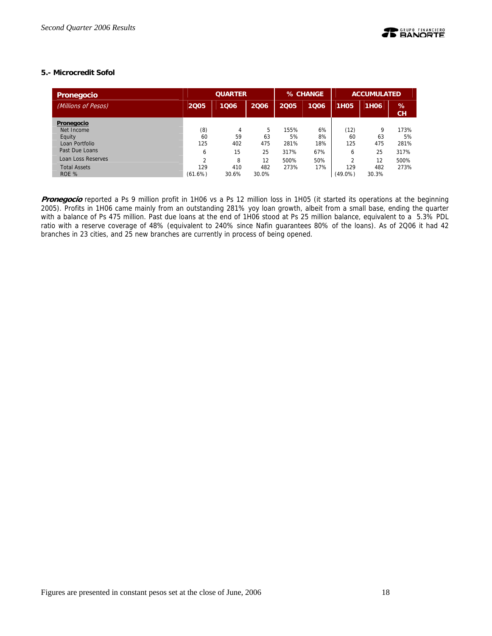## **5.- Microcredit Sofol**

| Pronegocio          | <b>QUARTER</b> |       |       | % CHANGE |      | <b>ACCUMULATED</b> |             |         |
|---------------------|----------------|-------|-------|----------|------|--------------------|-------------|---------|
| (Millions of Pesos) | 2005           | 1006  | 2006  | 2005     | 1006 | <b>1H05</b>        | <b>1H06</b> | %<br>CH |
| Pronegocio          |                |       |       |          |      |                    |             |         |
| Net Income          | (8)            | 4     | 5     | 155%     | 6%   | (12)               | 9           | 173%    |
| Equity              | 60             | 59    | 63    | 5%       | 8%   | 60                 | 63          | 5%      |
| Loan Portfolio      | 125            | 402   | 475   | 281%     | 18%  | 125                | 475         | 281%    |
| Past Due Loans      | 6              | 15    | 25    | 317%     | 67%  | 6                  | 25          | 317%    |
| Loan Loss Reserves  | h              | 8     | 12    | 500%     | 50%  | C                  | 12          | 500%    |
| <b>Total Assets</b> | 129            | 410   | 482   | 273%     | 17%  | 129                | 482         | 273%    |
| ROE %               | (61.6%)        | 30.6% | 30.0% |          |      | $(49.0\%)$         | 30.3%       |         |

**Pronegocio** reported a Ps 9 million profit in 1H06 vs a Ps 12 million loss in 1H05 (it started its operations at the beginning 2005). Profits in 1H06 came mainly from an outstanding 281% yoy loan growth, albeit from a small base, ending the quarter with a balance of Ps 475 million. Past due loans at the end of 1H06 stood at Ps 25 million balance, equivalent to a 5.3% PDL ratio with a reserve coverage of 48% (equivalent to 240% since Nafin guarantees 80% of the loans). As of 2Q06 it had 42 branches in 23 cities, and 25 new branches are currently in process of being opened.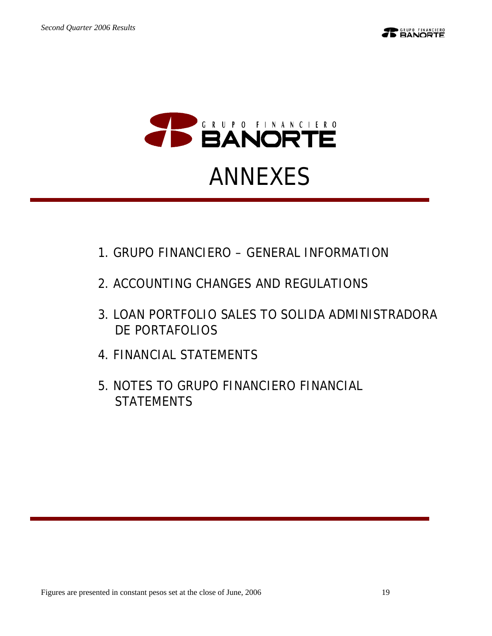



# ANNEXES

- 1.GRUPO FINANCIERO GENERAL INFORMATION
- 2. ACCOUNTING CHANGES AND REGULATIONS
- 3.LOAN PORTFOLIO SALES TO SOLIDA ADMINISTRADORA DE PORTAFOLIOS
- 4.FINANCIAL STATEMENTS
- 5.NOTES TO GRUPO FINANCIERO FINANCIAL **STATEMENTS**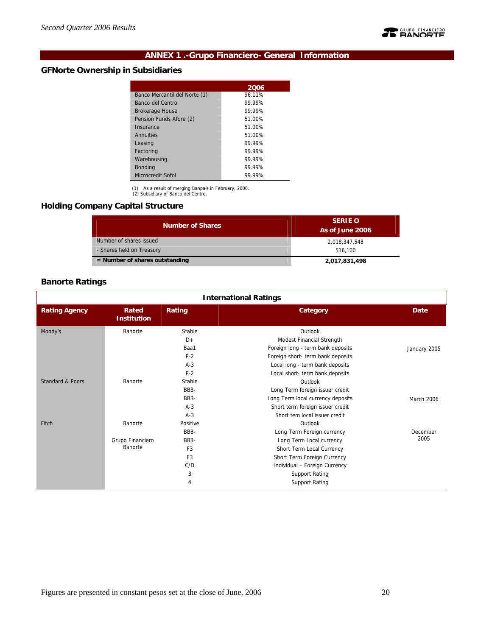

## **ANNEX 1 .-Grupo Financiero- General Information**

## **GFNorte Ownership in Subsidiaries**

| 2006   |
|--------|
| 96.11% |
| 99.99% |
| 99 99% |
| 51.00% |
| 51.00% |
| 51.00% |
| 99 99% |
| 99 99% |
| 99.99% |
| 99.99% |
| 99.99% |
|        |

(1) As a result of merging Banpaís in February, 2000. (2) Subsidiary of Banco del Centro.

## **Holding Company Capital Structure**

| <b>Number of Shares</b>          | <b>SERIE O</b><br>As of June 2006 |
|----------------------------------|-----------------------------------|
| Number of shares issued          | 2,018,347,548                     |
| - Shares held on Treasury        | 516.100                           |
| $=$ Number of shares outstanding | 2,017,831,498                     |

## **Banorte Ratings**

|                             | <b>International Ratings</b> |                |                                   |              |  |  |  |  |  |  |  |
|-----------------------------|------------------------------|----------------|-----------------------------------|--------------|--|--|--|--|--|--|--|
| <b>Rating Agency</b>        | Rated<br><b>Institution</b>  | Rating         | Category                          | Date         |  |  |  |  |  |  |  |
| Moody's                     | Banorte                      | Stable         | Outlook                           |              |  |  |  |  |  |  |  |
|                             |                              | $D+$           | Modest Financial Strength         |              |  |  |  |  |  |  |  |
|                             |                              | Baa1           | Foreign long - term bank deposits | January 2005 |  |  |  |  |  |  |  |
|                             |                              | $P-2$          | Foreign short- term bank deposits |              |  |  |  |  |  |  |  |
|                             |                              | $A-3$          | Local long - term bank deposits   |              |  |  |  |  |  |  |  |
|                             |                              | $P-2$          | Local short- term bank deposits   |              |  |  |  |  |  |  |  |
| <b>Standard &amp; Poors</b> | Banorte                      | Stable         | Outlook                           |              |  |  |  |  |  |  |  |
|                             |                              | BBB-           | Long Term foreign issuer credit   |              |  |  |  |  |  |  |  |
|                             |                              | BBB-           | Long Term local currency deposits | March 2006   |  |  |  |  |  |  |  |
|                             |                              | $A-3$          | Short term foreign issuer credit  |              |  |  |  |  |  |  |  |
|                             |                              | $A-3$          | Short tem local issuer credit     |              |  |  |  |  |  |  |  |
| Fitch                       | Banorte                      | Positive       | Outlook                           |              |  |  |  |  |  |  |  |
|                             |                              | BBB-           | Long Term Foreign currency        | December     |  |  |  |  |  |  |  |
|                             | Grupo Financiero             | BBB-           | Long Term Local currency          | 2005         |  |  |  |  |  |  |  |
|                             | Banorte                      | F <sub>3</sub> | Short Term Local Currency         |              |  |  |  |  |  |  |  |
|                             |                              | F <sub>3</sub> | Short Term Foreign Currency       |              |  |  |  |  |  |  |  |
|                             |                              | C/D            | Individual - Foreign Currency     |              |  |  |  |  |  |  |  |
|                             |                              | 3              | Support Rating                    |              |  |  |  |  |  |  |  |
|                             |                              | 4              | <b>Support Rating</b>             |              |  |  |  |  |  |  |  |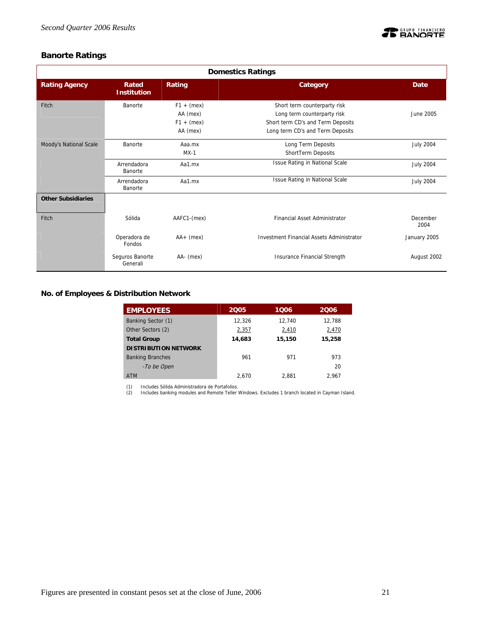

## **Banorte Ratings**

|                           | <b>Domestics Ratings</b>    |                                                      |                                                                                                                                      |                  |  |  |  |  |  |  |  |
|---------------------------|-----------------------------|------------------------------------------------------|--------------------------------------------------------------------------------------------------------------------------------------|------------------|--|--|--|--|--|--|--|
| <b>Rating Agency</b>      | Rated<br><b>Institution</b> | Rating                                               | Category                                                                                                                             | Date             |  |  |  |  |  |  |  |
| Fitch                     | Banorte                     | $F1 + (mex)$<br>AA (mex)<br>$F1 + (mex)$<br>AA (mex) | Short term counterparty risk<br>Long term counterparty risk<br>Short term CD's and Term Deposits<br>Long term CD's and Term Deposits | June 2005        |  |  |  |  |  |  |  |
| Moody's National Scale    | Banorte                     | Aaa.mx<br>$MX-1$                                     | Long Term Deposits<br>ShortTerm Deposits                                                                                             | <b>July 2004</b> |  |  |  |  |  |  |  |
|                           | Arrendadora<br>Banorte      | Aa1.mx                                               | <b>Issue Rating in National Scale</b>                                                                                                | <b>July 2004</b> |  |  |  |  |  |  |  |
|                           | Arrendadora<br>Banorte      | Aa1.mx                                               | Issue Rating in National Scale                                                                                                       | <b>July 2004</b> |  |  |  |  |  |  |  |
| <b>Other Subsidiaries</b> |                             |                                                      |                                                                                                                                      |                  |  |  |  |  |  |  |  |
| Fitch                     | Sólida                      | AAFC1-(mex)                                          | <b>Financial Asset Administrator</b>                                                                                                 | December<br>2004 |  |  |  |  |  |  |  |
|                           | Operadora de<br>Fondos      | $AA+$ (mex)                                          | <b>Investment Financial Assets Administrator</b>                                                                                     | January 2005     |  |  |  |  |  |  |  |
|                           | Seguros Banorte<br>Generali | AA- (mex)                                            | Insurance Financial Strength                                                                                                         | August 2002      |  |  |  |  |  |  |  |

**No. of Employees & Distribution Network** 

| <b>EMPLOYEES</b>            | 2005   | 1006   | 2006   |
|-----------------------------|--------|--------|--------|
| Banking Sector (1)          | 12.326 | 12.740 | 12,788 |
| Other Sectors (2)           | 2,357  | 2,410  | 2,470  |
| <b>Total Group</b>          | 14,683 | 15,150 | 15,258 |
| <b>DISTRIBUTION NETWORK</b> |        |        |        |
| <b>Banking Branches</b>     | 961    | 971    | 973    |
| -To be Open                 |        |        | 20     |
| <b>ATM</b>                  | 2.670  | 2.881  | 2.967  |

(1) Includes Sólida Administradora de Portafolios. (2) Includes banking modules and Remote Teller Windows. Excludes 1 branch located in Cayman Island.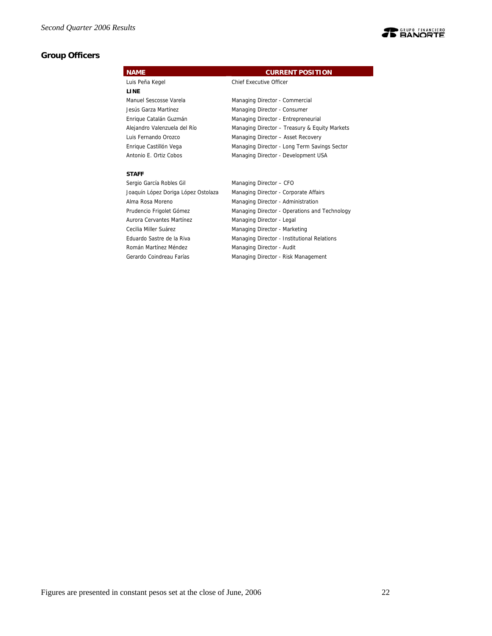## **Group Officers**



Aurora Cervantes Martínez Managing Director - Legal Cecilia Miller Suárez Managing Director - Marketing Eduardo Sastre de la Riva Managing Director - Institutional Relations Román Martínez Méndez **Managing Director - Audit** Gerardo Coindreau Farías Managing Director - Risk Management

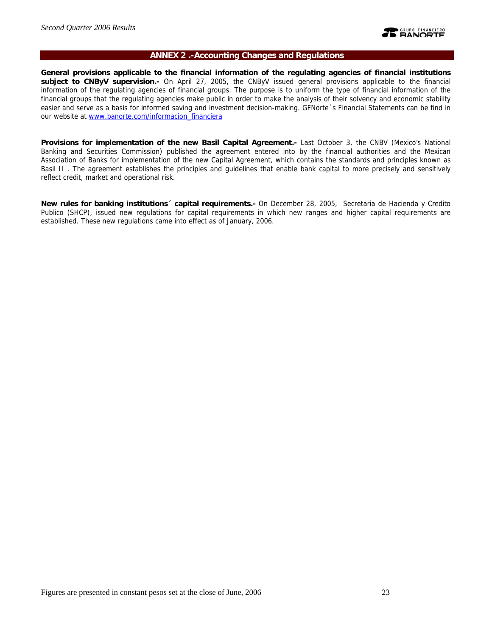

### **ANNEX 2 .-Accounting Changes and Regulations**

**General provisions applicable to the financial information of the regulating agencies of financial institutions subject to CNByV supervision.-** On April 27, 2005, the CNByV issued general provisions applicable to the financial information of the regulating agencies of financial groups. The purpose is to uniform the type of financial information of the financial groups that the regulating agencies make public in order to make the analysis of their solvency and economic stability easier and serve as a basis for informed saving and investment decision-making. GFNorte´s Financial Statements can be find in our website at www.banorte.com/informacion\_financiera

**Provisions for implementation of the new Basil Capital Agreement.-** Last October 3, the CNBV (Mexico's National Banking and Securities Commission) published the agreement entered into by the financial authorities and the Mexican Association of Banks for implementation of the new Capital Agreement, which contains the standards and principles known as Basil II . The agreement establishes the principles and guidelines that enable bank capital to more precisely and sensitively reflect credit, market and operational risk.

**New rules for banking institutions´ capital requirements.-** On December 28, 2005, Secretaria de Hacienda y Credito Publico (SHCP), issued new regulations for capital requirements in which new ranges and higher capital requirements are established. These new regulations came into effect as of January, 2006.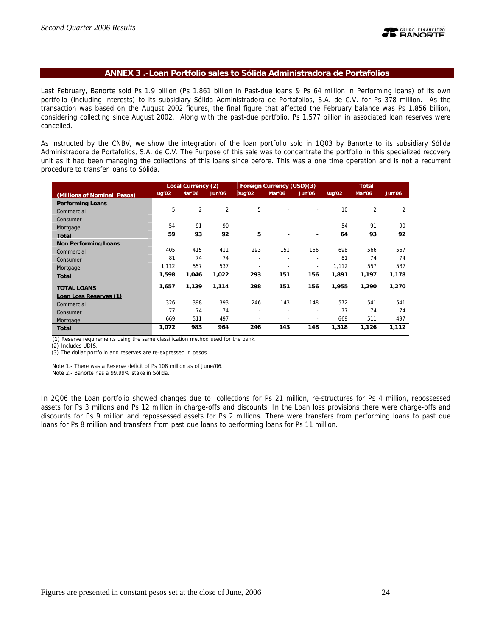

### **ANNEX 3 .-Loan Portfolio sales to Sólida Administradora de Portafolios**

Last February, Banorte sold Ps 1.9 billion (Ps 1.861 billion in Past-due loans & Ps 64 million in Performing loans) of its own portfolio (including interests) to its subsidiary Sólida Administradora de Portafolios, S.A. de C.V. for Ps 378 million. As the transaction was based on the August 2002 figures, the final figure that affected the February balance was Ps 1.856 billion, considering collecting since August 2002. Along with the past-due portfolio, Ps 1.577 billion in associated loan reserves were cancelled.

As instructed by the CNBV, we show the integration of the loan portfolio sold in 1Q03 by Banorte to its subsidiary Sólida Administradora de Portafolios, S.A. de C.V. The Purpose of this sale was to concentrate the portfolio in this specialized recovery unit as it had been managing the collections of this loans since before. This was a one time operation and is not a recurrent procedure to transfer loans to Sólida.

|                             | <b>Local Currency (2)</b> |                |                | Foreign Currency (USD)(3) |                          | <b>Total</b>             |        |        |        |
|-----------------------------|---------------------------|----------------|----------------|---------------------------|--------------------------|--------------------------|--------|--------|--------|
| (Millions of Nominal Pesos) | uq'02                     | Aar'06         | Jun'06         | Aug'02                    | Mar'06                   | Jun'06                   | lug'02 | Mar'06 | Jun'06 |
| <b>Performing Loans</b>     |                           |                |                |                           |                          |                          |        |        |        |
| Commercial                  | 5                         | $\overline{2}$ | $\overline{2}$ | 5                         |                          |                          | 10     | 2      | 2      |
| Consumer                    |                           |                |                | $\overline{a}$            |                          |                          |        |        |        |
| Mortgage                    | 54                        | 91             | 90             | ۰                         | $\overline{\phantom{0}}$ | $\overline{\phantom{a}}$ | 54     | 91     | 90     |
| <b>Total</b>                | 59                        | 93             | 92             | 5                         | ۰                        |                          | 64     | 93     | 92     |
| <b>Non Performing Loans</b> |                           |                |                |                           |                          |                          |        |        |        |
| Commercial                  | 405                       | 415            | 411            | 293                       | 151                      | 156                      | 698    | 566    | 567    |
| Consumer                    | 81                        | 74             | 74             | ۰                         |                          | $\overline{\phantom{a}}$ | 81     | 74     | 74     |
| Mortgage                    | 1,112                     | 557            | 537            | ۰                         |                          | $\overline{\phantom{a}}$ | 1,112  | 557    | 537    |
| <b>Total</b>                | 1,598                     | 1,046          | 1,022          | 293                       | 151                      | 156                      | 1,891  | 1,197  | 1,178  |
| <b>TOTAL LOANS</b>          | 1,657                     | 1,139          | 1,114          | 298                       | 151                      | 156                      | 1,955  | 1,290  | 1,270  |
| Loan Loss Reserves (1)      |                           |                |                |                           |                          |                          |        |        |        |
| Commercial                  | 326                       | 398            | 393            | 246                       | 143                      | 148                      | 572    | 541    | 541    |
| Consumer                    | 77                        | 74             | 74             | $\overline{\phantom{a}}$  | ۰                        | $\overline{\phantom{a}}$ | 77     | 74     | 74     |
| Mortgage                    | 669                       | 511            | 497            | $\overline{a}$            |                          | $\overline{\phantom{0}}$ | 669    | 511    | 497    |
| <b>Total</b>                | 1,072                     | 983            | 964            | 246                       | 143                      | 148                      | 1,318  | 1,126  | 1,112  |

(1) Reserve requirements using the same classification method used for the bank.

(2) Includes UDIS.

(3) The dollar portfolio and reserves are re-expressed in pesos.

Note 1.- There was a Reserve deficit of Ps 108 million as of June/06.

Note 2.- Banorte has a 99.99% stake in Sólida.

In 2Q06 the Loan portfolio showed changes due to: collections for Ps 21 million, re-structures for Ps 4 million, repossessed assets for Ps 3 millons and Ps 12 million in charge-offs and discounts. In the Loan loss provisions there were charge-offs and discounts for Ps 9 million and repossessed assets for Ps 2 millions. There were transfers from performing loans to past due loans for Ps 8 million and transfers from past due loans to performing loans for Ps 11 million.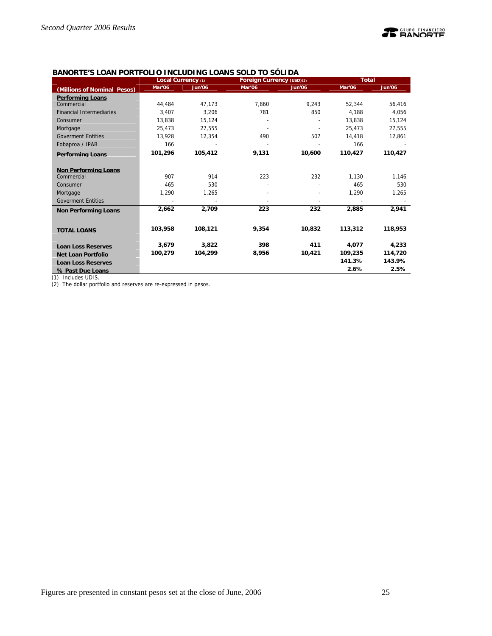## **TE BANORTE**

## **BANORTE'S LOAN PORTFOLIO INCLUDING LOANS SOLD TO SÓLIDA**

|                                 | Local Currency (1) |               | Foreign Currency (USD)(2) |               | <b>Total</b> |               |  |
|---------------------------------|--------------------|---------------|---------------------------|---------------|--------------|---------------|--|
| (Millions of Nominal Pesos)     | Mar'06             | <b>Jun'06</b> | Mar'06                    | <b>Jun'06</b> | Mar'06       | <b>Jun'06</b> |  |
| <b>Performing Loans</b>         |                    |               |                           |               |              |               |  |
| Commercial                      | 44.484             | 47.173        | 7.860                     | 9.243         | 52.344       | 56,416        |  |
| <b>Financial Intermediaries</b> | 3,407              | 3.206         | 781                       | 850           | 4,188        | 4,056         |  |
| Consumer                        | 13,838             | 15,124        |                           |               | 13,838       | 15,124        |  |
| Mortgage                        | 25,473             | 27,555        |                           |               | 25,473       | 27,555        |  |
| <b>Goverment Entities</b>       | 13.928             | 12.354        | 490                       | 507           | 14,418       | 12.861        |  |
| Fobaproa / IPAB                 | 166                |               |                           |               | 166          |               |  |
| <b>Performing Loans</b>         | 101,296            | 105,412       | 9,131                     | 10.600        | 110,427      | 110,427       |  |
|                                 |                    |               |                           |               |              |               |  |
| <b>Non Performing Loans</b>     |                    |               |                           |               |              |               |  |
| Commercial                      | 907                | 914           | 223                       | 232           | 1,130        | 1,146         |  |
| Consumer                        | 465                | 530           |                           |               | 465          | 530           |  |
| Mortgage                        | 1,290              | 1,265         |                           |               | 1,290        | 1,265         |  |
| <b>Goverment Entities</b>       |                    |               |                           |               |              |               |  |
| <b>Non Performing Loans</b>     | 2.662              | 2,709         | 223                       | 232           | 2,885        | 2,941         |  |
|                                 |                    |               |                           |               |              |               |  |
| <b>TOTAL LOANS</b>              | 103.958            | 108,121       | 9,354                     | 10,832        | 113,312      | 118,953       |  |
|                                 |                    |               |                           |               |              |               |  |
| <b>Loan Loss Reserves</b>       | 3,679              | 3,822         | 398                       | 411           | 4,077        | 4,233         |  |
| <b>Net Loan Portfolio</b>       | 100,279            | 104,299       | 8,956                     | 10,421        | 109,235      | 114,720       |  |
| <b>Loan Loss Reserves</b>       |                    |               |                           |               | 141.3%       | 143.9%        |  |
| % Past Due Loans                |                    |               |                           |               | 2.6%         | 2.5%          |  |

(1) Includes UDIS.

(2) The dollar portfolio and reserves are re-expressed in pesos.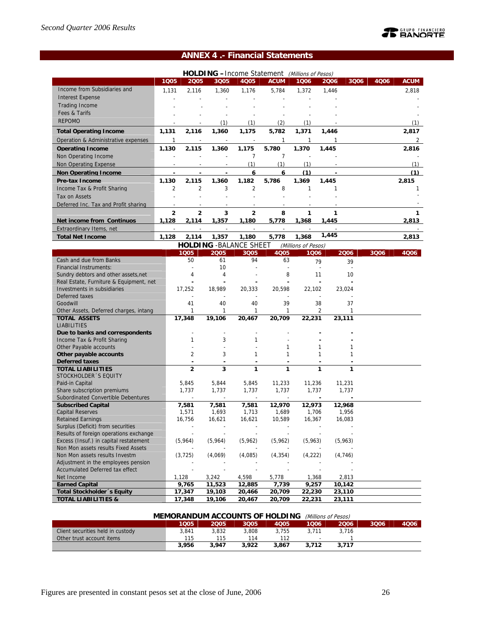# **TE BANORTE**

## **ANNEX 4 .- Financial Statements**

|                                                 |                |                |                          |                                | HOLDING -Income Statement (Millions of Pesos) |                     |       |                          |      |             |
|-------------------------------------------------|----------------|----------------|--------------------------|--------------------------------|-----------------------------------------------|---------------------|-------|--------------------------|------|-------------|
|                                                 | 1Q05           | 2005           | 3Q05                     | 4Q05                           | <b>ACUM</b>                                   | 1006                | 2006  | 3Q06                     | 4006 | <b>ACUM</b> |
| Income from Subsidiaries and                    | 1,131          | 2,116          | 1,360                    | 1,176                          | 5,784                                         | 1,372               | 1,446 |                          |      | 2,818       |
| <b>Interest Expense</b>                         |                |                |                          |                                |                                               |                     |       |                          |      |             |
| <b>Trading Income</b>                           |                |                |                          |                                |                                               |                     |       |                          |      |             |
| Fees & Tarifs                                   |                |                |                          |                                |                                               |                     |       |                          |      |             |
| <b>REPOMO</b>                                   |                |                |                          |                                |                                               |                     |       |                          |      |             |
|                                                 |                |                | (1)                      | (1)                            | (2)                                           | (1)                 |       |                          |      | (1)         |
| <b>Total Operating Income</b>                   | 1,131          | 2,116          | 1,360                    | 1,175                          | 5,782                                         | 1,371               | 1,446 |                          |      | 2,817       |
| Operation & Administrative expenses             | $\mathbf{1}$   | $\sim$         | $\overline{a}$           |                                | $\mathbf{1}$                                  | $\mathbf{1}$        | 1     |                          |      | 2           |
| <b>Operating Income</b>                         | 1.130          | 2.115          | 1.360                    | 1.175                          | 5.780                                         | 1.370               | 1.445 |                          |      | 2.816       |
| Non Operating Income                            |                |                |                          | $\overline{7}$                 | $\overline{7}$                                |                     |       |                          |      |             |
| <b>Non Operating Expense</b>                    |                |                | $\overline{a}$           | (1)                            | (1)                                           | (1)                 |       |                          |      | (1)         |
| <b>Non Operating Income</b>                     |                |                |                          | 6                              | 6                                             | (1)                 |       |                          |      | (1)         |
| <b>Pre-tax Income</b>                           | 1,130          | 2,115          | 1,360                    | 1,182                          | 5,786                                         | 1.369               | 1.445 |                          |      | 2,815       |
| Income Tax & Profit Sharing                     | $\overline{2}$ | $\overline{2}$ | 3                        | $\overline{2}$                 | 8                                             | $\mathbf{1}$        | 1     |                          |      | 1           |
| Tax on Assets                                   |                |                |                          |                                |                                               |                     |       |                          |      |             |
|                                                 |                |                |                          |                                |                                               |                     |       |                          |      |             |
| Deferred Inc. Tax and Profit sharing            |                |                |                          |                                |                                               |                     |       |                          |      |             |
|                                                 | $\overline{2}$ | $\overline{2}$ | 3                        | $\mathbf{2}$                   | 8                                             | 1                   | 1     |                          |      | 1           |
| Net income from Continuos                       | 1,128          | 2,114          | 1,357                    | 1,180                          | 5,778                                         | 1,368               | 1,445 |                          |      | 2,813       |
| Extraordinary Items, net                        |                |                |                          |                                |                                               |                     |       |                          |      |             |
| <b>Total Net Income</b>                         | 1.128          | 2,114          | 1,357                    | 1,180                          | 5,778                                         | 1,368               | 1,445 |                          |      | 2,813       |
|                                                 |                |                |                          | <b>HOLDING - BALANCE SHEET</b> |                                               | (Millions of Pesos) |       |                          |      |             |
|                                                 |                | 1Q05           | 2005                     | 3Q05                           | 4Q05                                          | 1006                |       | 2006                     | 3Q06 | 4006        |
| Cash and due from Banks                         |                | 50             | 61                       | 94                             | 63                                            |                     | 79    | 39                       |      |             |
| <b>Financial Instruments:</b>                   |                | $\overline{a}$ | 10                       |                                | L,                                            |                     |       | $\overline{\phantom{a}}$ |      |             |
| Sundry debtors and other assets, net            |                | 4              | 4                        |                                | 8                                             |                     | 11    | 10                       |      |             |
| Real Estate, Furniture & Equipment, net         |                |                |                          |                                |                                               |                     |       |                          |      |             |
| Investments in subsidiaries                     |                | 17,252         | 18,989                   | 20,333                         | 20.598                                        | 22,102              |       | 23,024                   |      |             |
| Deferred taxes                                  |                |                |                          |                                |                                               |                     |       |                          |      |             |
| Goodwill                                        |                | 41             | 40                       | 40                             | 39                                            |                     | 38    | 37                       |      |             |
| Other Assets, Deferred charges, intang          |                | $\mathbf{1}$   | 1                        | 1                              | 1                                             |                     | 2     | 1                        |      |             |
| <b>TOTAL ASSETS</b>                             |                | 17,348         | 19,106                   | 20,467                         | 20,709                                        | 22,231              |       | 23,111                   |      |             |
| <b>LIABILITIES</b>                              |                |                |                          |                                |                                               |                     |       |                          |      |             |
| Due to banks and correspondents                 |                |                |                          |                                |                                               |                     |       |                          |      |             |
| Income Tax & Profit Sharing                     |                | $\mathbf{1}$   | 3                        | 1                              |                                               |                     | 1     |                          |      |             |
| Other Payable accounts                          |                | $\overline{2}$ | 3                        | 1                              | 1<br>1                                        |                     | 1     | 1<br>1                   |      |             |
| Other payable accounts<br><b>Deferred taxes</b> |                |                |                          |                                | ٠                                             |                     |       |                          |      |             |
| <b>TOTAL LIABILITIES</b>                        |                | $\overline{2}$ | 3                        | 1                              | 1                                             |                     | 1     | 1                        |      |             |
| STOCKHOLDER 'S EQUITY                           |                |                |                          |                                |                                               |                     |       |                          |      |             |
| Paid-in Capital                                 |                | 5,845          | 5,844                    | 5,845                          | 11,233                                        | 11,236              |       | 11,231                   |      |             |
| Share subscription premiums                     |                | 1,737          | 1,737                    | 1,737                          | 1,737                                         | 1,737               |       | 1,737                    |      |             |
| Subordinated Convertible Debentures             |                |                | $\overline{\phantom{a}}$ | $\overline{\phantom{a}}$       | $\overline{a}$                                |                     |       | $\blacksquare$           |      |             |
| <b>Subscribed Capital</b>                       |                | 7,581          | 7,581                    | 7,581                          | 12,970                                        | 12,973              |       | 12.968                   |      |             |
| <b>Capital Reserves</b>                         |                | 1,571          | 1,693                    | 1,713                          | 1,689                                         | 1,706               |       | 1,956                    |      |             |
| <b>Retained Earnings</b>                        |                | 16,756         | 16,621                   | 16,621                         | 10,589                                        | 16,367              |       | 16,083                   |      |             |
| Surplus (Deficit) from securities               |                |                |                          | $\overline{\phantom{a}}$       | ÷                                             |                     |       |                          |      |             |
| Results of foreign operations exchange          |                |                |                          |                                |                                               |                     |       |                          |      |             |
| Excess (Insuf.) in capital restatement          |                | (5,964)        | (5,964)                  | (5,962)                        | (5,962)                                       | (5,963)             |       | (5,963)                  |      |             |
| Non Mon assets results Fixed Assets             |                |                |                          |                                |                                               |                     |       |                          |      |             |
| Non Mon assets results Investm                  |                | (3, 725)       | (4,069)                  | (4,085)                        | (4, 354)                                      | (4,222)             |       | (4,746)                  |      |             |
| Adjustment in the employees pension             |                |                |                          |                                |                                               |                     |       |                          |      |             |
| Accumulated Deferred tax effect                 |                |                |                          |                                |                                               |                     |       |                          |      |             |
| Net Income                                      |                | 1,128          | 3,242                    | 4,598                          | 5,778                                         | 1,368               |       | 2,813                    |      |             |
| <b>Earned Capital</b>                           |                | 9,765          | 11,523                   | 12,885                         | 7,739                                         | 9,257               |       | 10,142                   |      |             |
| <b>Total Stockholder</b> 's Equity              |                | 17,347         | 19,103                   | 20,466                         | 20,709                                        | 22,230              |       | 23,110                   |      |             |
| <b>TOTAL LIABILITIES &amp;</b>                  |                | 17,348         | 19,106                   | 20,467                         | 20,709                                        | 22,231              |       | 23,111                   |      |             |

| <b>MEMORANDUM ACCOUNTS OF HOLDING</b><br>(Millions of Pesos) |       |       |       |       |                          |       |      |      |  |  |
|--------------------------------------------------------------|-------|-------|-------|-------|--------------------------|-------|------|------|--|--|
|                                                              | 1Q05  | 2005  | 3005  | 4005  | 1006                     | 2006  | 3006 | 4006 |  |  |
| Client securities held in custody                            | 3.841 | 3.832 | 3.808 | 3.755 | 3.711                    | 3.716 |      |      |  |  |
| Other trust account items                                    | 115   | 115   | 114   | 112   | $\overline{\phantom{a}}$ |       |      |      |  |  |
|                                                              | 3.956 | 3.947 | 3.922 | 3.867 | 3.712                    | 3.717 |      |      |  |  |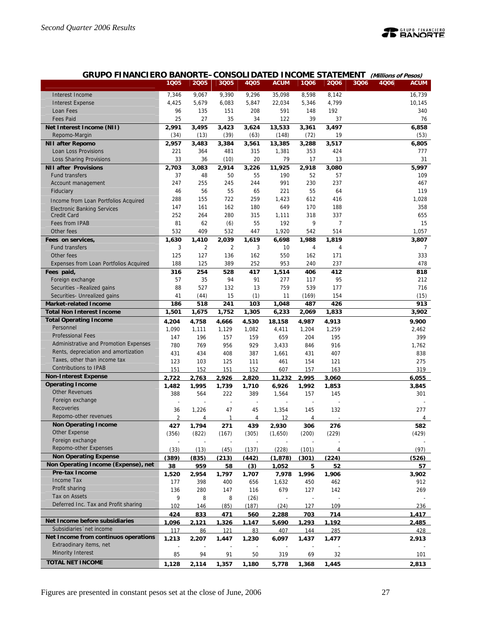

## **GRUPO FINANCIERO BANORTE–CONSOLIDATED INCOME STATEMENT (Millions of Pesos)**

|                                                     | 1005  | 2005           | 3Q05           | 4Q05  | <b>ACUM</b> | 1006  | 2006           | 3Q06 | 4006 | <b>ACUM</b>    |
|-----------------------------------------------------|-------|----------------|----------------|-------|-------------|-------|----------------|------|------|----------------|
| Interest Income                                     | 7,346 | 9,067          | 9,390          | 9,296 | 35,098      | 8,598 | 8,142          |      |      | 16,739         |
| <b>Interest Expense</b>                             | 4,425 | 5,679          | 6,083          | 5,847 | 22,034      | 5,346 | 4,799          |      |      | 10,145         |
| Loan Fees                                           | 96    | 135            | 151            | 208   | 591         | 148   | 192            |      |      | 340            |
| <b>Fees Paid</b>                                    | 25    | 27             | 35             | 34    | 122         | 39    | 37             |      |      | 76             |
| Net Interest Income (NII)                           | 2,991 | 3,495          | 3,423          | 3,624 | 13,533      | 3,361 | 3,497          |      |      | 6,858          |
| Repomo-Margin                                       | (34)  | (13)           | (39)           | (63)  | (148)       | (72)  | 19             |      |      | (53)           |
| <b>NII after Repomo</b>                             | 2,957 | 3,483          | 3,384          | 3,561 | 13,385      | 3,288 | 3,517          |      |      | 6,805          |
| Loan Loss Provisions                                | 221   | 364            | 481            | 315   | 1,381       | 353   | 424            |      |      | 777            |
| Loss Sharing Provisions                             | 33    | 36             | (10)           | 20    | 79          | 17    | 13             |      |      | 31             |
| <b>NII after Provisions</b>                         | 2,703 | 3,083          | 2,914          | 3,226 | 11,925      | 2,918 | 3,080          |      |      | 5,997          |
| <b>Fund transfers</b>                               | 37    | 48             | 50             | 55    | 190         | 52    | 57             |      |      | 109            |
| Account management                                  | 247   | 255            | 245            | 244   | 991         | 230   | 237            |      |      | 467            |
| Fiduciary                                           | 46    | 56             | 55             | 65    | 221         | 55    | 64             |      |      | 119            |
| Income from Loan Portfolios Acquired                | 288   | 155            | 722            | 259   | 1,423       | 612   | 416            |      |      | 1,028          |
| <b>Electronic Banking Services</b>                  | 147   | 161            | 162            | 180   | 649         | 170   | 188            |      |      | 358            |
| <b>Credit Card</b>                                  | 252   | 264            | 280            | 315   | 1,111       | 318   | 337            |      |      | 655            |
| Fees from IPAB                                      | 81    | 62             | (6)            | 55    | 192         | 9     | $\overline{7}$ |      |      | 15             |
| Other fees                                          | 532   | 409            | 532            | 447   | 1,920       | 542   | 514            |      |      | 1,057          |
| Fees on services,                                   | 1,630 | 1,410          | 2,039          | 1,619 | 6,698       | 1,988 | 1,819          |      |      | 3,807          |
| <b>Fund transfers</b>                               | 3     | $\overline{2}$ | $\overline{2}$ | 3     | 10          | 4     | 4              |      |      | $\overline{7}$ |
| Other fees                                          | 125   | 127            | 136            | 162   | 550         | 162   | 171            |      |      | 333            |
| Expenses from Loan Portfolios Acquired              | 188   | 125            | 389            | 252   | 953         | 240   | 237            |      |      | 478            |
| Fees paid,                                          | 316   | 254            | 528            | 417   | 1,514       | 406   | 412            |      |      | 818            |
| Foreign exchange                                    | 57    | 35             | 94             | 91    | 277         | 117   | 95             |      |      | 212            |
| Securities - Realized gains                         | 88    | 527            | 132            | 13    | 759         | 539   | 177            |      |      | 716            |
| Securities- Unrealized gains                        | 41    | (44)           | 15             | (1)   | 11          | (169) | 154            |      |      | (15)           |
| <b>Market-related Income</b>                        | 186   | 518            | 241            | 103   | 1,048       | 487   | 426            |      |      | 913            |
| <b>Total Non Interest Income</b>                    | 1,501 | 1,675          | 1,752          | 1,305 | 6,233       | 2,069 | 1,833          |      |      | 3,902          |
| <b>Total Operating Income</b>                       | 4,204 | 4,758          | 4,666          | 4,530 | 18,158      | 4,987 | 4,913          |      |      | 9,900          |
| Personnel                                           | 1,090 | 1,111          | 1,129          | 1,082 | 4,411       | 1,204 | 1,259          |      |      | 2,462          |
| <b>Professional Fees</b>                            | 147   | 196            | 157            | 159   | 659         | 204   | 195            |      |      | 399            |
| Administrative and Promotion Expenses               | 780   | 769            | 956            | 929   | 3,433       | 846   | 916            |      |      | 1,762          |
| Rents, depreciation and amortization                | 431   | 434            | 408            | 387   | 1,661       | 431   | 407            |      |      | 838            |
| Taxes, other than income tax                        | 123   | 103            | 125            | 111   | 461         | 154   | 121            |      |      | 275            |
| <b>Contributions to IPAB</b>                        | 151   | 152            | 151            | 152   | 607         | 157   | 163            |      |      | 319            |
| <b>Non-Interest Expense</b>                         | 2.722 | 2.763          | 2.926          | 2.820 | 11.232      | 2.995 | 3.060          |      |      | 6.055          |
| <b>Operating Income</b>                             | 1.482 | 1.995          | 1.739          | 1.710 | 6.926       | 1.992 | 1.853          |      |      | 3.845          |
| <b>Other Revenues</b>                               | 388   | 564            | 222            | 389   | 1,564       | 157   | 145            |      |      | 301            |
| Foreign exchange                                    |       |                |                | ÷     |             |       |                |      |      |                |
| Recoveries                                          | 36    | 1,226          | 47             | 45    | 1,354       | 145   | 132            |      |      | 277            |
| Repomo-other revenues                               | 2     | 4              | 1              | 4     | 12          | 4     |                |      |      | 4              |
| <b>Non Operating Income</b>                         | 427   | 1.794          | 271            | 439   | 2.930       | 306   | 276            |      |      | 582            |
| Other Expense                                       | (356) | (822)          | (167)          | (305) | (1,650)     | (200) | (229)          |      |      | (429)          |
| Foreign exchange                                    |       |                |                |       |             |       |                |      |      |                |
| Repomo-other Expenses                               | (33)  | (13)           | (45)           | (137) | (228)       | (101) | 4              |      |      | (97)           |
| <b>Non Operating Expense</b>                        | (389) | (835)          | (213)          | (442) | (1.878)     | (301) | (224)          |      |      | (526)          |
| Non Operating Income (Expense), net                 | 38    | 959            | 58             | (3)   | 1,052       | 5     | 52             |      |      | 57             |
| Pre-tax Income                                      | 1.520 | 2.954          | 1.797          | 1.707 | 7.978       | 1.996 | 1.906          |      |      | 3.902          |
| Income Tax                                          | 177   | 398            | 400            | 656   | 1,632       | 450   | 462            |      |      | 912            |
| Profit sharing                                      | 136   | 280            | 147            | 116   | 679         | 127   | 142            |      |      | 269            |
| Tax on Assets                                       | 9     | 8              | 8              | (26)  |             |       |                |      |      |                |
| Deferred Inc. Tax and Profit sharing                | 102   | 146            | (85)           | (187) | (24)        | 127   | 109            |      |      | 236            |
|                                                     | 424   | 833            | 471            | 560   | 2,288       | 703   | 714            |      |      | 1,417          |
| Net Income before subsidiaries                      | 1.096 | 2.121          | 1.326          | 1.147 | 5.690       | 1.293 | 1.192          |      |      | 2.485          |
| Subsidiaries 'net income                            | 117   | 86             | 121            | 83    | 407         | 144   | 285            |      |      | 428            |
| Net Income from continuos operations                | 1,213 | 2,207          | 1,447          | 1,230 | 6,097       | 1,437 | 1,477          |      |      | 2,913          |
| Extraodinary items, net<br><b>Minority Interest</b> |       |                |                |       |             |       |                |      |      |                |
|                                                     | 85    | 94             | 91             | 50    | 319         | 69    | 32             |      |      | 101            |
| <b>TOTAL NET INCOME</b>                             | 1,128 | 2,114          | 1,357          | 1,180 | 5,778       | 1,368 | 1,445          |      |      | 2,813          |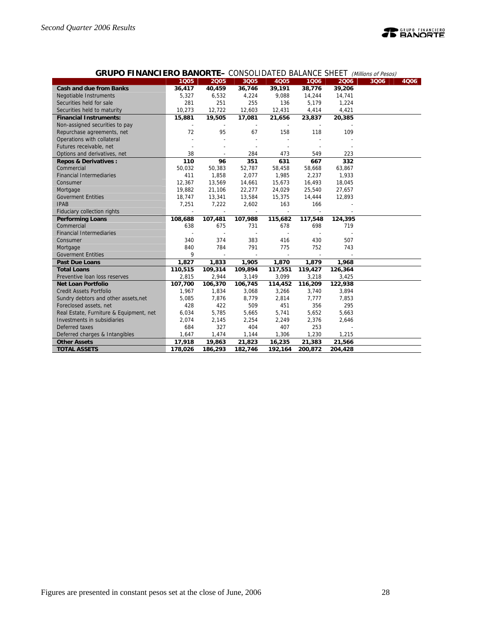

## **GRUPO FINANCIERO BANORTE–** CONSOLIDATED BALANCE SHEET (Millions of Pesos)

|                                         | 1Q05    | 2005    | 3Q05    | <b>4Q05</b>              | 1006    | 2006    | 3Q06 | 4Q06 |
|-----------------------------------------|---------|---------|---------|--------------------------|---------|---------|------|------|
| <b>Cash and due from Banks</b>          | 36,417  | 40,459  | 36,746  | 39,191                   | 38,776  | 39,206  |      |      |
| Negotiable Instruments                  | 5,327   | 6,532   | 4,224   | 9,088                    | 14,244  | 14,741  |      |      |
| Securities held for sale                | 281     | 251     | 255     | 136                      | 5,179   | 1,224   |      |      |
| Securities held to maturity             | 10.273  | 12,722  | 12,603  | 12,431                   | 4,414   | 4,421   |      |      |
| <b>Financial Instruments:</b>           | 15,881  | 19,505  | 17,081  | 21,656                   | 23,837  | 20,385  |      |      |
| Non-assigned securities to pay          |         |         |         |                          |         |         |      |      |
| Repurchase agreements, net              | 72      | 95      | 67      | 158                      | 118     | 109     |      |      |
| Operations with collateral              |         |         |         |                          |         |         |      |      |
| Futures receivable, net                 |         |         |         |                          |         |         |      |      |
|                                         |         |         |         |                          |         |         |      |      |
| Options and derivatives, net            | 38      |         | 284     | 473                      | 549     | 223     |      |      |
| <b>Repos &amp; Derivatives:</b>         | 110     | 96      | 351     | 631                      | 667     | 332     |      |      |
| Commercial                              | 50,032  | 50,383  | 52,787  | 58,458                   | 58,668  | 63,867  |      |      |
| <b>Financial Intermediaries</b>         | 411     | 1,858   | 2,077   | 1,985                    | 2,237   | 1,933   |      |      |
| Consumer                                | 12,367  | 13,569  | 14,661  | 15,673                   | 16,493  | 18,045  |      |      |
| Mortgage                                | 19,882  | 21,106  | 22,277  | 24,029                   | 25,540  | 27,657  |      |      |
| <b>Goverment Entities</b>               | 18,747  | 13,341  | 13,584  | 15,375                   | 14,444  | 12,893  |      |      |
| <b>IPAB</b>                             | 7,251   | 7,222   | 2,602   | 163                      | 166     |         |      |      |
| Fiduciary collection rights             |         |         |         |                          |         |         |      |      |
| <b>Performing Loans</b>                 | 108,688 | 107,481 | 107,988 | 115,682                  | 117,548 | 124,395 |      |      |
| Commercial                              | 638     | 675     | 731     | 678                      | 698     | 719     |      |      |
| <b>Financial Intermediaries</b>         |         |         |         | $\overline{\phantom{a}}$ |         |         |      |      |
| Consumer                                | 340     | 374     | 383     | 416                      | 430     | 507     |      |      |
| Mortgage                                | 840     | 784     | 791     | 775                      | 752     | 743     |      |      |
| <b>Goverment Entities</b>               | 9       |         |         |                          |         |         |      |      |
| <b>Past Due Loans</b>                   | 1,827   | 1,833   | 1,905   | 1,870                    | 1,879   | 1,968   |      |      |
| <b>Total Loans</b>                      | 110,515 | 109,314 | 109,894 | 117,551                  | 119,427 | 126,364 |      |      |
| Preventive Ioan loss reserves           | 2,815   | 2,944   | 3,149   | 3,099                    | 3,218   | 3,425   |      |      |
| <b>Net Loan Portfolio</b>               | 107,700 | 106,370 | 106,745 | 114,452                  | 116,209 | 122,938 |      |      |
| <b>Credit Assets Portfolio</b>          | 1,967   | 1,834   | 3,068   | 3,266                    | 3,740   | 3,894   |      |      |
| Sundry debtors and other assets, net    | 5,085   | 7,876   | 8,779   | 2,814                    | 7,777   | 7,853   |      |      |
| Foreclosed assets, net                  | 428     | 422     | 509     | 451                      | 356     | 295     |      |      |
| Real Estate, Furniture & Equipment, net | 6,034   | 5,785   | 5,665   | 5,741                    | 5,652   | 5,663   |      |      |
| Investments in subsidiaries             | 2,074   | 2,145   | 2,254   | 2,249                    | 2,376   | 2,646   |      |      |
| Deferred taxes                          | 684     | 327     | 404     | 407                      | 253     |         |      |      |
| Deferred charges & Intangibles          | 1,647   | 1,474   | 1,144   | 1,306                    | 1,230   | 1,215   |      |      |
| <b>Other Assets</b>                     | 17,918  | 19,863  | 21,823  | 16,235                   | 21,383  | 21,566  |      |      |
| <b>TOTAL ASSETS</b>                     | 178,026 | 186,293 | 182,746 | 192,164                  | 200,872 | 204,428 |      |      |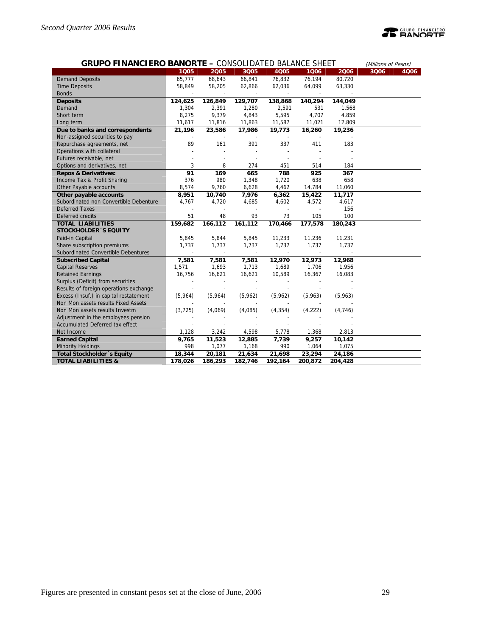# **TEANORTE**

| <b>GRUPO FINANCIERO BANORTE - CONSOLIDATED BALANCE SHEET</b> |          | (Millions of Pesos) |                          |          |         |          |      |      |
|--------------------------------------------------------------|----------|---------------------|--------------------------|----------|---------|----------|------|------|
|                                                              | 1Q05     | 2005                | 3Q05                     | 4Q05     | 1006    | 2006     | 3Q06 | 4006 |
| <b>Demand Deposits</b>                                       | 65,777   | 68,643              | 66,841                   | 76,832   | 76,194  | 80,720   |      |      |
| <b>Time Deposits</b>                                         | 58,849   | 58,205              | 62,866                   | 62,036   | 64,099  | 63,330   |      |      |
| <b>Bonds</b>                                                 |          |                     |                          |          |         |          |      |      |
| <b>Deposits</b>                                              | 124,625  | 126,849             | 129,707                  | 138,868  | 140,294 | 144,049  |      |      |
| Demand                                                       | 1,304    | 2,391               | 1,280                    | 2,591    | 531     | 1,568    |      |      |
| Short term                                                   | 8,275    | 9,379               | 4,843                    | 5,595    | 4,707   | 4,859    |      |      |
| Long term                                                    | 11,617   | 11,816              | 11,863                   | 11,587   | 11,021  | 12,809   |      |      |
| Due to banks and correspondents                              | 21,196   | 23,586              | 17,986                   | 19,773   | 16,260  | 19,236   |      |      |
| Non-assigned securities to pay                               |          |                     |                          |          |         |          |      |      |
| Repurchase agreements, net                                   | 89       | 161                 | 391                      | 337      | 411     | 183      |      |      |
| Operations with collateral                                   |          |                     | $\overline{a}$           |          |         |          |      |      |
| Futures receivable, net                                      |          |                     | $\overline{\phantom{a}}$ | ÷        |         |          |      |      |
| Options and derivatives, net                                 | 3        | 8                   | 274                      | 451      | 514     | 184      |      |      |
| <b>Repos &amp; Derivatives:</b>                              | 91       | 169                 | 665                      | 788      | 925     | 367      |      |      |
| Income Tax & Profit Sharing                                  | 376      | 980                 | 1,348                    | 1,720    | 638     | 658      |      |      |
| Other Payable accounts                                       | 8,574    | 9,760               | 6,628                    | 4,462    | 14,784  | 11,060   |      |      |
| Other payable accounts                                       | 8,951    | 10,740              | 7,976                    | 6,362    | 15,422  | 11,717   |      |      |
| Subordinated non Convertible Debenture                       | 4,767    | 4,720               | 4,685                    | 4,602    | 4,572   | 4,617    |      |      |
| <b>Deferred Taxes</b>                                        |          |                     | $\overline{\phantom{a}}$ |          |         | 156      |      |      |
| Deferred credits                                             | 51       | 48                  | 93                       | 73       | 105     | 100      |      |      |
| <b>TOTAL LIABILITIES</b>                                     | 159,682  | 166,112             | 161,112                  | 170,466  | 177,578 | 180,243  |      |      |
| <b>STOCKHOLDER 'S EQUITY</b>                                 |          |                     |                          |          |         |          |      |      |
| Paid-in Capital                                              | 5,845    | 5,844               | 5,845                    | 11,233   | 11,236  | 11,231   |      |      |
| Share subscription premiums                                  | 1,737    | 1,737               | 1,737                    | 1,737    | 1,737   | 1,737    |      |      |
| Subordinated Convertible Debentures                          |          |                     |                          |          |         |          |      |      |
| <b>Subscribed Capital</b>                                    | 7,581    | 7,581               | 7,581                    | 12,970   | 12,973  | 12,968   |      |      |
| <b>Capital Reserves</b>                                      | 1,571    | 1,693               | 1,713                    | 1,689    | 1,706   | 1,956    |      |      |
| <b>Retained Earnings</b>                                     | 16,756   | 16,621              | 16,621                   | 10,589   | 16,367  | 16,083   |      |      |
| Surplus (Deficit) from securities                            |          |                     |                          |          |         |          |      |      |
| Results of foreign operations exchange                       |          |                     |                          |          |         |          |      |      |
| Excess (Insuf.) in capital restatement                       | (5,964)  | (5,964)             | (5,962)                  | (5,962)  | (5,963) | (5,963)  |      |      |
| Non Mon assets results Fixed Assets                          |          |                     |                          |          |         |          |      |      |
| Non Mon assets results Investm                               | (3, 725) | (4,069)             | (4,085)                  | (4, 354) | (4,222) | (4, 746) |      |      |
| Adjustment in the employees pension                          |          |                     |                          |          |         |          |      |      |
| Accumulated Deferred tax effect                              |          |                     |                          |          |         |          |      |      |
| Net Income                                                   | 1,128    | 3,242               | 4,598                    | 5,778    | 1,368   | 2,813    |      |      |
| <b>Earned Capital</b>                                        | 9,765    | 11,523              | 12,885                   | 7,739    | 9,257   | 10,142   |      |      |
| <b>Minority Holdings</b>                                     | 998      | 1,077               | 1,168                    | 990      | 1,064   | 1,075    |      |      |
| Total Stockholder 's Equity                                  | 18,344   | 20,181              | 21,634                   | 21,698   | 23,294  | 24,186   |      |      |
| <b>TOTAL LIABILITIES &amp;</b>                               | 178,026  | 186,293             | 182,746                  | 192,164  | 200,872 | 204,428  |      |      |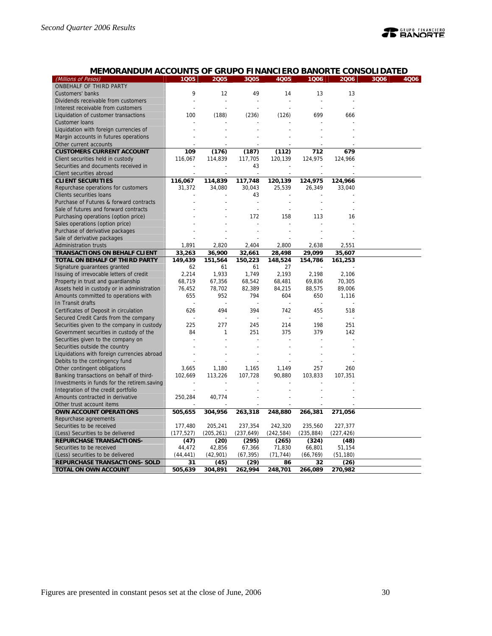| MEMORANDUM ACCOUNTS OF GRUPO FINANCIERO BANORTE CONSOLIDATED |                |                |                |            |                |            |              |
|--------------------------------------------------------------|----------------|----------------|----------------|------------|----------------|------------|--------------|
| (Millions of Pesos)                                          | 1005           | 2005           | 3Q05           | 4Q05       | 1006           | 2006       | 3006<br>4Q06 |
| ONBEHALF OF THIRD PARTY                                      |                |                |                |            |                |            |              |
| Customers' banks                                             | 9              | 12             | 49             | 14         | 13             | 13         |              |
| Dividends receivable from customers                          | $\overline{a}$ | $\overline{a}$ | $\overline{a}$ |            | $\overline{a}$ |            |              |
| Interest receivable from customers                           |                |                |                |            |                |            |              |
| Liquidation of customer transactions                         | 100            | (188)          | (236)          | (126)      | 699            | 666        |              |
| <b>Customer loans</b>                                        |                |                |                |            |                |            |              |
| Liquidation with foreign currencies of                       |                |                |                |            |                |            |              |
| Margin accounts in futures operations                        |                |                |                |            |                |            |              |
| Other current accounts                                       |                |                |                |            |                |            |              |
| <b>CUSTOMERS CURRENT ACCOUNT</b>                             | 109            | (176)          | (187)          | (112)      | 712            | 679        |              |
| Client securities held in custody                            | 116,067        | 114,839        | 117,705        | 120,139    | 124,975        | 124,966    |              |
| Securities and documents received in                         |                |                | 43             |            |                |            |              |
| Client securities abroad                                     |                |                |                |            |                |            |              |
| <b>CLIENT SECURITIES</b>                                     | 116,067        | 114,839        | 117,748        | 120,139    | 124,975        | 124,966    |              |
| Repurchase operations for customers                          | 31,372         | 34,080         | 30,043         | 25,539     | 26,349         | 33,040     |              |
| Clients securities loans                                     |                |                | 43             |            |                |            |              |
| Purchase of Futures & forward contracts                      |                |                |                |            |                |            |              |
| Sale of futures and forward contracts                        |                |                | $\overline{a}$ |            |                |            |              |
| Purchasing operations (option price)                         |                |                | 172            | 158        | 113            | 16         |              |
| Sales operations (option price)                              |                |                |                |            |                |            |              |
| Purchase of derivative packages                              |                |                |                |            |                |            |              |
| Sale of derivative packages                                  |                |                |                |            |                |            |              |
| Administration trusts                                        | 1,891          | 2,820          | 2,404          | 2,800      | 2,638          | 2,551      |              |
| <b>TRANSACTIONS ON BEHALF CLIENT</b>                         | 33,263         | 36,900         | 32,661         | 28,498     | 29,099         | 35,607     |              |
| TOTAL ON BEHALF OF THIRD PARTY                               | 149,439        | 151,564        | 150,223        | 148,524    | 154,786        | 161,253    |              |
| Signature guarantees granted                                 | 62             | 61             | 61             | 27         |                |            |              |
| Issuing of irrevocable letters of credit                     | 2,214          | 1,933          | 1,749          | 2,193      | 2,198          | 2,106      |              |
| Property in trust and guardianship                           | 68,719         | 67,356         | 68,542         | 68,481     | 69,836         | 70,305     |              |
| Assets held in custody or in administration                  | 76,452         | 78,702         | 82,389         | 84,215     | 88,575         | 89,006     |              |
| Amounts committed to operations with                         | 655            | 952            | 794            | 604        | 650            | 1,116      |              |
| In Transit drafts                                            |                |                |                |            |                |            |              |
| Certificates of Deposit in circulation                       | 626            | 494            | 394            | 742        | 455            | 518        |              |
| Secured Credit Cards from the company                        |                |                |                |            |                |            |              |
| Securities given to the company in custody                   | 225            | 277            | 245            | 214        | 198            | 251        |              |
| Government securities in custody of the                      | 84             | 1              | 251            | 375        | 379            | 142        |              |
| Securities given to the company on                           |                |                |                |            |                |            |              |
| Securities outside the country                               |                |                |                |            |                |            |              |
| Liquidations with foreign currencies abroad                  |                |                |                |            |                |            |              |
| Debits to the contingency fund                               |                |                |                |            |                |            |              |
| Other contingent obligations                                 | 3,665          | 1,180          | 1,165          | 1,149      | 257            | 260        |              |
| Banking transactions on behalf of third-                     | 102,669        | 113,226        | 107,728        | 90,880     | 103,833        | 107,351    |              |
| Investments in funds for the retirem.saving                  |                |                |                |            |                |            |              |
| Integration of the credit portfolio                          |                |                |                |            |                |            |              |
| Amounts contracted in derivative                             | 250,284        | 40,774         |                |            |                |            |              |
| Other trust account items                                    |                |                |                |            |                |            |              |
| OWN ACCOUNT OPERATIONS                                       | 505,655        | 304,956        | 263,318        | 248,880    | 266,381        | 271,056    |              |
| Repurchase agreements                                        |                |                |                |            |                |            |              |
| Securities to be received                                    | 177,480        | 205,241        | 237,354        | 242,320    | 235,560        | 227,377    |              |
| (Less) Securities to be delivered                            | (177, 527)     | (205, 261)     | (237, 649)     | (242, 584) | (235, 884)     | (227, 426) |              |
| <b>REPURCHASE TRANSACTIONS-</b>                              | (47)           | (20)           | (295)          | (265)      | (324)          | (48)       |              |
| Securities to be received                                    | 44,472         | 42,856         | 67,366         | 71,830     | 66,801         | 51,154     |              |
| (Less) securities to be delivered                            | (44, 441)      | (42,901)       | (67, 395)      | (71, 744)  | (66, 769)      | (51, 180)  |              |
| REPURCHASE TRANSACTIONS- SOLD                                | 31             | (45)           | (29)           | 86         | 32             | (26)       |              |
| TOTAL ON OWN ACCOUNT                                         | 505,639        | 304,891        | 262,994        | 248,701    | 266,089        | 270,982    |              |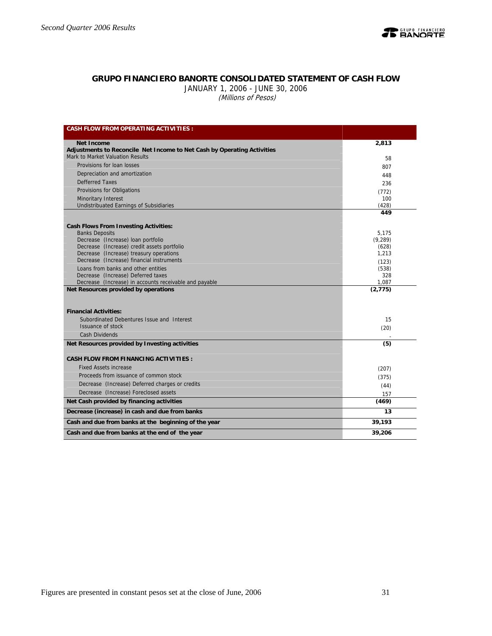

## **GRUPO FINANCIERO BANORTE CONSOLIDATED STATEMENT OF CASH FLOW**

JANUARY 1, 2006 - JUNE 30, 2006 (Millions of Pesos)

| <b>CASH FLOW FROM OPERATING ACTIVITIES:</b>                                          |                |
|--------------------------------------------------------------------------------------|----------------|
| <b>Net Income</b>                                                                    | 2,813          |
| Adjustments to Reconcile Net Income to Net Cash by Operating Activities              |                |
| Mark to Market Valuation Results                                                     | 58             |
| Provisions for loan losses                                                           | 807            |
| Depreciation and amortization                                                        | 448            |
| <b>Defferred Taxes</b>                                                               | 236            |
| Provisions for Obligations                                                           | (772)          |
| Minoritary Interest                                                                  | 100            |
| Undistribuated Earnings of Subsidiaries                                              | (428)          |
|                                                                                      | 449            |
| <b>Cash Flows From Investing Activities:</b>                                         |                |
| <b>Banks Deposits</b>                                                                | 5,175          |
| Decrease (Increase) loan portfolio                                                   | (9, 289)       |
| Decrease (Increase) credit assets portfolio                                          | (628)<br>1.213 |
| Decrease (Increase) treasury operations<br>Decrease (Increase) financial instruments |                |
| Loans from banks and other entities                                                  | (123)<br>(538) |
| Decrease (Increase) Deferred taxes                                                   | 328            |
| Decrease (Increase) in accounts receivable and payable                               | 1,087          |
| Net Resources provided by operations                                                 | (2, 775)       |
|                                                                                      |                |
| <b>Financial Activities:</b>                                                         |                |
| Subordinated Debentures Issue and Interest                                           | 15             |
| <b>Issuance of stock</b>                                                             | (20)           |
| Cash Dividends                                                                       |                |
| Net Resources provided by Investing activities                                       | (5)            |
|                                                                                      |                |
| <b>CASH FLOW FROM FINANCING ACTIVITIES:</b>                                          |                |
| <b>Fixed Assets increase</b>                                                         | (207)          |
| Proceeds from issuance of common stock                                               | (375)          |
| Decrease (Increase) Deferred charges or credits                                      | (44)           |
| Decrease (Increase) Foreclosed assets                                                | 157            |
| Net Cash provided by financing activities                                            | (469)          |
| Decrease (increase) in cash and due from banks                                       | 13             |
| Cash and due from banks at the beginning of the year                                 | 39,193         |
| Cash and due from banks at the end of the year                                       | 39,206         |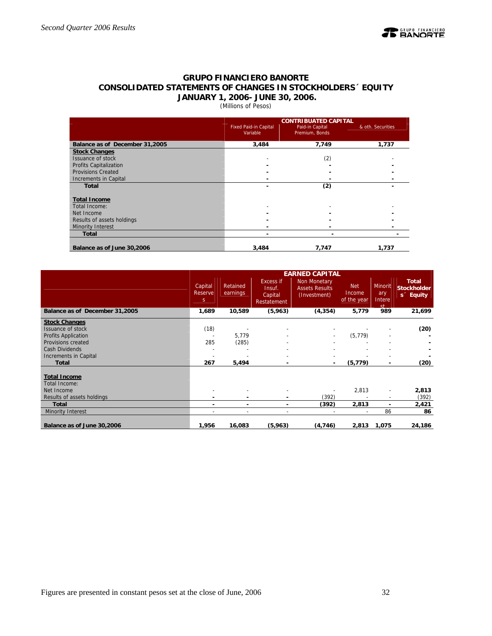

## **GRUPO FINANCIERO BANORTE CONSOLIDATED STATEMENTS OF CHANGES IN STOCKHOLDERS´ EQUITY JANUARY 1, 2006- JUNE 30, 2006.**

## (Millions of Pesos)

|                                |                                          | <b>CONTRIBUATED CAPITAL</b>       |                   |
|--------------------------------|------------------------------------------|-----------------------------------|-------------------|
|                                | <b>Fixed Paid-in Capital</b><br>Variable | Paid-in Capital<br>Premium, Bonds | & oth. Securities |
| Balance as of December 31,2005 | 3,484                                    | 7,749                             | 1,737             |
| <b>Stock Changes</b>           |                                          |                                   |                   |
| Issuance of stock              |                                          | (2)                               |                   |
| <b>Profits Capitalization</b>  |                                          |                                   |                   |
| <b>Provisions Created</b>      |                                          |                                   |                   |
| Increments in Capital          |                                          |                                   |                   |
| <b>Total</b>                   |                                          | (2)                               |                   |
| <b>Total Income</b>            |                                          |                                   |                   |
| Total Income:                  |                                          |                                   |                   |
| Net Income                     |                                          |                                   |                   |
| Results of assets holdings     |                                          |                                   |                   |
| Minority Interest              |                                          |                                   |                   |
| <b>Total</b>                   |                                          |                                   |                   |
| Balance as of June 30,2006     | 3,484                                    | 7,747                             | 1,737             |

|                                |                          |                      |                                               | <b>EARNED CAPITAL</b>                                 |                                     |                                                  |                                                             |
|--------------------------------|--------------------------|----------------------|-----------------------------------------------|-------------------------------------------------------|-------------------------------------|--------------------------------------------------|-------------------------------------------------------------|
|                                | Capital<br>Reserve<br>S. | Retained<br>earnings | Excess if<br>Insuf.<br>Capital<br>Restatement | Non Monetary<br><b>Assets Results</b><br>(Investment) | <b>Net</b><br>Income<br>of the year | <b>Minorit</b><br>ary<br>Intere<br><sub>ct</sub> | <b>Total</b><br><b>Stockholder</b><br>s <sup>-</sup> Equity |
| Balance as of December 31,2005 | 1,689                    | 10,589               | (5,963)                                       | (4, 354)                                              | 5,779                               | 989                                              | 21,699                                                      |
| <b>Stock Changes</b>           |                          |                      |                                               |                                                       |                                     |                                                  |                                                             |
| Issuance of stock              | (18)                     |                      |                                               |                                                       |                                     |                                                  | (20)                                                        |
| Profits Application            |                          | 5,779                |                                               |                                                       | (5, 779)                            |                                                  |                                                             |
| Provisions created             | 285                      | (285)                |                                               |                                                       |                                     |                                                  |                                                             |
| Cash Dividends                 |                          |                      |                                               |                                                       |                                     |                                                  |                                                             |
| Increments in Capital          |                          |                      |                                               |                                                       |                                     |                                                  |                                                             |
| Total                          | 267                      | 5,494                |                                               |                                                       | (5, 779)                            | ٠                                                | (20)                                                        |
| <b>Total Income</b>            |                          |                      |                                               |                                                       |                                     |                                                  |                                                             |
| Total Income:                  |                          |                      |                                               |                                                       |                                     |                                                  |                                                             |
| Net Income                     |                          |                      |                                               |                                                       | 2,813                               | $\overline{\phantom{0}}$                         | 2,813                                                       |
| Results of assets holdings     |                          |                      |                                               | (392)                                                 |                                     | $\overline{\phantom{a}}$                         | (392)                                                       |
| <b>Total</b>                   | ۰                        | ۰                    | $\overline{\phantom{0}}$                      | (392)                                                 | 2,813                               | ٠                                                | 2,421                                                       |
| Minority Interest              |                          |                      | $\overline{\phantom{a}}$                      |                                                       | $\overline{\phantom{a}}$            | 86                                               | 86                                                          |
|                                |                          |                      |                                               |                                                       |                                     |                                                  |                                                             |
| Balance as of June 30,2006     | 1,956                    | 16,083               | (5,963)                                       | (4, 746)                                              | 2,813                               | 1,075                                            | 24,186                                                      |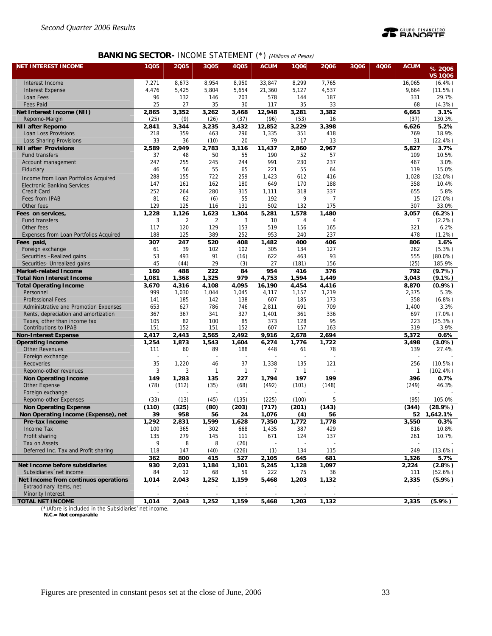

## **BANKING SECTOR- INCOME STATEMENT (\*) (Millions of Pesos)**

| <b>NET INTEREST INCOME</b>             | 1Q05         | 2005           | 3Q05           | <b>4Q05</b>  | <b>ACUM</b>  | 1Q06               | 2006           | 3Q06 | 4Q06 | <b>ACUM</b>  |                          |
|----------------------------------------|--------------|----------------|----------------|--------------|--------------|--------------------|----------------|------|------|--------------|--------------------------|
|                                        |              |                |                |              |              |                    |                |      |      |              | % 2006<br><b>VS 1006</b> |
| Interest Income                        | 7,271        | 8,673          | 8,954          | 8,950        | 33,847       | 8,299              | 7,765          |      |      | 16,065       | (6.4%)                   |
| <b>Interest Expense</b>                | 4,476        | 5,425          | 5,804          | 5,654        | 21,360       | 5,127              | 4,537          |      |      | 9,664        | (11.5%)                  |
| Loan Fees                              | 96           | 132            | 146            | 203          | 578          | 144                | 187            |      |      | 331          | 29.7%                    |
| <b>Fees Paid</b>                       | 25           | 27             | 35             | 30           | 117          | 35                 | 33             |      |      | 68           | (4.3%)                   |
| Net Interest Income (NII)              | 2,865        | 3,352          | 3,262          | 3,468        | 12,948       | 3,281              | 3,382          |      |      | 6,663        | 3.1%                     |
| Repomo-Margin                          | (25)         | (9)            | (26)           | (37)         | (96)         | (53)               | 16             |      |      | (37)         | 130.3%                   |
| <b>NII after Repomo</b>                | 2,841        | 3,344          | 3,235          | 3,432        | 12,852       | 3,229              | 3,398          |      |      | 6,626        | 5.2%                     |
| Loan Loss Provisions                   | 218          | 359            | 463            | 296          | 1,335        | 351                | 418            |      |      | 769          | 18.9%                    |
| <b>Loss Sharing Provisions</b>         | 33           | 36             | (10)           | 20           | 79           | 17                 | 13             |      |      | 31           | (22.4%)                  |
| <b>NII after Provisions</b>            | 2,589        | 2,949          | 2,783          | 3,116        | 11,437       | $\overline{2,860}$ | 2,967          |      |      | 5,827        | 3.7%                     |
| <b>Fund transfers</b>                  | 37           | 48             | 50             | 55           | 190          | 52                 | 57             |      |      | 109          | 10.5%                    |
| Account management                     | 247          | 255            | 245            | 244          | 991          | 230                | 237            |      |      | 467          | 3.0%                     |
| Fiduciary                              | 46           | 56             | 55             | 65           | 221          | 55                 | 64             |      |      | 119          | 15.0%                    |
| Income from Loan Portfolios Acquired   | 288          | 155            | 722            | 259          | 1,423        | 612                | 416            |      |      | 1,028        | $(32.0\%)$               |
| <b>Electronic Banking Services</b>     | 147          | 161            | 162            | 180          | 649          | 170                | 188            |      |      | 358          | 10.4%                    |
| <b>Credit Card</b>                     | 252          | 264            | 280            | 315          | 1,111        | 318                | 337            |      |      | 655          | 5.8%                     |
| Fees from IPAB                         | 81           | 62             | (6)            | 55           | 192          | 9                  | $\overline{7}$ |      |      | 15           | (27.0%)                  |
| Other fees                             | 129          | 125            | 116            | 131          | 502          | 132                | 175            |      |      | 307          | 33.0%                    |
| Fees on services,                      | 1,228        | 1,126          | 1,623          | 1,304        | 5,281        | 1,578              | 1,480          |      |      | 3,057        | (6.2%)                   |
| <b>Fund transfers</b>                  | 3            | $\overline{2}$ | $\overline{2}$ | 3            | 10           | 4                  | $\overline{4}$ |      |      | 7            | (2.2%)                   |
| Other fees                             | 117          | 120            | 129            | 153          | 519          | 156                | 165            |      |      | 321          | 6.2%                     |
| Expenses from Loan Portfolios Acquired | 188          | 125            | 389            | 252          | 953          | 240                | 237            |      |      | 478          | (1.2%)                   |
| Fees paid,                             | 307          | 247            | 520            | 408          | 1,482        | 400                | 406            |      |      | 806          | 1.6%                     |
| Foreign exchange                       | 61           | 39             | 102            | 102          | 305          | 134                | 127            |      |      | 262          | (5.3%)                   |
| Securities -Realized gains             | 53           | 493            | 91             | (16)         | 622          | 463                | 93             |      |      | 555          | $(80.0\%)$               |
| Securities- Unrealized gains           | 45           | (44)           | 29             | (3)          | 27           | (181)              | 156            |      |      | (25)         | 185.9%                   |
| <b>Market-related Income</b>           | 160          | 488            | 222            | 84           | 954          | 416                | 376            |      |      | 792          | (9.7%)                   |
| <b>Total Non Interest Income</b>       | 1,081        | 1,368          | 1,325          | 979          | 4,753        | 1,594              | 1,449          |      |      | 3,043        | $(9.1\%)$                |
| <b>Total Operating Income</b>          | 3,670<br>999 | 4,316          | 4,108<br>1,044 | 4,095        | 16,190       | 4,454              | 4,416          |      |      | 8,870        | (0.9%                    |
| Personnel<br><b>Professional Fees</b>  | 141          | 1,030<br>185   | 142            | 1,045<br>138 | 4,117<br>607 | 1,157<br>185       | 1,219<br>173   |      |      | 2,375<br>358 | 5.3%<br>(6.8%)           |
| Administrative and Promotion Expenses  | 653          | 627            | 786            | 746          | 2,811        | 691                | 709            |      |      | 1,400        | 3.3%                     |
| Rents, depreciation and amortization   | 367          | 367            | 341            | 327          | 1,401        | 361                | 336            |      |      | 697          | $(7.0\%)$                |
| Taxes, other than income tax           | 105          | 82             | 100            | 85           | 373          | 128                | 95             |      |      | 223          | (25.3%)                  |
| <b>Contributions to IPAB</b>           | 151          | 152            | 151            | 152          | 607          | 157                | 163            |      |      | 319          | 3.9%                     |
| <b>Non-Interest Expense</b>            | 2,417        | 2,443          | 2,565          | 2,492        | 9,916        | 2,678              | 2,694          |      |      | 5,372        | 0.6%                     |
| <b>Operating Income</b>                | 1,254        | 1,873          | 1,543          | 1,604        | 6,274        | 1,776              | 1,722          |      |      | 3,498        | $(3.0\%)$                |
| <b>Other Revenues</b>                  | 111          | 60             | 89             | 188          | 448          | 61                 | 78             |      |      | 139          | 27.4%                    |
| Foreign exchange                       |              |                |                |              |              |                    |                |      |      |              |                          |
| Recoveries                             | 35           | 1,220          | 46             | 37           | 1,338        | 135                | 121            |      |      | 256          | (10.5%)                  |
| Repomo-other revenues                  | 3            | 3              | 1              | $\mathbf{1}$ | 7            | $\mathbf{1}$       |                |      |      | $\mathbf{1}$ | (102.4%)                 |
| <b>Non Operating Income</b>            | 149          | 1,283          | 135            | 227          | 1,794        | 197                | 199            |      |      | 396          | 0.7%                     |
| <b>Other Expense</b>                   | (78)         | (312)          | (35)           | (68)         | (492)        | (101)              | (148)          |      |      | (249)        | 46.3%                    |
| Foreign exchange                       |              |                |                |              |              |                    |                |      |      |              |                          |
| Repomo-other Expenses                  | (33)         | (13)           | (45)           | (135)        | (225)        | (100)              | 5              |      |      | (95)         | 105.0%                   |
| <b>Non Operating Expense</b>           | (110)        | (325)          | (80)           | (203)        | (717)        | (201)              | (143)          |      |      | (344)        | (28.9%)                  |
| Non Operating Income (Expense), net    | 39           | 958            | 56             | 24           | 1,076        | (4)                | 56             |      |      | 52           | 1,642.1%                 |
| Pre-tax Income                         | 1,292        | 2,831          | 1,599          | 1,628        | 7,350        | 1,772              | 1,778          |      |      | 3,550        | $0.3\%$                  |
| Income Tax                             | 100          | 365            | 302            | 668          | 1,435        | 387                | 429            |      |      | 816          | 10.8%                    |
| Profit sharing                         | 135          | 279            | 145            | 111          | 671          | 124                | 137            |      |      | 261          | 10.7%                    |
| Tax on Assets                          | 9            | 8              | 8              | (26)         |              |                    |                |      |      |              |                          |
| Deferred Inc. Tax and Profit sharing   | 118          | 147            | (40)           | (226)        | (1)          | 134                | 115            |      |      | 249          | (13.6%)                  |
|                                        | 362          | 800            | 415            | 527          | 2,105        | 645                | 681            |      |      | 1,326        | 5.7%                     |
| Net Income before subsidiaries         | 930          | 2,031          | 1,184          | 1,101        | 5,245        | 1,128              | 1,097          |      |      | 2,224        | (2.8%)                   |
| Subsidiaries 'net income               | 84           | 12             | 68             | 59           | 222          | 75                 | 36             |      |      | 111          | (52.6%)                  |
| Net Income from continuos operations   | 1,014        | 2,043          | 1,252          | 1,159        | 5,468        | 1,203              | 1,132          |      |      | 2,335        | $(5.9\%)$                |
| Extraodinary items, net                |              |                |                |              |              |                    |                |      |      |              |                          |
| Minority Interest                      |              |                |                |              |              |                    |                |      |      |              |                          |
| <b>TOTAL NET INCOME</b>                | 1,014        | 2,043          | 1,252          | 1,159        | 5,468        | 1,203              | 1,132          |      |      | 2,335        | $(5.9\%)$                |

(\*)Afore is included in the Subsidiaries' net income.  **N.C.= Not comparable**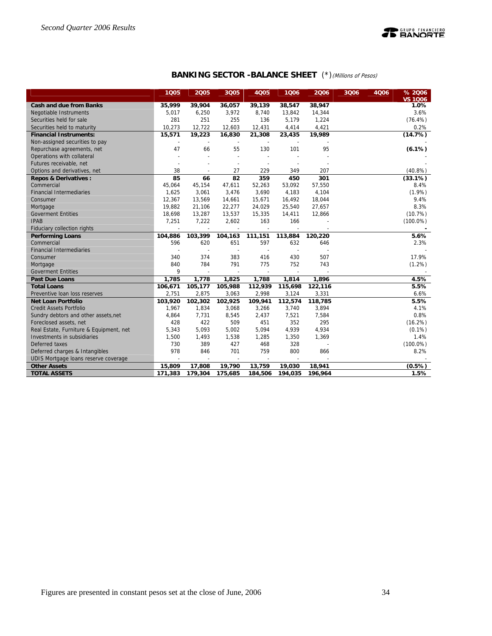

## **BANKING SECTOR -BALANCE SHEET** (\*)(Millions of Pesos)

|                                         | 1Q05           | 2005                     | 3Q05                     | <b>4Q05</b>              | 1Q06    | 2006    | 3Q06 | 4Q06 | % 2006<br><b>VS 1006</b> |
|-----------------------------------------|----------------|--------------------------|--------------------------|--------------------------|---------|---------|------|------|--------------------------|
| <b>Cash and due from Banks</b>          | 35,999         | 39,904                   | 36,057                   | 39,139                   | 38,547  | 38,947  |      |      | 1.0%                     |
| <b>Negotiable Instruments</b>           | 5,017          | 6,250                    | 3,972                    | 8,740                    | 13,842  | 14,344  |      |      | 3.6%                     |
| Securities held for sale                | 281            | 251                      | 255                      | 136                      | 5,179   | 1,224   |      |      | $(76.4\%)$               |
| Securities held to maturity             | 10,273         | 12,722                   | 12,603                   | 12,431                   | 4,414   | 4,421   |      |      | 0.2%                     |
| <b>Financial Instruments:</b>           | 15,571         | 19,223                   | 16,830                   | 21,308                   | 23,435  | 19,989  |      |      | (14.7%)                  |
| Non-assigned securities to pay          |                |                          |                          |                          |         |         |      |      |                          |
| Repurchase agreements, net              | 47             | 66                       | 55                       | 130                      | 101     | 95      |      |      | (6.1%)                   |
| Operations with collateral              |                |                          | $\overline{\phantom{a}}$ |                          |         |         |      |      |                          |
| Futures receivable, net                 |                |                          |                          |                          |         |         |      |      |                          |
| Options and derivatives, net            | 38             | $\overline{\phantom{a}}$ | 27                       | 229                      | 349     | 207     |      |      | $(40.8\%)$               |
| <b>Repos &amp; Derivatives:</b>         | 85             | 66                       | 82                       | 359                      | 450     | 301     |      |      | (33.1%)                  |
| Commercial                              | 45,064         | 45,154                   | 47,611                   | 52,263                   | 53,092  | 57,550  |      |      | 8.4%                     |
| <b>Financial Intermediaries</b>         | 1,625          | 3,061                    | 3,476                    | 3,690                    | 4,183   | 4,104   |      |      | $(1.9\%)$                |
| Consumer                                | 12,367         | 13,569                   | 14,661                   | 15,671                   | 16,492  | 18,044  |      |      | 9.4%                     |
| Mortgage                                | 19,882         | 21,106                   | 22,277                   | 24,029                   | 25,540  | 27,657  |      |      | 8.3%                     |
| <b>Goverment Entities</b>               | 18,698         | 13,287                   | 13,537                   | 15,335                   | 14,411  | 12,866  |      |      | (10.7%)                  |
| <b>IPAB</b>                             | 7,251          | 7,222                    | 2,602                    | 163                      | 166     |         |      |      | $(100.0\%)$              |
| Fiduciary collection rights             |                |                          |                          |                          |         |         |      |      |                          |
| <b>Performing Loans</b>                 | 104,886        | 103,399                  | 104,163                  | 111,151                  | 113,884 | 120,220 |      |      | 5.6%                     |
| Commercial                              | 596            | 620                      | 651                      | 597                      | 632     | 646     |      |      | 2.3%                     |
| <b>Financial Intermediaries</b>         |                | $\overline{\phantom{a}}$ |                          |                          |         |         |      |      |                          |
| Consumer                                | 340            | 374                      | 383                      | 416                      | 430     | 507     |      |      | 17.9%                    |
| Mortgage                                | 840            | 784                      | 791                      | 775                      | 752     | 743     |      |      | $(1.2\%)$                |
| <b>Goverment Entities</b>               | 9              | $\overline{\phantom{a}}$ | $\overline{\phantom{a}}$ | $\overline{\phantom{a}}$ | ÷,      |         |      |      |                          |
| <b>Past Due Loans</b>                   | 1,785          | 1,778                    | 1,825                    | 1,788                    | 1,814   | 1,896   |      |      | 4.5%                     |
| <b>Total Loans</b>                      | 106,671        | 105,177                  | 105,988                  | 112,939                  | 115,698 | 122,116 |      |      | 5.5%                     |
| Preventive loan loss reserves           | 2,751          | 2,875                    | 3,063                    | 2,998                    | 3,124   | 3,331   |      |      | 6.6%                     |
| <b>Net Loan Portfolio</b>               | 103,920        | 102,302                  | 102,925                  | 109,941                  | 112,574 | 118,785 |      |      | 5.5%                     |
| <b>Credit Assets Portfolio</b>          | 1,967          | 1,834                    | 3,068                    | 3,266                    | 3,740   | 3,894   |      |      | 4.1%                     |
| Sundry debtors and other assets, net    | 4,864          | 7,731                    | 8,545                    | 2,437                    | 7,521   | 7,584   |      |      | 0.8%                     |
| Foreclosed assets, net                  | 428            | 422                      | 509                      | 451                      | 352     | 295     |      |      | (16.2%)                  |
| Real Estate, Furniture & Equipment, net | 5,343          | 5,093                    | 5,002                    | 5,094                    | 4,939   | 4,934   |      |      | $(0.1\%)$                |
| Investments in subsidiaries             | 1,500          | 1,493                    | 1,538                    | 1,285                    | 1,350   | 1,369   |      |      | 1.4%                     |
| Deferred taxes                          | 730            | 389                      | 427                      | 468                      | 328     |         |      |      | $(100.0\%)$              |
| Deferred charges & Intangibles          | 978            | 846                      | 701                      | 759                      | 800     | 866     |      |      | 8.2%                     |
| UDIS Mortgage loans reserve coverage    | $\overline{a}$ | $\overline{\phantom{a}}$ | ÷,                       |                          |         |         |      |      |                          |
| <b>Other Assets</b>                     | 15,809         | 17,808                   | 19,790                   | 13,759                   | 19,030  | 18,941  |      |      | (0.5%                    |
| <b>TOTAL ASSETS</b>                     | 171,383        | 179,304                  | 175,685                  | 184,506                  | 194,035 | 196,964 |      |      | 1.5%                     |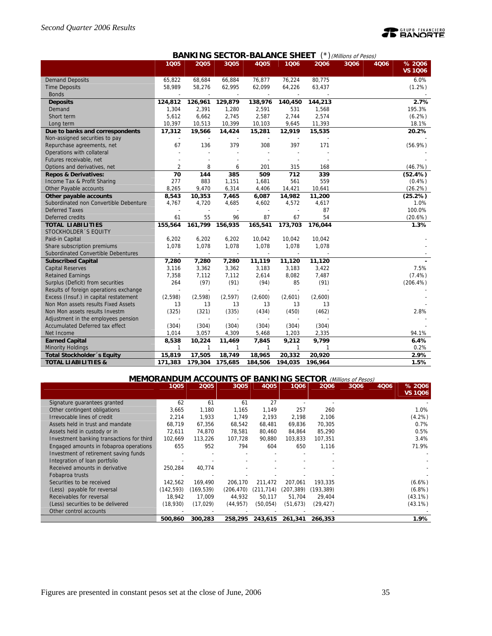# **PEANORTE**

## **BANKING SECTOR-BALANCE SHEET** (\*) (Millions of Pesos)

|                                        | 1Q05           | 2005         | 3Q05    | <b>4Q05</b> | 1006         | 2006    | I(<br>3006 | 4Q06 | % 2006         |
|----------------------------------------|----------------|--------------|---------|-------------|--------------|---------|------------|------|----------------|
|                                        |                |              |         |             |              |         |            |      | <b>VS 1006</b> |
| <b>Demand Deposits</b>                 | 65,822         | 68,684       | 66,884  | 76,877      | 76,224       | 80,775  |            |      | 6.0%           |
| <b>Time Deposits</b>                   | 58,989         | 58,276       | 62,995  | 62,099      | 64,226       | 63,437  |            |      | $(1.2\%)$      |
| <b>Bonds</b>                           |                |              |         |             |              |         |            |      |                |
| <b>Deposits</b>                        | 124,812        | 126,961      | 129,879 | 138,976     | 140,450      | 144,213 |            |      | 2.7%           |
| Demand                                 | 1,304          | 2,391        | 1,280   | 2,591       | 531          | 1,568   |            |      | 195.3%         |
| Short term                             | 5,612          | 6,662        | 2,745   | 2,587       | 2,744        | 2,574   |            |      | (6.2%)         |
| Long term                              | 10,397         | 10,513       | 10,399  | 10,103      | 9,645        | 11,393  |            |      | 18.1%          |
| Due to banks and correspondents        | 17,312         | 19,566       | 14,424  | 15,281      | 12,919       | 15,535  |            |      | 20.2%          |
| Non-assigned securities to pay         |                |              |         |             |              |         |            |      |                |
| Repurchase agreements, net             | 67             | 136          | 379     | 308         | 397          | 171     |            |      | $(56.9\%)$     |
| Operations with collateral             |                |              |         |             |              |         |            |      |                |
| Futures receivable, net                |                |              |         |             |              |         |            |      |                |
| Options and derivatives, net           | $\overline{2}$ | 8            | 6       | 201         | 315          | 168     |            |      | (46.7%)        |
| <b>Repos &amp; Derivatives:</b>        | 70             | 144          | 385     | 509         | 712          | 339     |            |      | (52.4%)        |
| Income Tax & Profit Sharing            | 277            | 883          | 1,151   | 1,681       | 561          | 559     |            |      | (0.4% )        |
| Other Payable accounts                 | 8,265          | 9,470        | 6,314   | 4,406       | 14,421       | 10,641  |            |      | (26.2%)        |
| Other payable accounts                 | 8,543          | 10,353       | 7,465   | 6,087       | 14,982       | 11,200  |            |      | (25.2%)        |
| Subordinated non Convertible Debenture | 4,767          | 4,720        | 4,685   | 4,602       | 4,572        | 4,617   |            |      | 1.0%           |
| <b>Deferred Taxes</b>                  |                |              |         |             |              | 87      |            |      | 100.0%         |
| Deferred credits                       | 61             | 55           | 96      | 87          | 67           | 54      |            |      | (20.6%)        |
| <b>TOTAL LIABILITIES</b>               | 155,564        | 161,799      | 156,935 | 165,541     | 173,703      | 176,044 |            |      | 1.3%           |
| STOCKHOLDER 'S EQUITY                  |                |              |         |             |              |         |            |      |                |
| Paid-in Capital                        | 6,202          | 6,202        | 6,202   | 10,042      | 10,042       | 10,042  |            |      |                |
| Share subscription premiums            | 1,078          | 1,078        | 1,078   | 1,078       | 1,078        | 1,078   |            |      |                |
| Subordinated Convertible Debentures    |                |              |         |             |              |         |            |      |                |
| <b>Subscribed Capital</b>              | 7,280          | 7,280        | 7,280   | 11,119      | 11,120       | 11,120  |            |      |                |
| <b>Capital Reserves</b>                | 3,116          | 3,362        | 3,362   | 3,183       | 3,183        | 3,422   |            |      | 7.5%           |
| <b>Retained Earnings</b>               | 7,358          | 7,112        | 7,112   | 2,614       | 8,082        | 7,487   |            |      | (7.4%)         |
| Surplus (Deficit) from securities      | 264            | (97)         | (91)    | (94)        | 85           | (91)    |            |      | (206.4%)       |
| Results of foreign operations exchange |                |              |         |             |              |         |            |      |                |
| Excess (Insuf.) in capital restatement | (2,598)        | (2,598)      | (2,597) | (2,600)     | (2,601)      | (2,600) |            |      |                |
| Non Mon assets results Fixed Assets    | 13             | 13           | 13      | 13          | 13           | 13      |            |      |                |
| Non Mon assets results Investm         | (325)          | (321)        | (335)   | (434)       | (450)        | (462)   |            |      | 2.8%           |
| Adjustment in the employees pension    |                |              |         |             |              |         |            |      |                |
| Accumulated Deferred tax effect        | (304)          | (304)        | (304)   | (304)       | (304)        | (304)   |            |      |                |
| Net Income                             | 1,014          | 3,057        | 4,309   | 5,468       | 1,203        | 2,335   |            |      | 94.1%          |
| <b>Earned Capital</b>                  | 8,538          | 10,224       | 11,469  | 7,845       | 9,212        | 9,799   |            |      | 6.4%           |
| <b>Minority Holdings</b>               | $\mathbf{1}$   | $\mathbf{1}$ | 1       | 1           | $\mathbf{1}$ | 1       |            |      | 0.2%           |
| <b>Total Stockholder 's Equity</b>     | 15,819         | 17,505       | 18,749  | 18,965      | 20,332       | 20,920  |            |      | 2.9%           |
| <b>TOTAL LIABILITIES &amp;</b>         | 171,383        | 179,304      | 175,685 | 184,506     | 194,035      | 196,964 |            |      | 1.5%           |

## **MEMORANDUM ACCOUNTS OF BANKING SECTOR** (Millions of Pesos)

|                                           | 1005       | 2005      | 3Q05       | <b>4Q05</b> | 1006       | 2006       | 3006 | 4006 | % 2006    |
|-------------------------------------------|------------|-----------|------------|-------------|------------|------------|------|------|-----------|
|                                           |            |           |            |             |            |            |      |      | VS 1Q06   |
| Signature quarantees granted              | 62         | 61        | 61         | 27          |            |            |      |      |           |
| Other contingent obligations              | 3,665      | 1.180     | 1,165      | 1.149       | 257        | 260        |      |      | 1.0%      |
| Irrevocable lines of credit               | 2.214      | 1,933     | 1.749      | 2.193       | 2,198      | 2,106      |      |      | $(4.2\%)$ |
| Assets held in trust and mandate          | 68,719     | 67,356    | 68,542     | 68,481      | 69,836     | 70,305     |      |      | 0.7%      |
| Assets held in custody or in              | 72.611     | 74,870    | 78.581     | 80,460      | 84,864     | 85,290     |      |      | 0.5%      |
| Investment banking transactions for third | 102.669    | 113.226   | 107.728    | 90.880      | 103.833    | 107.351    |      |      | 3.4%      |
| Engaged amounts in fobaproa operations    | 655        | 952       | 794        | 604         | 650        | 1,116      |      |      | 71.9%     |
| Investment of retirement saving funds     |            |           |            |             |            |            |      |      |           |
| Integration of loan portfolio             |            |           |            |             |            |            |      |      |           |
| Received amounts in derivative            | 250,284    | 40,774    |            |             |            |            |      |      |           |
| Fobaproa trusts                           |            |           |            |             |            |            |      |      |           |
| Securities to be received                 | 142.562    | 169.490   | 206,170    | 211.472     | 207.061    | 193.335    |      |      | $(6.6\%)$ |
| (Less) payable for reversal               | (142, 593) | (169,539) | (206, 470) | (211, 714)  | (207, 389) | (193, 389) |      |      | $(6.8\%)$ |
| Receivables for reversal                  | 18.942     | 17,009    | 44,932     | 50,117      | 51,704     | 29,404     |      |      | (43.1%)   |
| (Less) securities to be delivered         | (18,930)   | (17, 029) | (44, 957)  | (50, 054)   | (51,673)   | (29,427)   |      |      | (43.1%)   |
| Other control accounts                    |            |           |            |             |            |            |      |      |           |
|                                           | 500,860    | 300,283   | 258,295    | 243,615     | 261,341    | 266,353    |      |      | 1.9%      |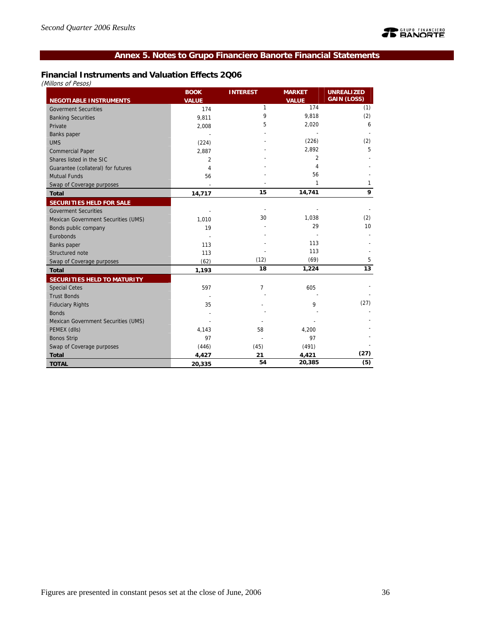## **Annex 5. Notes to Grupo Financiero Banorte Financial Statements**

## **Financial Instruments and Valuation Effects 2Q06**

(Millons of Pesos)

|                                     | <b>BOOK</b>  | <b>INTEREST</b> | <b>MARKET</b>       | <b>UNREALIZED</b><br><b>GAIN (LOSS)</b> |
|-------------------------------------|--------------|-----------------|---------------------|-----------------------------------------|
| <b>NEGOTIABLE INSTRUMENTS</b>       | <b>VALUE</b> | $\mathbf{1}$    | <b>VALUE</b><br>174 | (1)                                     |
| <b>Goverment Securities</b>         | 174          | 9               |                     |                                         |
| <b>Banking Securities</b>           | 9,811        |                 | 9,818               | (2)                                     |
| Private                             | 2,008        | 5               | 2,020               | 6                                       |
| <b>Banks</b> paper                  |              |                 |                     |                                         |
| <b>UMS</b>                          | (224)        |                 | (226)               | (2)                                     |
| <b>Commercial Paper</b>             | 2,887        |                 | 2,892               | 5                                       |
| Shares listed in the SIC            | 2            |                 | $\overline{2}$      |                                         |
| Guarantee (collateral) for futures  | 4            |                 | 4                   |                                         |
| <b>Mutual Funds</b>                 | 56           |                 | 56                  |                                         |
| Swap of Coverage purposes           |              |                 | 1                   | 1                                       |
| <b>Total</b>                        | 14,717       | 15              | 14,741              | 9                                       |
| <b>SECURITIES HELD FOR SALE</b>     |              |                 |                     |                                         |
| <b>Goverment Securities</b>         |              |                 |                     |                                         |
| Mexican Government Securities (UMS) | 1,010        | 30              | 1,038               | (2)                                     |
| Bonds public company                | 19           |                 | 29                  | 10                                      |
| Eurobonds                           |              |                 |                     |                                         |
| Banks paper                         | 113          |                 | 113                 |                                         |
| Structured note                     | 113          |                 | 113                 |                                         |
| Swap of Coverage purposes           | (62)         | (12)            | (69)                | 5                                       |
| <b>Total</b>                        | 1,193        | 18              | 1,224               | 13                                      |
| SECURITIES HELD TO MATURITY         |              |                 |                     |                                         |
| <b>Special Cetes</b>                | 597          | $\overline{7}$  | 605                 |                                         |
| <b>Trust Bonds</b>                  |              |                 |                     |                                         |
| <b>Fiduciary Rights</b>             | 35           |                 | 9                   | (27)                                    |
| <b>Bonds</b>                        |              |                 |                     |                                         |
| Mexican Government Securities (UMS) |              |                 |                     |                                         |
| PEMEX (dlls)                        | 4,143        | 58              | 4,200               |                                         |
| <b>Bonos Strip</b>                  | 97           |                 | 97                  |                                         |
| Swap of Coverage purposes           | (446)        | (45)            | (491)               |                                         |
| <b>Total</b>                        | 4,427        | 21              | 4,421               | (27)                                    |
| <b>TOTAL</b>                        | 20,335       | 54              | 20,385              | (5)                                     |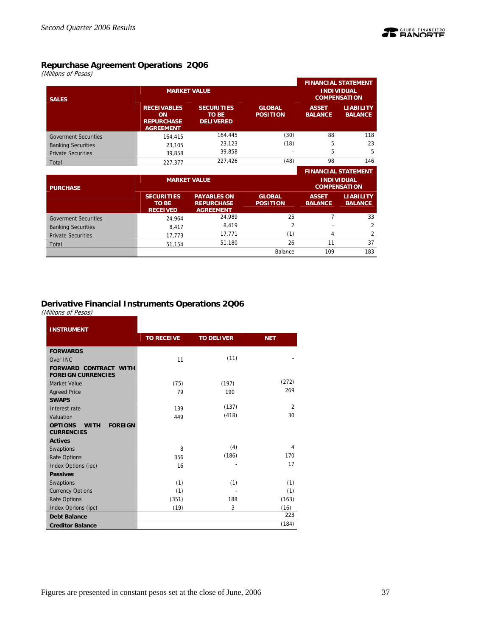

## **Repurchase Agreement Operations 2Q06**

(Millions of Pesos)

| <b>SALES</b>                |                                                                   | <b>MARKET VALUE</b>                                         |                                  | <b>FINANCIAL STATEMENT</b><br><b>INDIVIDUAL</b><br><b>COMPENSATION</b> |                                          |  |
|-----------------------------|-------------------------------------------------------------------|-------------------------------------------------------------|----------------------------------|------------------------------------------------------------------------|------------------------------------------|--|
|                             | <b>RECEIVABLES</b><br>ON<br><b>REPURCHASE</b><br><b>AGREEMENT</b> | <b>SECURITIES</b><br><b>TO BE</b><br><b>DELIVERED</b>       | <b>GLOBAL</b><br><b>POSITION</b> | <b>ASSET</b><br><b>BALANCE</b>                                         | <b>LIABILITY</b><br><b>BALANCE</b>       |  |
| <b>Goverment Securities</b> | 164.415                                                           | 164.445                                                     | (30)                             | 88                                                                     | 118                                      |  |
| <b>Banking Securities</b>   | 23.105                                                            | 23,123                                                      | (18)                             | 5                                                                      | 23                                       |  |
| <b>Private Securities</b>   | 39.858                                                            | 39,858                                                      |                                  | 5                                                                      | 5                                        |  |
| Total                       | 227.377                                                           | 227,426                                                     | (48)                             | 98                                                                     | 146                                      |  |
|                             |                                                                   |                                                             |                                  |                                                                        | <b>FINANCIAL STATEMENT</b>               |  |
| <b>PURCHASE</b>             |                                                                   | <b>MARKET VALUE</b>                                         |                                  |                                                                        | <b>INDIVIDUAL</b><br><b>COMPENSATION</b> |  |
|                             | <b>SECURITIES</b><br><b>TO BE</b><br><b>RECEIVED</b>              | <b>PAYABLES ON</b><br><b>REPURCHASE</b><br><b>AGREEMENT</b> | <b>GLOBAL</b><br><b>POSITION</b> | <b>ASSET</b><br><b>BALANCE</b>                                         | <b>LIABILITY</b><br><b>BALANCE</b>       |  |
| <b>Goverment Securities</b> | 24.964                                                            | 24.989                                                      | 25                               | 7                                                                      | 33                                       |  |

| <b>Banking Securities</b> | 8,417  | 8,419  |         | $\overline{\phantom{a}}$ |     |
|---------------------------|--------|--------|---------|--------------------------|-----|
| <b>Private Securities</b> | 773.   | 17.771 |         |                          |     |
| Total                     | 51.154 | 51.180 | 26      |                          | 37  |
|                           |        |        | Balance | 109                      | 183 |
|                           |        |        |         |                          |     |

## **Derivative Financial Instruments Operations 2Q06**

(Millions of Pesos)

| <b>INSTRUMENT</b>                                                    |                   |                   |                |  |  |
|----------------------------------------------------------------------|-------------------|-------------------|----------------|--|--|
|                                                                      | <b>TO RECEIVE</b> | <b>TO DELIVER</b> | <b>NET</b>     |  |  |
| <b>FORWARDS</b>                                                      |                   |                   |                |  |  |
| Over INC                                                             | 11                | (11)              |                |  |  |
| <b>FORWARD CONTRACT WITH</b><br><b>FOREIGN CURRENCIES</b>            |                   |                   |                |  |  |
| Market Value                                                         | (75)              | (197)             | (272)          |  |  |
| <b>Agreed Price</b>                                                  | 79                | 190               | 269            |  |  |
| <b>SWAPS</b>                                                         |                   |                   |                |  |  |
| Interest rate                                                        | 139               | (137)             | $\overline{2}$ |  |  |
| Valuation                                                            | 449               | (418)             | 30             |  |  |
| <b>OPTIONS</b><br><b>FOREIGN</b><br><b>WITH</b><br><b>CURRENCIES</b> |                   |                   |                |  |  |
| <b>Actives</b>                                                       |                   |                   |                |  |  |
| Swaptions                                                            | 8                 | (4)               | 4              |  |  |
| <b>Rate Options</b>                                                  | 356               | (186)             | 170            |  |  |
| Index Options (ipc)                                                  | 16                |                   | 17             |  |  |
| <b>Passives</b>                                                      |                   |                   |                |  |  |
| Swaptions                                                            | (1)               | (1)               | (1)            |  |  |
| <b>Currency Options</b>                                              | (1)               |                   | (1)            |  |  |
| <b>Rate Options</b>                                                  | (351)             | 188               | (163)          |  |  |
| Index Oprions (ipc)                                                  | (19)              | 3                 | (16)           |  |  |
| <b>Debt Balance</b>                                                  |                   |                   | 223            |  |  |
| <b>Creditor Balance</b>                                              |                   |                   | (184)          |  |  |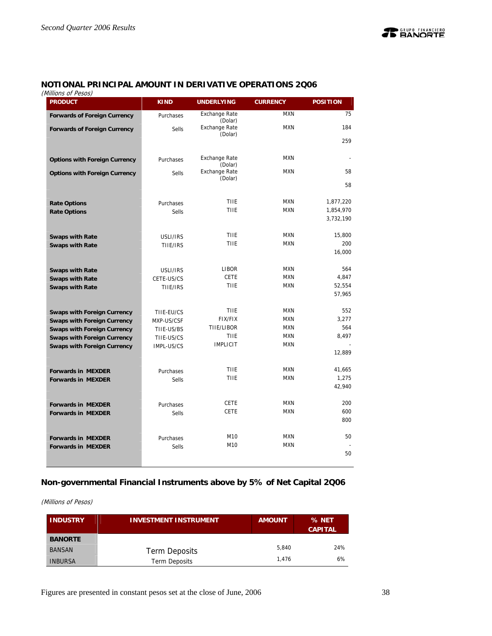## **NOTIONAL PRINCIPAL AMOUNT IN DERIVATIVE OPERATIONS 2Q06**

(Millions of Pesos)

| viiiiuris ur fesus)<br><b>PRODUCT</b> | <b>KIND</b>  | <b>UNDERLYING</b>               | <b>CURRENCY</b> | <b>POSITION</b>  |
|---------------------------------------|--------------|---------------------------------|-----------------|------------------|
| <b>Forwards of Foreign Currency</b>   | Purchases    | <b>Exchange Rate</b><br>(Dolar) | <b>MXN</b>      | 75               |
| <b>Forwards of Foreign Currency</b>   | <b>Sells</b> | <b>Exchange Rate</b>            | <b>MXN</b>      | 184              |
|                                       |              | (Dolar)                         |                 | 259              |
|                                       |              | <b>Exchange Rate</b>            | <b>MXN</b>      |                  |
| <b>Options with Foreign Currency</b>  | Purchases    | (Dolar)                         |                 |                  |
| <b>Options with Foreign Currency</b>  | Sells        | <b>Exchange Rate</b><br>(Dolar) | <b>MXN</b>      | 58               |
|                                       |              |                                 |                 | 58               |
| <b>Rate Options</b>                   | Purchases    | TIIE                            | <b>MXN</b>      | 1,877,220        |
| <b>Rate Options</b>                   | <b>Sells</b> | <b>TIIE</b>                     | <b>MXN</b>      | 1,854,970        |
|                                       |              |                                 |                 | 3,732,190        |
| <b>Swaps with Rate</b>                | USLI/IRS     | <b>TIIE</b>                     | <b>MXN</b>      | 15,800           |
| <b>Swaps with Rate</b>                | TIIE/IRS     | TIIE                            | <b>MXN</b>      | 200              |
|                                       |              |                                 |                 | 16,000           |
| <b>Swaps with Rate</b>                | USLI/IRS     | LIBOR                           | <b>MXN</b>      | 564              |
| <b>Swaps with Rate</b>                | CETE-US/CS   | <b>CETE</b>                     | <b>MXN</b>      | 4,847            |
| <b>Swaps with Rate</b>                | TIIE/IRS     | <b>TIIE</b>                     | <b>MXN</b>      | 52,554<br>57,965 |
|                                       |              |                                 |                 |                  |
| <b>Swaps with Foreign Currency</b>    | TIIE-EU/CS   | <b>TIIE</b>                     | <b>MXN</b>      | 552              |
| <b>Swaps with Foreign Currency</b>    | MXP-US/CSF   | <b>FIX/FIX</b>                  | <b>MXN</b>      | 3,277            |
| <b>Swaps with Foreign Currency</b>    | TIIE-US/BS   | TIIE/LIBOR                      | <b>MXN</b>      | 564              |
| <b>Swaps with Foreign Currency</b>    | TIIE-US/CS   | TIIE                            | <b>MXN</b>      | 8,497            |
| <b>Swaps with Foreign Currency</b>    | IMPL-US/CS   | <b>IMPLICIT</b>                 | <b>MXN</b>      | 12,889           |
|                                       |              |                                 |                 |                  |
| <b>Forwards in MEXDER</b>             | Purchases    | <b>TIIE</b>                     | <b>MXN</b>      | 41,665           |
| <b>Forwards in MEXDER</b>             | <b>Sells</b> | TIIE                            | <b>MXN</b>      | 1,275            |
|                                       |              |                                 |                 | 42,940           |
| <b>Forwards in MEXDER</b>             | Purchases    | <b>CETE</b>                     | <b>MXN</b>      | 200              |
| <b>Forwards in MEXDER</b>             | Sells        | <b>CETE</b>                     | <b>MXN</b>      | 600              |
|                                       |              |                                 |                 | 800              |
| <b>Forwards in MEXDER</b>             | Purchases    | M10                             | <b>MXN</b>      | 50               |
| <b>Forwards in MEXDER</b>             | Sells        | M10                             | <b>MXN</b>      |                  |
|                                       |              |                                 |                 | 50               |
|                                       |              |                                 |                 |                  |

## **Non-governmental Financial Instruments above by 5% of Net Capital 2Q06**

(Millions of Pesos)

| <b>INDUSTRY</b> | <b>INVESTMENT INSTRUMENT</b> | <b>AMOUNT</b> | % NET<br><b>CAPITAL</b> |
|-----------------|------------------------------|---------------|-------------------------|
| <b>BANORTE</b>  |                              |               |                         |
| <b>BANSAN</b>   | Term Deposits                | 5.840         | 24%                     |
| <b>INBURSA</b>  | <b>Term Deposits</b>         | 1.476         | 6%                      |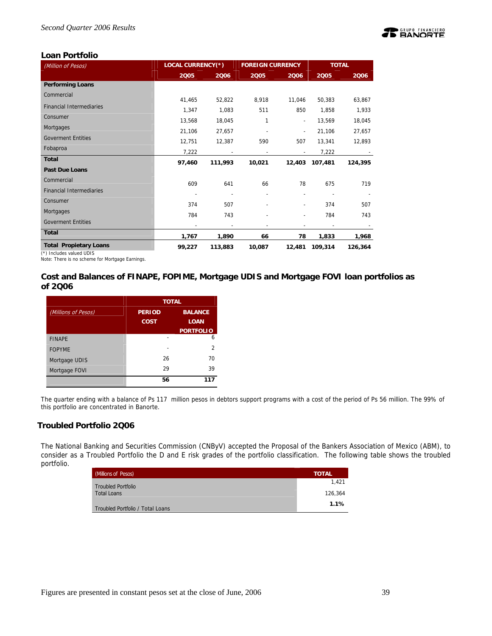

## **Loan Portfolio**

| (Million of Pesos)              | <b>LOCAL CURRENCY(*)</b> |                          | <b>FOREIGN CURRENCY</b>  |                          | <b>TOTAL</b>             |         |
|---------------------------------|--------------------------|--------------------------|--------------------------|--------------------------|--------------------------|---------|
|                                 | 2005                     | 2006                     | 2005                     | 2006                     | 2005                     | 2006    |
| <b>Performing Loans</b>         |                          |                          |                          |                          |                          |         |
| Commercial                      | 41,465                   | 52,822                   | 8,918                    | 11,046                   | 50,383                   | 63,867  |
| <b>Financial Intermediaries</b> | 1,347                    | 1,083                    | 511                      | 850                      | 1,858                    | 1,933   |
| Consumer                        | 13,568                   | 18,045                   | 1                        | $\overline{\phantom{a}}$ | 13,569                   | 18,045  |
| Mortgages                       | 21,106                   | 27,657                   |                          | $\overline{\phantom{a}}$ | 21,106                   | 27,657  |
| <b>Goverment Entities</b>       | 12,751                   | 12,387                   | 590                      | 507                      | 13,341                   | 12,893  |
| Fobaproa                        | 7,222                    | $\overline{\phantom{a}}$ | $\overline{\phantom{a}}$ |                          | 7,222                    |         |
| <b>Total</b>                    | 97,460                   | 111,993                  | 10,021                   | 12,403                   | 107,481                  | 124,395 |
| <b>Past Due Loans</b>           |                          |                          |                          |                          |                          |         |
| Commercial                      | 609                      | 641                      | 66                       | 78                       | 675                      | 719     |
| <b>Financial Intermediaries</b> |                          |                          |                          |                          |                          |         |
| Consumer                        | 374                      | 507                      |                          | $\overline{\phantom{a}}$ | 374                      | 507     |
| Mortgages                       | 784                      | 743                      |                          | $\overline{\phantom{a}}$ | 784                      | 743     |
| <b>Goverment Entities</b>       |                          |                          |                          |                          | $\overline{\phantom{a}}$ |         |
| <b>Total</b>                    | 1,767                    | 1,890                    | 66                       | 78                       | 1,833                    | 1,968   |
| <b>Total Propietary Loans</b>   | 99,227                   | 113,883                  | 10,087                   | 12,481                   | 109,314                  | 126,364 |

(\*) Includes valued UDIS Note: There is no scheme for Mortgage Earnings.

**Cost and Balances of FINAPE, FOPIME, Mortgage UDIS and Mortgage FOVI loan portfolios as of 2Q06** 

|                     | <b>TOTAL</b>  |                  |  |  |  |
|---------------------|---------------|------------------|--|--|--|
| (Millions of Pesos) | <b>PERIOD</b> | <b>BALANCE</b>   |  |  |  |
|                     | <b>COST</b>   | <b>LOAN</b>      |  |  |  |
|                     |               | <b>PORTFOLIO</b> |  |  |  |
| <b>FINAPE</b>       |               | 6                |  |  |  |
| <b>FOPYME</b>       |               | 2                |  |  |  |
| Mortgage UDIS       | 26            | 70               |  |  |  |
| Mortgage FOVI       | 29            | 39               |  |  |  |
|                     | 56            | 117              |  |  |  |

The quarter ending with a balance of Ps 117 million pesos in debtors support programs with a cost of the period of Ps 56 million. The 99% of this portfolio are concentrated in Banorte.

## **Troubled Portfolio 2Q06**

The National Banking and Securities Commission (CNByV) accepted the Proposal of the Bankers Association of Mexico (ABM), to consider as a Troubled Portfolio the D and E risk grades of the portfolio classification. The following table shows the troubled portfolio.

| <b>Millions of Pesos)</b>        | <b>TOTAL</b> |
|----------------------------------|--------------|
| <b>Troubled Portfolio</b>        | 1.421        |
| <b>Total Loans</b>               | 126.364      |
| Troubled Portfolio / Total Loans | 1.1%         |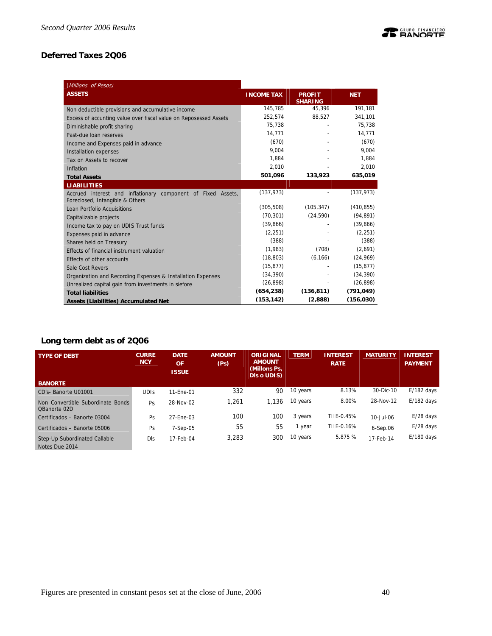## **TE BANORTE**

## **Deferred Taxes 2Q06**

| (Millions of Pesos)                                                                             |                   |                                 |            |
|-------------------------------------------------------------------------------------------------|-------------------|---------------------------------|------------|
| <b>ASSETS</b>                                                                                   | <b>INCOME TAX</b> | <b>PROFIT</b><br><b>SHARING</b> | <b>NET</b> |
| Non deductible provisions and accumulative income                                               | 145,785           | 45,396                          | 191,181    |
| Excess of accunting value over fiscal value on Reposessed Assets                                | 252.574           | 88,527                          | 341,101    |
| Diminishable profit sharing                                                                     | 75,738            |                                 | 75,738     |
| Past-due loan reserves                                                                          | 14,771            |                                 | 14,771     |
| Income and Expenses paid in advance                                                             | (670)             |                                 | (670)      |
| <b>Installation expenses</b>                                                                    | 9.004             |                                 | 9.004      |
| Tax on Assets to recover                                                                        | 1.884             |                                 | 1.884      |
| Inflation                                                                                       | 2,010             |                                 | 2,010      |
| <b>Total Assets</b>                                                                             | 501,096           | 133,923                         | 635,019    |
| <b>LIABILITIES</b>                                                                              |                   |                                 |            |
| Accrued interest and inflationary component of Fixed Assets,<br>Foreclosed, Intangible & Others | (137, 973)        |                                 | (137, 973) |
| Loan Portfolio Acquisitions                                                                     | (305, 508)        | (105, 347)                      | (410, 855) |
| Capitalizable projects                                                                          | (70, 301)         | (24, 590)                       | (94, 891)  |
| Income tax to pay on UDIS Trust funds                                                           | (39,866)          |                                 | (39,866)   |
| Expenses paid in advance                                                                        | (2, 251)          |                                 | (2, 251)   |
| Shares held on Treasury                                                                         | (388)             |                                 | (388)      |
| Effects of financial instrument valuation                                                       | (1,983)           | (708)                           | (2,691)    |
| Effects of other accounts                                                                       | (18, 803)         | (6, 166)                        | (24, 969)  |
| Sale Cost Revers                                                                                | (15, 877)         |                                 | (15, 877)  |
| Organization and Recording Expenses & Installation Expenses                                     | (34, 390)         |                                 | (34, 390)  |
| Unrealized capital gain from investments in siefore                                             | (26, 898)         |                                 | (26, 898)  |
| <b>Total liabilities</b>                                                                        | (654, 238)        | (136, 811)                      | (791, 049) |
| <b>Assets (Liabilities) Accumulated Net</b>                                                     | (153, 142)        | (2,888)                         | (156, 030) |

## **Long term debt as of 2Q06**

| <b>TYPE OF DEBT</b>                               | <b>CURRE</b><br><b>NCY</b> | <b>DATE</b><br><b>OF</b><br><b>ISSUE</b> | <b>AMOUNT</b><br>(Ps) | <b>ORIGINAL</b><br><b>AMOUNT</b><br>(Millons Ps,<br><b>DIS o UDIS)</b> | <b>TERM</b> | <b>INTEREST</b><br><b>RATE</b> | <b>MATURITY</b> | <b>INTEREST.</b><br><b>PAYMENT</b> |
|---------------------------------------------------|----------------------------|------------------------------------------|-----------------------|------------------------------------------------------------------------|-------------|--------------------------------|-----------------|------------------------------------|
| <b>BANORTE</b>                                    |                            |                                          |                       |                                                                        |             |                                |                 |                                    |
| CD's-Banorte U01001                               | <b>UDIS</b>                | 11-Ene-01                                | 332                   | 90                                                                     | 10 years    | 8.13%                          | 30-Dic-10       | $E/182$ days                       |
| Non Convertible Subordinate Bonds<br>OBanorte 02D | Ps                         | 28-Nov-02                                | 1.261                 | 1.136                                                                  | 10 years    | 8.00%                          | 28-Nov-12       | $E/182$ days                       |
| Certificados - Banorte 03004                      | Ps                         | 27-Ene-03                                | 100                   | 100                                                                    | 3 years     | TIIE-0.45%                     | 10-Jul-06       | $E/28$ days                        |
| Certificados - Banorte 05006                      | Ps                         | $7-Sep-05$                               | 55                    | 55                                                                     | 1 year      | TIIE-0.16%                     | $6-$ Sep.06     | $E/28$ days                        |
| Step-Up Subordinated Callable<br>Notes Due 2014   | <b>DIs</b>                 | 17-Feb-04                                | 3,283                 | 300                                                                    | 10 years    | 5.875 %                        | 17-Feb-14       | $E/180$ days                       |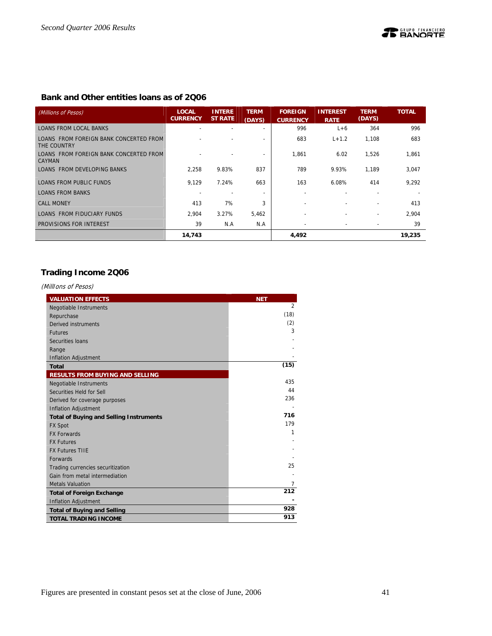## **Bank and Other entities loans as of 2Q06**

| (Millions of Pesos)                                     | <b>LOCAL</b><br><b>CURRENCY</b> | <b>INTERE</b><br><b>ST RATE</b> | <b>TERM</b><br>(DAYS)    | <b>FOREIGN</b><br><b>CURRENCY</b> | <b>INTEREST</b><br><b>RATE</b> | <b>TERM</b><br>(DAYS) | <b>TOTAL</b> |
|---------------------------------------------------------|---------------------------------|---------------------------------|--------------------------|-----------------------------------|--------------------------------|-----------------------|--------------|
| <b>LOANS FROM LOCAL BANKS</b>                           |                                 |                                 | $\overline{\phantom{0}}$ | 996                               | $L+6$                          | 364                   | 996          |
| LOANS FROM FOREIGN BANK CONCERTED FROM<br>THE COUNTRY   |                                 |                                 |                          | 683                               | $L + 1.2$                      | 1.108                 | 683          |
| LOANS FROM FOREIGN BANK CONCERTED FROM<br><b>CAYMAN</b> |                                 |                                 |                          | 1,861                             | 6.02                           | 1,526                 | 1,861        |
| LOANS FROM DEVELOPING BANKS                             | 2,258                           | 9.83%                           | 837                      | 789                               | 9.93%                          | 1.189                 | 3,047        |
| <b>LOANS FROM PUBLIC FUNDS</b>                          | 9.129                           | 7.24%                           | 663                      | 163                               | 6.08%                          | 414                   | 9,292        |
| <b>LOANS FROM BANKS</b>                                 |                                 |                                 |                          |                                   |                                |                       |              |
| <b>CALL MONEY</b>                                       | 413                             | 7%                              | 3                        |                                   |                                |                       | 413          |
| LOANS FROM FIDUCIARY FUNDS                              | 2.904                           | 3.27%                           | 5,462                    | $\overline{a}$                    |                                | $\overline{a}$        | 2,904        |
| PROVISIONS FOR INTEREST                                 | 39                              | N.A                             | N.A                      | $\blacksquare$                    |                                | $\overline{a}$        | 39           |
|                                                         | 14,743                          |                                 |                          | 4,492                             |                                |                       | 19,235       |

## **Trading Income 2Q06**

(MillIons of Pesos)

| <b>VALUATION EFFECTS</b>                       | <b>NET</b>     |
|------------------------------------------------|----------------|
| <b>Negotiable Instruments</b>                  | $\overline{2}$ |
| Repurchase                                     | (18)           |
| Derived instruments                            | (2)            |
| <b>Futures</b>                                 | 3              |
| Securities Ioans                               |                |
| Range                                          |                |
| <b>Inflation Adjustment</b>                    |                |
| <b>Total</b>                                   | (15)           |
| <b>RESULTS FROM BUYING AND SELLING</b>         |                |
| Negotiable Instruments                         | 435            |
| Securities Held for Sell                       | 44             |
| Derived for coverage purposes                  | 236            |
| <b>Inflation Adjustment</b>                    |                |
| <b>Total of Buying and Selling Instruments</b> | 716            |
| <b>FX Spot</b>                                 | 179            |
| <b>FX Forwards</b>                             | 1              |
| <b>FX Futures</b>                              |                |
| <b>FX Futures TIIE</b>                         |                |
| <b>Forwards</b>                                |                |
| Trading currencies securitization              | 25             |
| Gain from metal intermediation                 |                |
| <b>Metals Valuation</b>                        | 7              |
| <b>Total of Foreign Exchange</b>               | 212            |
| <b>Inflation Adjustment</b>                    |                |
| <b>Total of Buying and Selling</b>             | 928            |
| <b>TOTAL TRADING INCOME</b>                    | 913            |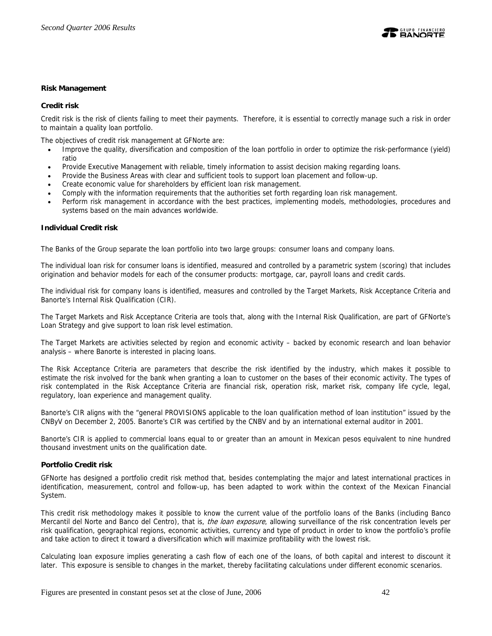

## **Risk Management**

#### **Credit risk**

Credit risk is the risk of clients failing to meet their payments. Therefore, it is essential to correctly manage such a risk in order to maintain a quality loan portfolio.

The objectives of credit risk management at GFNorte are:

- Improve the quality, diversification and composition of the loan portfolio in order to optimize the risk-performance (yield) ratio
- Provide Executive Management with reliable, timely information to assist decision making regarding loans.
- Provide the Business Areas with clear and sufficient tools to support loan placement and follow-up.
- Create economic value for shareholders by efficient loan risk management.
- Comply with the information requirements that the authorities set forth regarding loan risk management.
- Perform risk management in accordance with the best practices, implementing models, methodologies, procedures and systems based on the main advances worldwide.

## **Individual Credit risk**

The Banks of the Group separate the loan portfolio into two large groups: consumer loans and company loans.

The individual loan risk for consumer loans is identified, measured and controlled by a parametric system (scoring) that includes origination and behavior models for each of the consumer products: mortgage, car, payroll loans and credit cards.

The individual risk for company loans is identified, measures and controlled by the Target Markets, Risk Acceptance Criteria and Banorte's Internal Risk Qualification (CIR).

The Target Markets and Risk Acceptance Criteria are tools that, along with the Internal Risk Qualification, are part of GFNorte's Loan Strategy and give support to loan risk level estimation.

The Target Markets are activities selected by region and economic activity – backed by economic research and loan behavior analysis – where Banorte is interested in placing loans.

The Risk Acceptance Criteria are parameters that describe the risk identified by the industry, which makes it possible to estimate the risk involved for the bank when granting a loan to customer on the bases of their economic activity. The types of risk contemplated in the Risk Acceptance Criteria are financial risk, operation risk, market risk, company life cycle, legal, regulatory, loan experience and management quality.

Banorte's CIR aligns with the "general PROVISIONS applicable to the loan qualification method of loan institution" issued by the CNByV on December 2, 2005. Banorte's CIR was certified by the CNBV and by an international external auditor in 2001.

Banorte's CIR is applied to commercial loans equal to or greater than an amount in Mexican pesos equivalent to nine hundred thousand investment units on the qualification date.

### **Portfolio Credit risk**

GFNorte has designed a portfolio credit risk method that, besides contemplating the major and latest international practices in identification, measurement, control and follow-up, has been adapted to work within the context of the Mexican Financial System.

This credit risk methodology makes it possible to know the current value of the portfolio loans of the Banks (including Banco Mercantil del Norte and Banco del Centro), that is, the loan exposure, allowing surveillance of the risk concentration levels per risk qualification, geographical regions, economic activities, currency and type of product in order to know the portfolio's profile and take action to direct it toward a diversification which will maximize profitability with the lowest risk.

Calculating loan exposure implies generating a cash flow of each one of the loans, of both capital and interest to discount it later. This exposure is sensible to changes in the market, thereby facilitating calculations under different economic scenarios.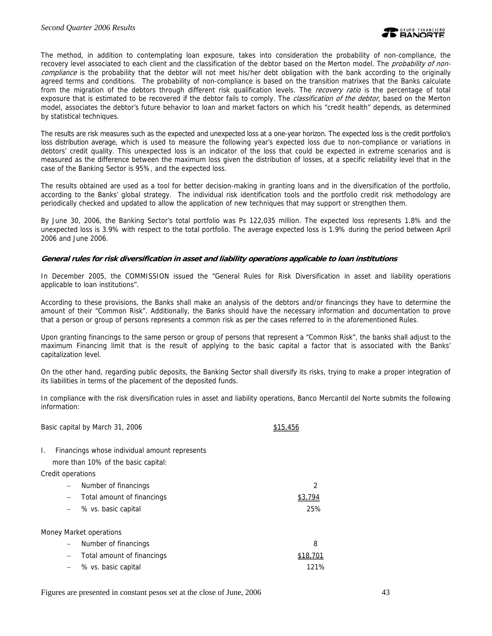The method, in addition to contemplating loan exposure, takes into consideration the probability of non-compliance, the recovery level associated to each client and the classification of the debtor based on the Merton model. The *probability of non*compliance is the probability that the debtor will not meet his/her debt obligation with the bank according to the originally agreed terms and conditions. The probability of non-compliance is based on the transition matrixes that the Banks calculate from the migration of the debtors through different risk qualification levels. The recovery ratio is the percentage of total exposure that is estimated to be recovered if the debtor fails to comply. The *classification of the debtor*, based on the Merton model, associates the debtor's future behavior to loan and market factors on which his "credit health" depends, as determined by statistical techniques.

The results are risk measures such as the expected and unexpected loss at a one-year horizon. The expected loss is the credit portfolio's loss distribution average, which is used to measure the following year's expected loss due to non-compliance or variations in debtors' credit quality. This unexpected loss is an indicator of the loss that could be expected in extreme scenarios and is measured as the difference between the maximum loss given the distribution of losses, at a specific reliability level that in the case of the Banking Sector is 95%, and the expected loss.

The results obtained are used as a tool for better decision-making in granting loans and in the diversification of the portfolio, according to the Banks' global strategy. The individual risk identification tools and the portfolio credit risk methodology are periodically checked and updated to allow the application of new techniques that may support or strengthen them.

By June 30, 2006, the Banking Sector's total portfolio was Ps 122,035 million. The expected loss represents 1.8% and the unexpected loss is 3.9% with respect to the total portfolio. The average expected loss is 1.9% during the period between April 2006 and June 2006.

## **General rules for risk diversification in asset and liability operations applicable to loan institutions**

In December 2005, the COMMISSION issued the "General Rules for Risk Diversification in asset and liability operations applicable to loan institutions".

According to these provisions, the Banks shall make an analysis of the debtors and/or financings they have to determine the amount of their "Common Risk". Additionally, the Banks should have the necessary information and documentation to prove that a person or group of persons represents a common risk as per the cases referred to in the aforementioned Rules.

Upon granting financings to the same person or group of persons that represent a "Common Risk", the banks shall adjust to the maximum Financing limit that is the result of applying to the basic capital a factor that is associated with the Banks' capitalization level.

On the other hand, regarding public deposits, the Banking Sector shall diversify its risks, trying to make a proper integration of its liabilities in terms of the placement of the deposited funds.

In compliance with the risk diversification rules in asset and liability operations, Banco Mercantil del Norte submits the following information:

| Basic capital by March 31, 2006                     |        |
|-----------------------------------------------------|--------|
| Financings whose individual amount represents<br>Ι. |        |
| more than 10% of the basic capital:                 |        |
| Credit operations                                   |        |
| Number of financings                                | 2      |
| Total amount of financings                          | 33.794 |
| % vs. basic capital                                 | 25%    |
| Money Market operations                             |        |
| Number of financings                                | 8      |
| Total amount of financings                          | \$18.  |
| % vs. basic capital                                 | 121%   |

Figures are presented in constant pesos set at the close of June, 2006 43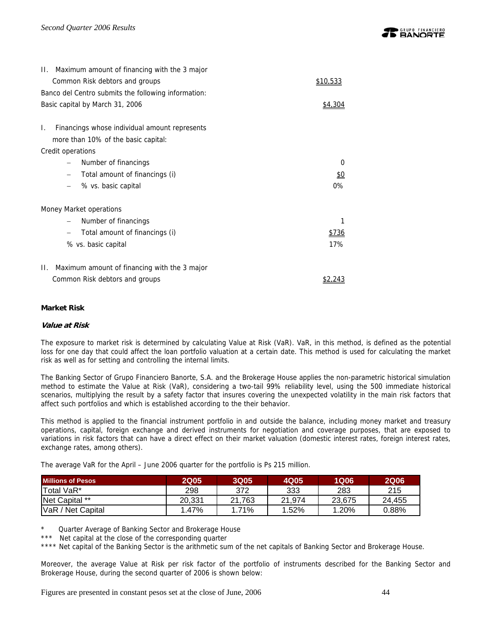| II. Maximum amount of financing with the 3 major    |              |  |  |  |  |  |  |
|-----------------------------------------------------|--------------|--|--|--|--|--|--|
| Common Risk debtors and groups                      | \$10,533     |  |  |  |  |  |  |
| Banco del Centro submits the following information: |              |  |  |  |  |  |  |
| Basic capital by March 31, 2006                     |              |  |  |  |  |  |  |
| Financings whose individual amount represents<br>L. |              |  |  |  |  |  |  |
| more than 10% of the basic capital:                 |              |  |  |  |  |  |  |
| Credit operations                                   |              |  |  |  |  |  |  |
| Number of financings                                | 0            |  |  |  |  |  |  |
| Total amount of financings (i)                      | <u>\$0</u>   |  |  |  |  |  |  |
| % vs. basic capital                                 | $0\%$        |  |  |  |  |  |  |
| Money Market operations                             |              |  |  |  |  |  |  |
| Number of financings                                | 1            |  |  |  |  |  |  |
| Total amount of financings (i)                      | <u>\$736</u> |  |  |  |  |  |  |
| % vs. basic capital                                 | 17%          |  |  |  |  |  |  |
| П.<br>Maximum amount of financing with the 3 major  |              |  |  |  |  |  |  |
| Common Risk debtors and groups                      |              |  |  |  |  |  |  |

## **Market Risk**

#### **Value at Risk**

The exposure to market risk is determined by calculating Value at Risk (VaR). VaR, in this method, is defined as the potential loss for one day that could affect the loan portfolio valuation at a certain date. This method is used for calculating the market risk as well as for setting and controlling the internal limits.

The Banking Sector of Grupo Financiero Banorte, S.A. and the Brokerage House applies the non-parametric historical simulation method to estimate the Value at Risk (VaR), considering a two-tail 99% reliability level, using the 500 immediate historical scenarios, multiplying the result by a safety factor that insures covering the unexpected volatility in the main risk factors that affect such portfolios and which is established according to the their behavior.

This method is applied to the financial instrument portfolio in and outside the balance, including money market and treasury operations, capital, foreign exchange and derived instruments for negotiation and coverage purposes, that are exposed to variations in risk factors that can have a direct effect on their market valuation (domestic interest rates, foreign interest rates, exchange rates, among others).

The average VaR for the April – June 2006 quarter for the portfolio is Ps 215 million.

| <b>Millions of Pesos</b> | <b>2Q05</b> | 3Q05   | 4Q05   | <b>1Q06</b> | <b>2Q06</b> |
|--------------------------|-------------|--------|--------|-------------|-------------|
| <b>Total VaR*</b>        | 298         | 372    | 333    | 283         | 215         |
| Net Capital **           | 20.331      | 21.763 | 21.974 | 23.675      | 24.455      |
| VaR / Net Capital        | 1.47%       | 1.71%  | 1.52%  | 1.20%       | 0.88%       |

Quarter Average of Banking Sector and Brokerage House

Net capital at the close of the corresponding quarter

\*\*\*\* Net capital of the Banking Sector is the arithmetic sum of the net capitals of Banking Sector and Brokerage House.

Moreover, the average Value at Risk per risk factor of the portfolio of instruments described for the Banking Sector and Brokerage House, during the second quarter of 2006 is shown below: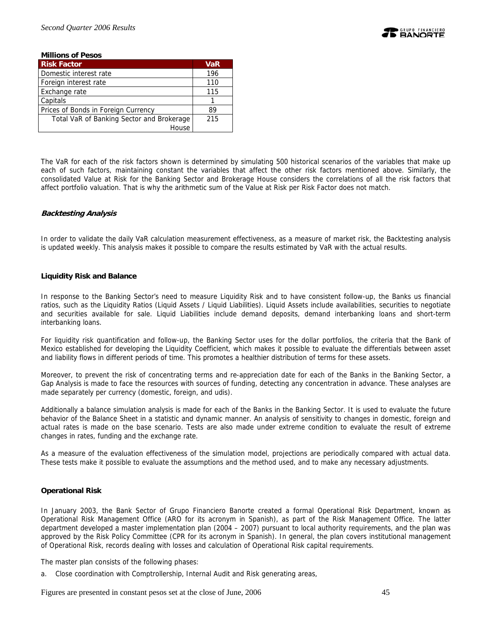

| <b>Millions of Pesos</b>                  |            |
|-------------------------------------------|------------|
| <b>Risk Factor</b>                        | <b>VaR</b> |
| Domestic interest rate                    | 196        |
| Foreign interest rate                     | 110        |
| Exchange rate                             | 115        |
| Capitals                                  |            |
| Prices of Bonds in Foreign Currency       | 89         |
| Total VaR of Banking Sector and Brokerage | 215        |
| House                                     |            |

The VaR for each of the risk factors shown is determined by simulating 500 historical scenarios of the variables that make up each of such factors, maintaining constant the variables that affect the other risk factors mentioned above. Similarly, the consolidated Value at Risk for the Banking Sector and Brokerage House considers the correlations of all the risk factors that affect portfolio valuation. That is why the arithmetic sum of the Value at Risk per Risk Factor does not match.

## **Backtesting Analysis**

In order to validate the daily VaR calculation measurement effectiveness, as a measure of market risk, the Backtesting analysis is updated weekly. This analysis makes it possible to compare the results estimated by VaR with the actual results.

#### **Liquidity Risk and Balance**

In response to the Banking Sector's need to measure Liquidity Risk and to have consistent follow-up, the Banks us financial ratios, such as the Liquidity Ratios (Liquid Assets / Liquid Liabilities). Liquid Assets include availabilities, securities to negotiate and securities available for sale. Liquid Liabilities include demand deposits, demand interbanking loans and short-term interbanking loans.

For liquidity risk quantification and follow-up, the Banking Sector uses for the dollar portfolios, the criteria that the Bank of Mexico established for developing the Liquidity Coefficient, which makes it possible to evaluate the differentials between asset and liability flows in different periods of time. This promotes a healthier distribution of terms for these assets.

Moreover, to prevent the risk of concentrating terms and re-appreciation date for each of the Banks in the Banking Sector, a Gap Analysis is made to face the resources with sources of funding, detecting any concentration in advance. These analyses are made separately per currency (domestic, foreign, and udis).

Additionally a balance simulation analysis is made for each of the Banks in the Banking Sector. It is used to evaluate the future behavior of the Balance Sheet in a statistic and dynamic manner. An analysis of sensitivity to changes in domestic, foreign and actual rates is made on the base scenario. Tests are also made under extreme condition to evaluate the result of extreme changes in rates, funding and the exchange rate.

As a measure of the evaluation effectiveness of the simulation model, projections are periodically compared with actual data. These tests make it possible to evaluate the assumptions and the method used, and to make any necessary adjustments.

#### **Operational Risk**

In January 2003, the Bank Sector of Grupo Financiero Banorte created a formal Operational Risk Department, known as Operational Risk Management Office (ARO for its acronym in Spanish), as part of the Risk Management Office. The latter department developed a master implementation plan (2004 – 2007) pursuant to local authority requirements, and the plan was approved by the Risk Policy Committee (CPR for its acronym in Spanish). In general, the plan covers institutional management of Operational Risk, records dealing with losses and calculation of Operational Risk capital requirements.

The master plan consists of the following phases:

a. Close coordination with Comptrollership, Internal Audit and Risk generating areas,

Figures are presented in constant pesos set at the close of June, 2006 45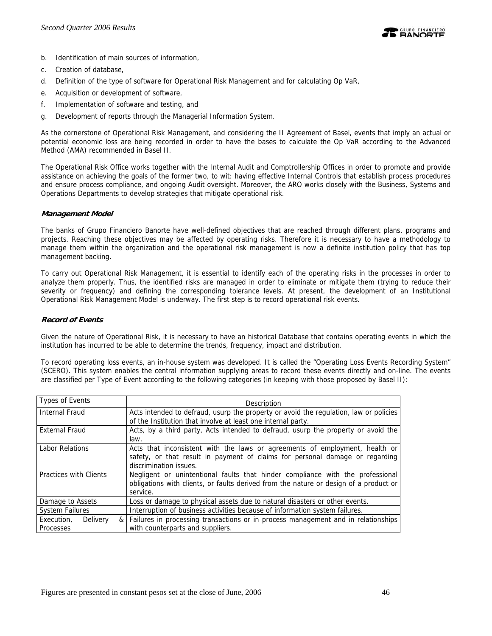

- b. Identification of main sources of information,
- c. Creation of database,
- d. Definition of the type of software for Operational Risk Management and for calculating Op VaR,
- e. Acquisition or development of software,
- f. Implementation of software and testing, and
- g. Development of reports through the Managerial Information System.

As the cornerstone of Operational Risk Management, and considering the II Agreement of Basel, events that imply an actual or potential economic loss are being recorded in order to have the bases to calculate the Op VaR according to the Advanced Method (AMA) recommended in Basel II.

The Operational Risk Office works together with the Internal Audit and Comptrollership Offices in order to promote and provide assistance on achieving the goals of the former two, to wit: having effective Internal Controls that establish process procedures and ensure process compliance, and ongoing Audit oversight. Moreover, the ARO works closely with the Business, Systems and Operations Departments to develop strategies that mitigate operational risk.

#### **Management Model**

The banks of Grupo Financiero Banorte have well-defined objectives that are reached through different plans, programs and projects. Reaching these objectives may be affected by operating risks. Therefore it is necessary to have a methodology to manage them within the organization and the operational risk management is now a definite institution policy that has top management backing.

To carry out Operational Risk Management, it is essential to identify each of the operating risks in the processes in order to analyze them properly. Thus, the identified risks are managed in order to eliminate or mitigate them (trying to reduce their severity or frequency) and defining the corresponding tolerance levels. At present, the development of an Institutional Operational Risk Management Model is underway. The first step is to record operational risk events.

## **Record of Events**

Given the nature of Operational Risk, it is necessary to have an historical Database that contains operating events in which the institution has incurred to be able to determine the trends, frequency, impact and distribution.

To record operating loss events, an in-house system was developed. It is called the "Operating Loss Events Recording System" (SCERO). This system enables the central information supplying areas to record these events directly and on-line. The events are classified per Type of Event according to the following categories (in keeping with those proposed by Basel II):

| <b>Types of Events</b> | Description                                                                           |
|------------------------|---------------------------------------------------------------------------------------|
| <b>Internal Fraud</b>  | Acts intended to defraud, usurp the property or avoid the regulation, law or policies |
|                        | of the Institution that involve at least one internal party.                          |
| <b>External Fraud</b>  | Acts, by a third party, Acts intended to defraud, usurp the property or avoid the     |
|                        | law.                                                                                  |
| <b>Labor Relations</b> | Acts that inconsistent with the laws or agreements of employment, health or           |
|                        | safety, or that result in payment of claims for personal damage or regarding          |
|                        | discrimination issues.                                                                |
| Practices with Clients | Negligent or unintentional faults that hinder compliance with the professional        |
|                        | obligations with clients, or faults derived from the nature or design of a product or |
|                        | service.                                                                              |
| Damage to Assets       | Loss or damage to physical assets due to natural disasters or other events.           |
| <b>System Failures</b> | Interruption of business activities because of information system failures.           |
| Execution.<br>Delivery | & Failures in processing transactions or in process management and in relationships   |
| Processes              | with counterparts and suppliers.                                                      |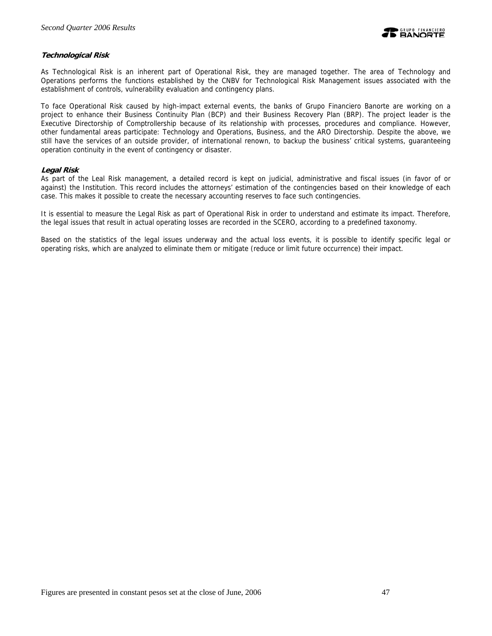

## **Technological Risk**

As Technological Risk is an inherent part of Operational Risk, they are managed together. The area of Technology and Operations performs the functions established by the CNBV for Technological Risk Management issues associated with the establishment of controls, vulnerability evaluation and contingency plans.

To face Operational Risk caused by high-impact external events, the banks of Grupo Financiero Banorte are working on a project to enhance their Business Continuity Plan (BCP) and their Business Recovery Plan (BRP). The project leader is the Executive Directorship of Comptrollership because of its relationship with processes, procedures and compliance. However, other fundamental areas participate: Technology and Operations, Business, and the ARO Directorship. Despite the above, we still have the services of an outside provider, of international renown, to backup the business' critical systems, guaranteeing operation continuity in the event of contingency or disaster.

## **Legal Risk**

As part of the Leal Risk management, a detailed record is kept on judicial, administrative and fiscal issues (in favor of or against) the Institution. This record includes the attorneys' estimation of the contingencies based on their knowledge of each case. This makes it possible to create the necessary accounting reserves to face such contingencies.

It is essential to measure the Legal Risk as part of Operational Risk in order to understand and estimate its impact. Therefore, the legal issues that result in actual operating losses are recorded in the SCERO, according to a predefined taxonomy.

Based on the statistics of the legal issues underway and the actual loss events, it is possible to identify specific legal or operating risks, which are analyzed to eliminate them or mitigate (reduce or limit future occurrence) their impact.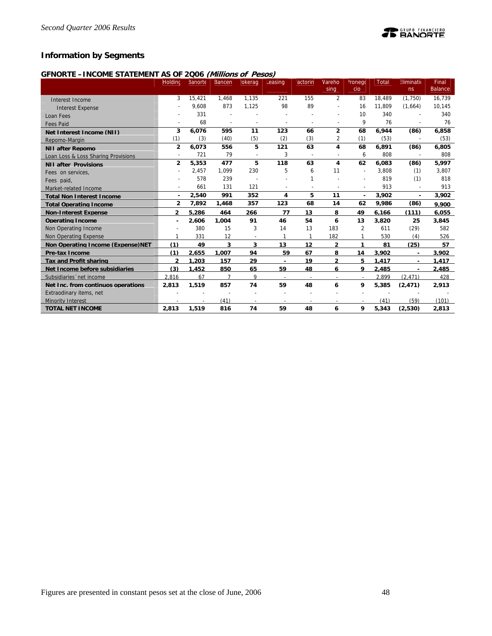## **Information by Segments**

## **GFNORTE –INCOME STATEMENT AS OF 2Q06 (Millions of Pesos)**

|                                     | Holding        | Banorte | Bancen                   | okerag                   | Leasing        | actorin                  | Vareho                   | <sup>2</sup> ronego      | Total  | Eliminatio               | Final          |
|-------------------------------------|----------------|---------|--------------------------|--------------------------|----------------|--------------------------|--------------------------|--------------------------|--------|--------------------------|----------------|
|                                     |                |         |                          |                          |                |                          | sing                     | cio                      |        | ns                       | <b>Balance</b> |
| Interest Income                     | 3              | 15.421  | 1.468                    | 1.135                    | 221            | 155                      | 2                        | 83                       | 18.489 | (1,750)                  | 16,739         |
| <b>Interest Expense</b>             |                | 9,608   | 873                      | 1,125                    | 98             | 89                       |                          | 16                       | 11,809 | (1,664)                  | 10,145         |
| Loan Fees                           |                | 331     |                          |                          |                |                          |                          | 10                       | 340    |                          | 340            |
| <b>Fees Paid</b>                    |                | 68      | $\overline{\phantom{a}}$ | $\overline{\phantom{a}}$ | $\overline{a}$ | $\overline{a}$           |                          | 9                        | 76     | $\overline{a}$           | 76             |
| Net Interest Income (NII)           | 3              | 6,076   | 595                      | 11                       | 123            | 66                       | $\overline{2}$           | 68                       | 6.944  | (86)                     | 6,858          |
| Repomo-Margin                       | (1)            | (3)     | (40)                     | (5)                      | (2)            | (3)                      | 2                        | (1)                      | (53)   | $\overline{\phantom{a}}$ | (53)           |
| <b>NII after Repomo</b>             | $\overline{2}$ | 6,073   | 556                      | 5                        | 121            | 63                       | 4                        | 68                       | 6,891  | (86)                     | 6,805          |
| Loan Loss & Loss Sharing Provisions | $\sim$         | 721     | 79                       | $\overline{\phantom{a}}$ | 3              | $\overline{\phantom{a}}$ |                          | 6                        | 808    | $\overline{a}$           | 808            |
| <b>NII after Provisions</b>         | $\overline{2}$ | 5,353   | 477                      | 5                        | 118            | 63                       | 4                        | 62                       | 6,083  | (86)                     | 5,997          |
| Fees on services.                   |                | 2,457   | 1.099                    | 230                      | 5              | 6                        | 11                       | $\overline{\phantom{a}}$ | 3,808  | (1)                      | 3,807          |
| Fees paid.                          |                | 578     | 239                      |                          |                | 1                        |                          | $\overline{\phantom{a}}$ | 819    | (1)                      | 818            |
| Market-related Income               |                | 661     | 131                      | 121                      |                |                          |                          | $\overline{a}$           | 913    | $\overline{a}$           | 913            |
| <b>Total Non Interest Income</b>    | ٠              | 2,540   | 991                      | 352                      | 4              | 5                        | 11                       | $\overline{\phantom{a}}$ | 3,902  | $\overline{\phantom{a}}$ | 3,902          |
| <b>Total Operating Income</b>       | $\overline{2}$ | 7,892   | 1,468                    | 357                      | 123            | 68                       | 14                       | 62                       | 9,986  | (86)                     | 9.900          |
| <b>Non-Interest Expense</b>         | $\mathfrak z$  | 5.286   | 464                      | 266                      | 77             | 13                       | 8                        | 49                       | 6.166  | (111)                    | 6.055          |
| <b>Operating Income</b>             |                | 2.606   | 1.004                    | 91                       | 46             | 54                       | 6                        | 13                       | 3,820  | 25                       | 3,845          |
| Non Operating Income                |                | 380     | 15                       | 3                        | 14             | 13                       | 183                      | 2                        | 611    | (29)                     | 582            |
| Non Operating Expense               | 1              | 331     | 12                       |                          | 1              | $\mathbf{1}$             | 182                      | $\mathbf{1}$             | 530    | (4)                      | 526            |
| Non Operating Income (Expense) NET  | (1)            | 49      | 3                        | 3                        | 13             | 12                       | $\mathbf{2}$             | 1                        | 81     | (25)                     | 57             |
| Pre-tax Income                      | (1)            | 2,655   | 1,007                    | 94                       | 59             | 67                       | 8                        | 14                       | 3,902  | $\blacksquare$           | 3.902          |
| <b>Tax and Profit sharing</b>       | $\overline{2}$ | 1.203   | 157                      | 29                       |                | 19                       | $\overline{2}$           | 5                        | 1.417  | ٠                        | 1.417          |
| Net Income before subsidiaries      | (3)            | 1,452   | 850                      | 65                       | 59             | 48                       | 6                        | 9                        | 2,485  |                          | 2,485          |
| Subsidiaries 'net income            | 2.816          | 67      | $\overline{7}$           | 9                        | $\sim$         | $\overline{\phantom{a}}$ | $\overline{\phantom{a}}$ | $\overline{\phantom{a}}$ | 2.899  | (2.471)                  | 428            |
| Net Inc. from continuos operations  | 2.813          | 1.519   | 857                      | 74                       | 59             | 48                       | 6                        | 9                        | 5.385  | (2.471)                  | 2.913          |
| Extraodinary items, net             |                |         |                          |                          |                |                          |                          |                          |        |                          |                |
| <b>Minority Interest</b>            |                |         | (41)                     |                          |                |                          |                          |                          | (41)   | (59)                     | (101)          |
| <b>TOTAL NET INCOME</b>             | 2,813          | 1,519   | 816                      | 74                       | 59             | 48                       | 6                        | 9                        | 5,343  | (2,530)                  | 2,813          |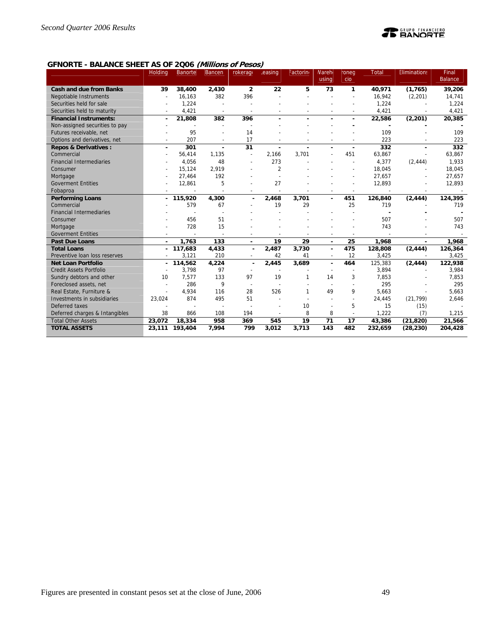# **TE BANORTE**

## **GFNORTE - BALANCE SHEET AS OF 2Q06 (Millions of Pesos)**

|                                 | <b>Holding</b> | <b>Banorte</b> | <b>Bancen</b>            | rokerage                 | .easing                  | Factorin       | <b>Nareh</b>   | roneg                    | Total                    | <b>Eliminations</b>      | Final          |
|---------------------------------|----------------|----------------|--------------------------|--------------------------|--------------------------|----------------|----------------|--------------------------|--------------------------|--------------------------|----------------|
|                                 |                |                |                          |                          |                          |                | using          | cio                      |                          |                          | <b>Balance</b> |
| <b>Cash and due from Banks</b>  | 39             | 38,400         | 2,430                    | $\overline{2}$           | 22                       | 5              | 73             | $\mathbf{1}$             | 40,971                   | (1,765)                  | 39,206         |
| <b>Negotiable Instruments</b>   |                | 16,163         | 382                      | 396                      |                          |                |                |                          | 16.942                   | (2, 201)                 | 14,741         |
| Securities held for sale        |                | 1,224          |                          |                          |                          |                |                |                          | 1,224                    |                          | 1,224          |
| Securities held to maturity     |                | 4,421          |                          |                          |                          |                |                |                          | 4,421                    |                          | 4,421          |
| <b>Financial Instruments:</b>   | ٠              | 21,808         | 382                      | 396                      |                          | ä,             |                | $\blacksquare$           | 22,586                   | (2, 201)                 | 20,385         |
| Non-assigned securities to pay  |                |                |                          |                          |                          |                |                |                          |                          |                          |                |
| Futures receivable, net         |                | 95             |                          | 14                       |                          |                |                |                          | 109                      |                          | 109            |
| Options and derivatives, net    |                | 207            |                          | 17                       |                          |                |                |                          | 223                      |                          | 223            |
| <b>Repos &amp; Derivatives:</b> | ٠              | 301            | $\blacksquare$           | 31                       | $\blacksquare$           | $\blacksquare$ | $\blacksquare$ | $\overline{\phantom{a}}$ | 332                      | $\blacksquare$           | 332            |
| Commercial                      | $\overline{a}$ | 56,414         | 1,135                    | $\overline{\phantom{a}}$ | 2,166                    | 3.701          |                | 451                      | 63,867                   |                          | 63,867         |
| <b>Financial Intermediaries</b> |                | 4,056          | 48                       | ÷                        | 273                      |                |                |                          | 4,377                    | (2, 444)                 | 1,933          |
| Consumer                        |                | 15,124         | 2,919                    |                          | $\overline{2}$           |                |                |                          | 18,045                   |                          | 18,045         |
| Mortgage                        |                | 27,464         | 192                      |                          |                          |                |                |                          | 27,657                   |                          | 27,657         |
| <b>Goverment Entities</b>       |                | 12,861         | 5                        |                          | 27                       |                |                |                          | 12,893                   |                          | 12,893         |
| Fobaproa                        |                | ÷              | $\overline{\phantom{a}}$ | L,                       | $\overline{\phantom{a}}$ |                |                | $\overline{\phantom{a}}$ | $\overline{\phantom{a}}$ | $\overline{\phantom{a}}$ |                |
| <b>Performing Loans</b>         | $\sim$         | 115,920        | 4,300                    | ٠                        | 2,468                    | 3,701          |                | 451                      | 126,840                  | (2, 444)                 | 124,395        |
| Commercial                      |                | 579            | 67                       |                          | 19                       | 29             |                | 25                       | 719                      |                          | 719            |
| <b>Financial Intermediaries</b> |                |                |                          |                          |                          |                |                |                          |                          |                          |                |
| Consumer                        |                | 456            | 51                       |                          |                          |                |                |                          | 507                      |                          | 507            |
| Mortgage                        |                | 728            | 15                       |                          |                          |                |                |                          | 743                      |                          | 743            |
| <b>Goverment Entities</b>       |                |                |                          |                          |                          |                |                |                          |                          |                          |                |
| <b>Past Due Loans</b>           |                | 1.763          | 133                      | $\blacksquare$           | 19                       | 29             | $\sim$         | 25                       | 1.968                    |                          | 1,968          |
| <b>Total Loans</b>              |                | 117,683        | 4,433                    |                          | 2,487                    | 3,730          | $\sim$         | 475                      | 128,808                  | (2, 444)                 | 126,364        |
| Preventive Ioan loss reserves   |                | 3,121          | 210                      |                          | 42                       | 41             |                | 12                       | 3,425                    |                          | 3,425          |
| <b>Net Loan Portfolio</b>       | $\sim$         | 114,562        | 4,224                    | $\blacksquare$           | 2,445                    | 3,689          | ٠              | 464                      | 125,383                  | (2, 444)                 | 122,938        |
| <b>Credit Assets Portfolio</b>  |                | 3.798          | 97                       |                          |                          |                |                |                          | 3.894                    |                          | 3,984          |
| Sundry debtors and other        | 10             | 7,577          | 133                      | 97                       | 19                       | 1              | 14             | 3                        | 7,853                    |                          | 7,853          |
| Foreclosed assets, net          | $\overline{a}$ | 286            | 9                        | $\overline{a}$           |                          |                |                |                          | 295                      |                          | 295            |
| Real Estate, Furniture &        |                | 4,934          | 116                      | 28                       | 526                      | 1              | 49             | 9                        | 5.663                    |                          | 5,663          |
| Investments in subsidiaries     | 23,024         | 874            | 495                      | 51                       |                          |                |                | $\overline{\phantom{a}}$ | 24,445                   | (21, 799)                | 2,646          |
| Deferred taxes                  |                |                |                          |                          |                          | 10             |                | 5                        | 15                       | (15)                     |                |
| Deferred charges & Intangibles  | 38             | 866            | 108                      | 194                      |                          | 8              | 8              |                          | 1,222                    | (7)                      | 1,215          |
| <b>Total Other Assets</b>       | 23,072         | 18,334         | 958                      | 369                      | 545                      | 19             | 71             | 17                       | 43,386                   | (21, 820)                | 21.566         |
| <b>TOTAL ASSETS</b>             | 23,111         | 193,404        | 7,994                    | 799                      | 3,012                    | 3,713          | 143            | 482                      | 232,659                  | (28, 230)                | 204,428        |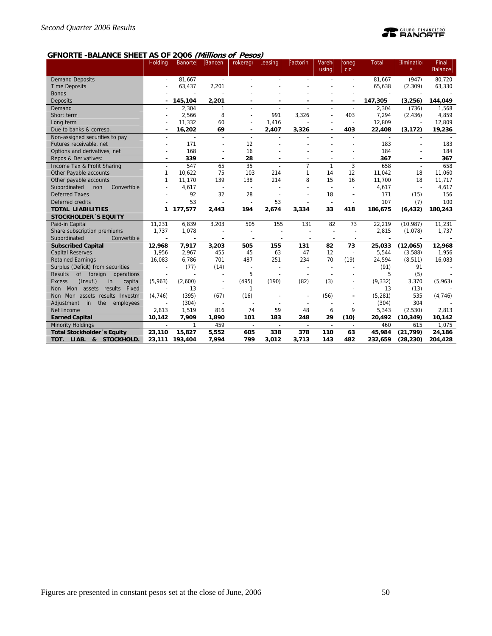# **TE BANORTE**

## **GFNORTE -BALANCE SHEET AS OF 2Q06 (Millions of Pesos)**

|                                              | <b>Holding</b> | Banorte | <b>Bancen</b>            | rokerage                 | .easing        | Factorin                 | Mareho                   | roneg                    | <b>Total</b>   | <b>Elimination</b>       | Final          |
|----------------------------------------------|----------------|---------|--------------------------|--------------------------|----------------|--------------------------|--------------------------|--------------------------|----------------|--------------------------|----------------|
|                                              |                |         |                          |                          |                |                          | using                    | cio                      |                | S                        | <b>Balance</b> |
| <b>Demand Deposits</b>                       |                | 81.667  | $\sim$                   |                          |                |                          |                          | ÷.                       | 81.667         | (947)                    | 80,720         |
| <b>Time Deposits</b>                         |                | 63,437  | 2,201                    |                          |                |                          |                          |                          | 65,638         | (2,309)                  | 63,330         |
| <b>Bonds</b>                                 |                |         |                          |                          |                |                          |                          |                          |                |                          |                |
| Deposits                                     |                | 145,104 | 2,201                    |                          |                |                          |                          |                          | 147,305        | (3,256)                  | 144,049        |
| Demand                                       |                | 2,304   | 1                        |                          |                |                          |                          |                          | 2,304          | (736)                    | 1,568          |
| Short term                                   |                | 2,566   | 8                        |                          | 991            | 3,326                    |                          | 403                      | 7,294          | (2, 436)                 | 4,859          |
| Long term                                    |                | 11,332  | 60                       |                          | 1,416          |                          |                          | $\overline{a}$           | 12,809         |                          | 12,809         |
| Due to banks & corresp.                      |                | 16,202  | 69                       |                          | 2,407          | 3,326                    |                          | 403                      | 22,408         | (3, 172)                 | 19,236         |
| Non-assigned securities to pay               | $\sim$         | $\sim$  | $\overline{a}$           | $\overline{a}$           | $\overline{a}$ |                          |                          | $\overline{a}$           | $\overline{a}$ | $\overline{a}$           |                |
| Futures receivable, net                      |                | 171     |                          | 12                       |                |                          |                          |                          | 183            |                          | 183            |
| Options and derivatives, net                 |                | 168     |                          | 16                       |                |                          |                          |                          | 184            |                          | 184            |
| Repos & Derivatives:                         | $\blacksquare$ | 339     | $\overline{\phantom{a}}$ | 28                       | $\blacksquare$ | $\overline{\phantom{a}}$ | $\overline{\phantom{a}}$ | $\overline{\phantom{a}}$ | 367            | $\overline{\phantom{a}}$ | 367            |
| Income Tax & Profit Sharing                  |                | 547     | 65                       | 35                       | ÷              | $\overline{7}$           | 1                        | 3                        | 658            | $\overline{\phantom{a}}$ | 658            |
| Other Payable accounts                       | 1              | 10,622  | 75                       | 103                      | 214            | 1                        | 14                       | 12                       | 11,042         | 18                       | 11,060         |
| Other payable accounts                       | 1              | 11,170  | 139                      | 138                      | 214            | 8                        | 15                       | 16                       | 11,700         | 18                       | 11,717         |
| Subordinated<br>non<br>Convertible           |                | 4,617   | $\overline{\phantom{a}}$ | $\overline{\phantom{a}}$ | $\overline{a}$ |                          | $\overline{a}$           |                          | 4,617          | $\sim$                   | 4,617          |
| <b>Deferred Taxes</b>                        |                | 92      | 32                       | 28                       |                |                          | 18                       | $\blacksquare$           | 171            | (15)                     | 156            |
| Deferred credits                             |                | 53      |                          |                          | 53             |                          |                          |                          | 107            | (7)                      | 100            |
| <b>TOTAL LIABILITIES</b>                     | 1              | 177,577 | 2,443                    | 194                      | 2,674          | 3,334                    | 33                       | 418                      | 186,675        | (6, 432)                 | 180,243        |
| <b>STOCKHOLDER 'S EQUITY</b>                 |                |         |                          |                          |                |                          |                          |                          |                |                          |                |
| Paid-in Capital                              | 11,231         | 6,839   | 3,203                    | 505                      | 155            | 131                      | 82                       | 73                       | 22,219         | (10, 987)                | 11,231         |
| Share subscription premiums                  | 1,737          | 1,078   |                          | $\overline{\phantom{a}}$ |                |                          | ÷                        | $\overline{\phantom{a}}$ | 2,815          | (1,078)                  | 1,737          |
| Subordinated<br>Convertible                  |                | ۰       |                          |                          |                |                          | $\overline{a}$           |                          |                |                          |                |
| <b>Subscribed Capital</b>                    | 12,968         | 7,917   | 3,203                    | 505                      | 155            | 131                      | 82                       | 73                       | 25,033         | (12,065)                 | 12,968         |
| <b>Capital Reserves</b>                      | 1,956          | 2,967   | 455                      | 45                       | 63             | 47                       | 12                       |                          | 5,544          | (3,588)                  | 1,956          |
| <b>Retained Earnings</b>                     | 16,083         | 6,786   | 701                      | 487                      | 251            | 234                      | 70                       | (19)                     | 24,594         | (8, 511)                 | 16,083         |
| Surplus (Deficit) from securities            |                | (77)    | (14)                     |                          | $\overline{a}$ | $\overline{\phantom{a}}$ |                          |                          | (91)           | 91                       |                |
| <b>Results</b><br>of foreign operations      |                |         |                          | 5                        |                |                          |                          |                          | 5              | (5)                      |                |
| (Insuf.)<br><b>Excess</b><br>in<br>capital   | (5,963)        | (2,600) |                          | (495)                    | (190)          | (82)                     | (3)                      |                          | (9, 332)       | 3,370                    | (5,963)        |
| Fixed<br>Mon assets<br>results<br><b>Non</b> |                | 13      | $\overline{\phantom{a}}$ | $\mathbf{1}$             |                |                          |                          |                          | 13             | (13)                     |                |
| Mon assets results Investm<br>Non            | (4,746)        | (395)   | (67)                     | (16)                     |                |                          | (56)                     |                          | (5, 281)       | 535                      | (4,746)        |
| in the<br>Adjustment<br>employees            |                | (304)   | $\overline{\phantom{a}}$ |                          |                |                          |                          |                          | (304)          | 304                      |                |
| Net Income                                   | 2,813          | 1.519   | 816                      | 74                       | 59             | 48                       | 6                        | 9                        | 5,343          | (2,530)                  | 2,813          |
| <b>Earned Capital</b>                        | 10,142         | 7,909   | 1,890                    | 101                      | 183            | 248                      | 29                       | (10)                     | 20,492         | (10, 349)                | 10,142         |
| <b>Minority Holdings</b>                     |                | 1       | 459                      | $\overline{a}$           | $\overline{a}$ | $\overline{\phantom{a}}$ |                          | $\overline{\phantom{a}}$ | 460            | 615                      | 1,075          |
| Total Stockholder's Equity                   | 23,110         | 15,827  | 5,552                    | 605                      | 338            | 378                      | 110                      | 63                       | 45,984         | (21, 799)                | 24,186         |
| STOCKHOLD.<br>TOT. LIAB. &                   | 23.111         | 193,404 | 7.994                    | 799                      | 3.012          | 3.713                    | 143                      | 482                      | 232,659        | (28, 230)                | 204.428        |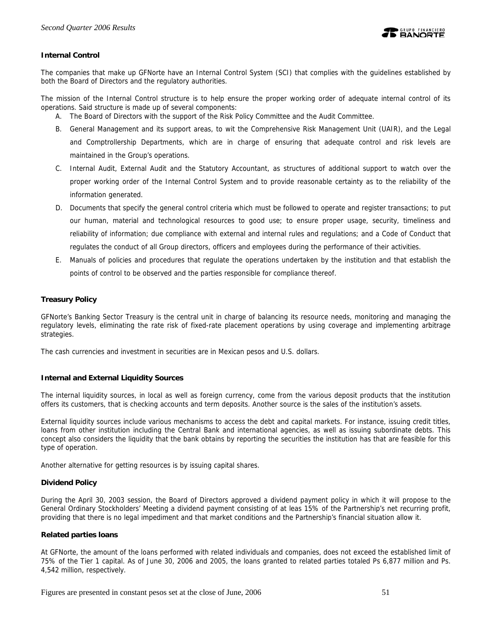

## **Internal Control**

The companies that make up GFNorte have an Internal Control System (SCI) that complies with the guidelines established by both the Board of Directors and the regulatory authorities.

The mission of the Internal Control structure is to help ensure the proper working order of adequate internal control of its operations. Said structure is made up of several components:

A. The Board of Directors with the support of the Risk Policy Committee and the Audit Committee.

- B. General Management and its support areas, to wit the Comprehensive Risk Management Unit (UAIR), and the Legal and Comptrollership Departments, which are in charge of ensuring that adequate control and risk levels are maintained in the Group's operations.
- C. Internal Audit, External Audit and the Statutory Accountant, as structures of additional support to watch over the proper working order of the Internal Control System and to provide reasonable certainty as to the reliability of the information generated.
- D. Documents that specify the general control criteria which must be followed to operate and register transactions; to put our human, material and technological resources to good use; to ensure proper usage, security, timeliness and reliability of information; due compliance with external and internal rules and regulations; and a Code of Conduct that regulates the conduct of all Group directors, officers and employees during the performance of their activities.
- E. Manuals of policies and procedures that regulate the operations undertaken by the institution and that establish the points of control to be observed and the parties responsible for compliance thereof.

## **Treasury Policy**

GFNorte's Banking Sector Treasury is the central unit in charge of balancing its resource needs, monitoring and managing the regulatory levels, eliminating the rate risk of fixed-rate placement operations by using coverage and implementing arbitrage strategies.

The cash currencies and investment in securities are in Mexican pesos and U.S. dollars.

## **Internal and External Liquidity Sources**

The internal liquidity sources, in local as well as foreign currency, come from the various deposit products that the institution offers its customers, that is checking accounts and term deposits. Another source is the sales of the institution's assets.

External liquidity sources include various mechanisms to access the debt and capital markets. For instance, issuing credit titles, loans from other institution including the Central Bank and international agencies, as well as issuing subordinate debts. This concept also considers the liquidity that the bank obtains by reporting the securities the institution has that are feasible for this type of operation.

Another alternative for getting resources is by issuing capital shares.

#### **Dividend Policy**

During the April 30, 2003 session, the Board of Directors approved a dividend payment policy in which it will propose to the General Ordinary Stockholders' Meeting a dividend payment consisting of at leas 15% of the Partnership's net recurring profit, providing that there is no legal impediment and that market conditions and the Partnership's financial situation allow it.

## **Related parties loans**

At GFNorte, the amount of the loans performed with related individuals and companies, does not exceed the established limit of 75% of the Tier 1 capital. As of June 30, 2006 and 2005, the loans granted to related parties totaled Ps 6,877 million and Ps. 4,542 million, respectively.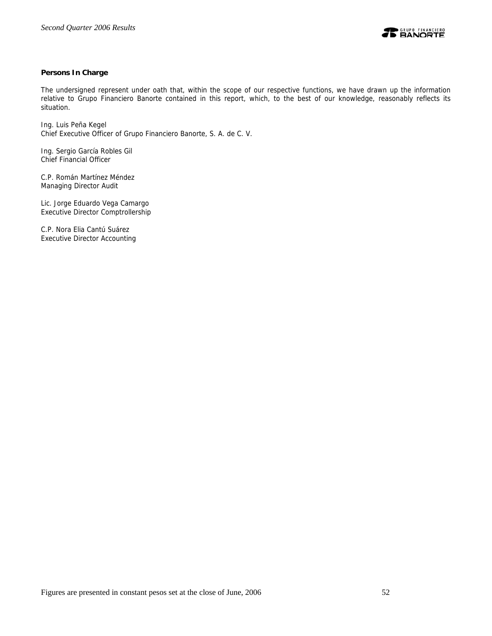

## **Persons In Charge**

The undersigned represent under oath that, within the scope of our respective functions, we have drawn up the information relative to Grupo Financiero Banorte contained in this report, which, to the best of our knowledge, reasonably reflects its situation.

Ing. Luis Peña Kegel Chief Executive Officer of Grupo Financiero Banorte, S. A. de C. V.

Ing. Sergio García Robles Gil Chief Financial Officer

C.P. Román Martínez Méndez Managing Director Audit

Lic. Jorge Eduardo Vega Camargo Executive Director Comptrollership

C.P. Nora Elia Cantú Suárez Executive Director Accounting